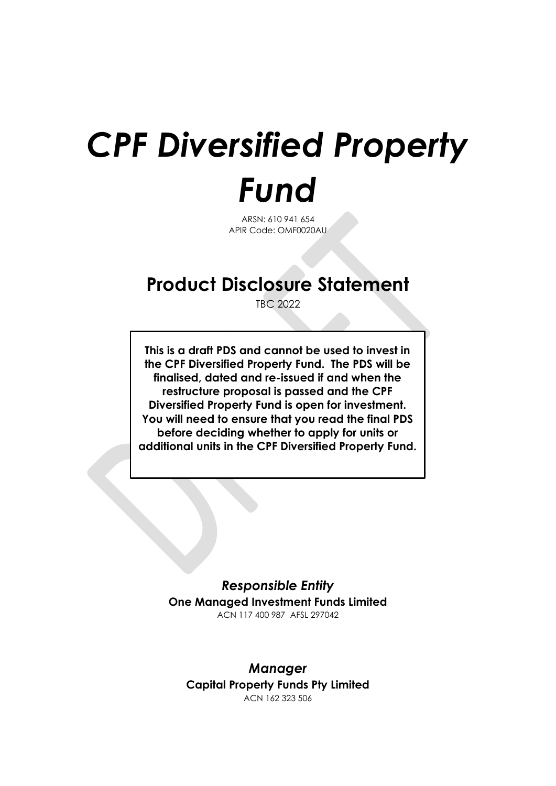# *CPF Diversified Property Fund*

ARSN: 610 941 654 APIR Code: OMF0020AU

## **Product Disclosure Statement**

TBC 2022

**This is a draft PDS and cannot be used to invest in the CPF Diversified Property Fund. The PDS will be finalised, dated and re-issued if and when the restructure proposal is passed and the CPF Diversified Property Fund is open for investment. You will need to ensure that you read the final PDS before deciding whether to apply for units or additional units in the CPF Diversified Property Fund.**

> *Responsible Entity* **One Managed Investment Funds Limited** ACN 117 400 987 AFSL 297042

*Manager* **Capital Property Funds Pty Limited** ACN 162 323 506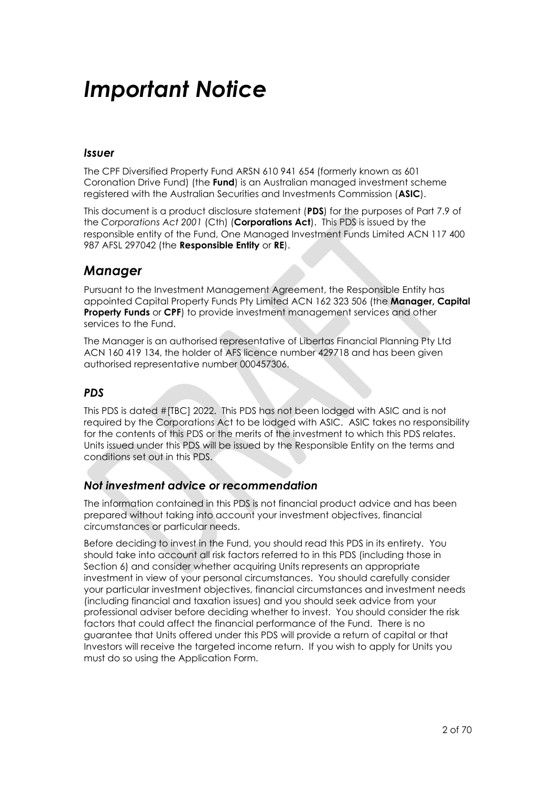## *Important Notice*

#### *Issuer*

The CPF Diversified Property Fund ARSN 610 941 654 (formerly known as 601 Coronation Drive Fund) (the **Fund**) is an Australian managed investment scheme registered with the Australian Securities and Investments Commission (**ASIC**).

This document is a product disclosure statement (**PDS**) for the purposes of Part 7.9 of the *Corporations Act 2001* (Cth) (**Corporations Act**). This PDS is issued by the responsible entity of the Fund, One Managed Investment Funds Limited ACN 117 400 987 AFSL 297042 (the **Responsible Entity** or **RE**).

### *Manager*

Pursuant to the Investment Management Agreement, the Responsible Entity has appointed Capital Property Funds Pty Limited ACN 162 323 506 (the **Manager, Capital Property Funds** or **CPF**) to provide investment management services and other services to the Fund.

The Manager is an authorised representative of Libertas Financial Planning Pty Ltd ACN 160 419 134, the holder of AFS licence number 429718 and has been given authorised representative number 000457306.

#### *PDS*

This PDS is dated #[TBC] 2022. This PDS has not been lodged with ASIC and is not required by the Corporations Act to be lodged with ASIC. ASIC takes no responsibility for the contents of this PDS or the merits of the investment to which this PDS relates. Units issued under this PDS will be issued by the Responsible Entity on the terms and conditions set out in this PDS.

#### *Not investment advice or recommendation*

The information contained in this PDS is not financial product advice and has been prepared without taking into account your investment objectives, financial circumstances or particular needs.

Before deciding to invest in the Fund, you should read this PDS in its entirety. You should take into account all risk factors referred to in this PDS (including those in Section [6\)](#page-52-0) and consider whether acquiring Units represents an appropriate investment in view of your personal circumstances. You should carefully consider your particular investment objectives, financial circumstances and investment needs (including financial and taxation issues) and you should seek advice from your professional adviser before deciding whether to invest. You should consider the risk factors that could affect the financial performance of the Fund. There is no guarantee that Units offered under this PDS will provide a return of capital or that Investors will receive the targeted income return. If you wish to apply for Units you must do so using the Application Form.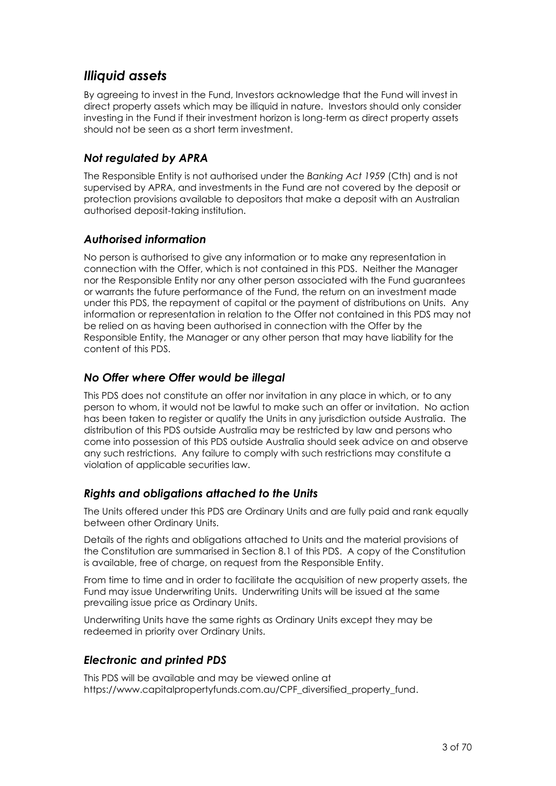### *Illiquid assets*

By agreeing to invest in the Fund, Investors acknowledge that the Fund will invest in direct property assets which may be illiquid in nature. Investors should only consider investing in the Fund if their investment horizon is long-term as direct property assets should not be seen as a short term investment.

#### *Not regulated by APRA*

The Responsible Entity is not authorised under the *Banking Act 1959* (Cth) and is not supervised by APRA, and investments in the Fund are not covered by the deposit or protection provisions available to depositors that make a deposit with an Australian authorised deposit-taking institution.

#### *Authorised information*

No person is authorised to give any information or to make any representation in connection with the Offer, which is not contained in this PDS. Neither the Manager nor the Responsible Entity nor any other person associated with the Fund guarantees or warrants the future performance of the Fund, the return on an investment made under this PDS, the repayment of capital or the payment of distributions on Units. Any information or representation in relation to the Offer not contained in this PDS may not be relied on as having been authorised in connection with the Offer by the Responsible Entity, the Manager or any other person that may have liability for the content of this PDS.

#### *No Offer where Offer would be illegal*

This PDS does not constitute an offer nor invitation in any place in which, or to any person to whom, it would not be lawful to make such an offer or invitation. No action has been taken to register or qualify the Units in any jurisdiction outside Australia. The distribution of this PDS outside Australia may be restricted by law and persons who come into possession of this PDS outside Australia should seek advice on and observe any such restrictions. Any failure to comply with such restrictions may constitute a violation of applicable securities law.

#### *Rights and obligations attached to the Units*

The Units offered under this PDS are Ordinary Units and are fully paid and rank equally between other Ordinary Units.

Details of the rights and obligations attached to Units and the material provisions of the Constitution are summarised in Section [8.1](#page-61-0) of this PDS. A copy of the Constitution is available, free of charge, on request from the Responsible Entity.

From time to time and in order to facilitate the acquisition of new property assets, the Fund may issue Underwriting Units. Underwriting Units will be issued at the same prevailing issue price as Ordinary Units.

Underwriting Units have the same rights as Ordinary Units except they may be redeemed in priority over Ordinary Units.

#### *Electronic and printed PDS*

This PDS will be available and may be viewed online at https://www.capitalpropertyfunds.com.au/CPF\_diversified\_property\_fund.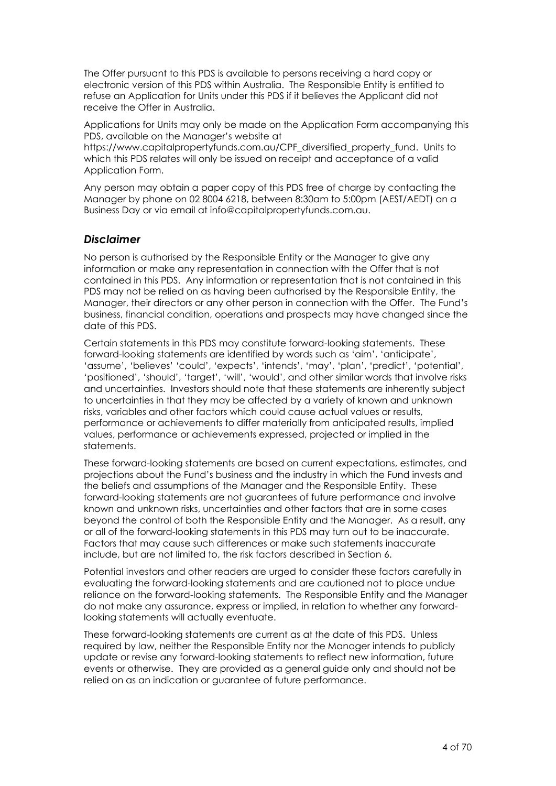The Offer pursuant to this PDS is available to persons receiving a hard copy or electronic version of this PDS within Australia. The Responsible Entity is entitled to refuse an Application for Units under this PDS if it believes the Applicant did not receive the Offer in Australia.

Applications for Units may only be made on the Application Form accompanying this PDS, available on the Manager's website at

https://www.capitalpropertyfunds.com.au/CPF\_diversified\_property\_fund. Units to which this PDS relates will only be issued on receipt and acceptance of a valid Application Form.

Any person may obtain a paper copy of this PDS free of charge by contacting the Manager by phone on 02 8004 6218, between 8:30am to 5:00pm (AEST/AEDT) on a Business Day or via email at info@capitalpropertyfunds.com.au.

#### *Disclaimer*

No person is authorised by the Responsible Entity or the Manager to give any information or make any representation in connection with the Offer that is not contained in this PDS. Any information or representation that is not contained in this PDS may not be relied on as having been authorised by the Responsible Entity, the Manager, their directors or any other person in connection with the Offer. The Fund's business, financial condition, operations and prospects may have changed since the date of this PDS.

Certain statements in this PDS may constitute forward-looking statements. These forward-looking statements are identified by words such as 'aim', 'anticipate', 'assume', 'believes' 'could', 'expects', 'intends', 'may', 'plan', 'predict', 'potential', 'positioned', 'should', 'target', 'will', 'would', and other similar words that involve risks and uncertainties. Investors should note that these statements are inherently subject to uncertainties in that they may be affected by a variety of known and unknown risks, variables and other factors which could cause actual values or results, performance or achievements to differ materially from anticipated results, implied values, performance or achievements expressed, projected or implied in the statements.

These forward-looking statements are based on current expectations, estimates, and projections about the Fund's business and the industry in which the Fund invests and the beliefs and assumptions of the Manager and the Responsible Entity. These forward-looking statements are not guarantees of future performance and involve known and unknown risks, uncertainties and other factors that are in some cases beyond the control of both the Responsible Entity and the Manager. As a result, any or all of the forward-looking statements in this PDS may turn out to be inaccurate. Factors that may cause such differences or make such statements inaccurate include, but are not limited to, the risk factors described in Section [6.](#page-52-0)

Potential investors and other readers are urged to consider these factors carefully in evaluating the forward-looking statements and are cautioned not to place undue reliance on the forward-looking statements. The Responsible Entity and the Manager do not make any assurance, express or implied, in relation to whether any forwardlooking statements will actually eventuate.

These forward-looking statements are current as at the date of this PDS. Unless required by law, neither the Responsible Entity nor the Manager intends to publicly update or revise any forward-looking statements to reflect new information, future events or otherwise. They are provided as a general guide only and should not be relied on as an indication or guarantee of future performance.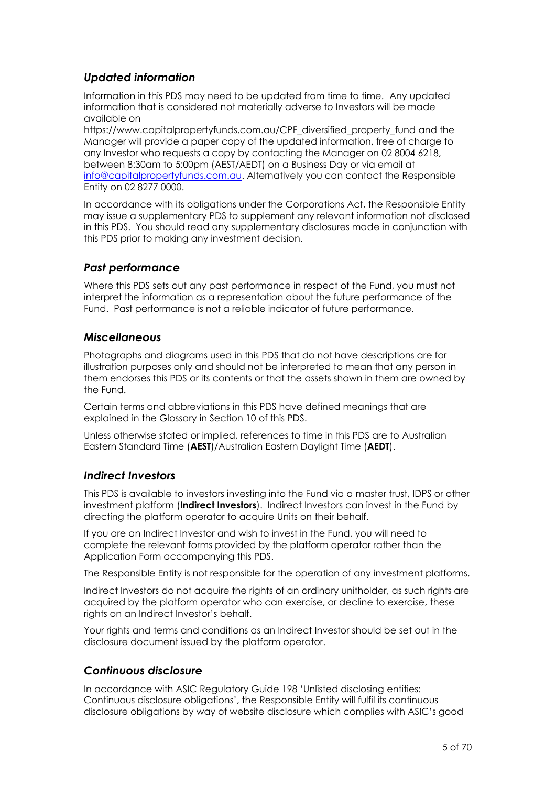#### *Updated information*

Information in this PDS may need to be updated from time to time. Any updated information that is considered not materially adverse to Investors will be made available on

https://www.capitalpropertyfunds.com.au/CPF\_diversified\_property\_fund and the Manager will provide a paper copy of the updated information, free of charge to any Investor who requests a copy by contacting the Manager on 02 8004 6218, between 8:30am to 5:00pm (AEST/AEDT) on a Business Day or via email at [info@capitalpropertyfunds.com.au.](mailto:info@capitalpropertyfunds.com.au) Alternatively you can contact the Responsible Entity on 02 8277 0000.

In accordance with its obligations under the Corporations Act, the Responsible Entity may issue a supplementary PDS to supplement any relevant information not disclosed in this PDS. You should read any supplementary disclosures made in conjunction with this PDS prior to making any investment decision.

#### *Past performance*

Where this PDS sets out any past performance in respect of the Fund, you must not interpret the information as a representation about the future performance of the Fund. Past performance is not a reliable indicator of future performance.

#### *Miscellaneous*

Photographs and diagrams used in this PDS that do not have descriptions are for illustration purposes only and should not be interpreted to mean that any person in them endorses this PDS or its contents or that the assets shown in them are owned by the Fund.

Certain terms and abbreviations in this PDS have defined meanings that are explained in the Glossary in Section [10](#page-67-0) of this PDS.

Unless otherwise stated or implied, references to time in this PDS are to Australian Eastern Standard Time (**AEST**)/Australian Eastern Daylight Time (**AEDT**).

#### *Indirect Investors*

This PDS is available to investors investing into the Fund via a master trust, IDPS or other investment platform (**Indirect Investors**). Indirect Investors can invest in the Fund by directing the platform operator to acquire Units on their behalf.

If you are an Indirect Investor and wish to invest in the Fund, you will need to complete the relevant forms provided by the platform operator rather than the Application Form accompanying this PDS.

The Responsible Entity is not responsible for the operation of any investment platforms.

Indirect Investors do not acquire the rights of an ordinary unitholder, as such rights are acquired by the platform operator who can exercise, or decline to exercise, these rights on an Indirect Investor's behalf.

Your rights and terms and conditions as an Indirect Investor should be set out in the disclosure document issued by the platform operator.

#### *Continuous disclosure*

In accordance with ASIC Regulatory Guide 198 'Unlisted disclosing entities: Continuous disclosure obligations', the Responsible Entity will fulfil its continuous disclosure obligations by way of website disclosure which complies with ASIC's good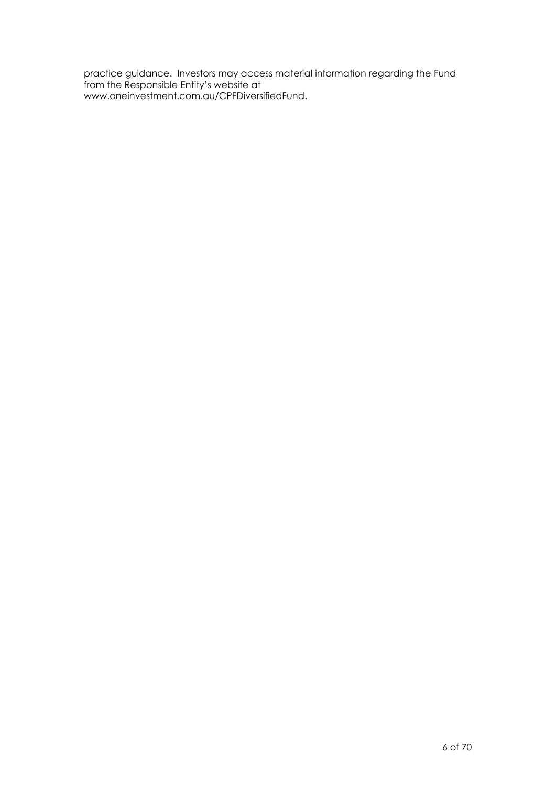practice guidance. Investors may access material information regarding the Fund from the Responsible Entity's website at www.oneinvestment.com.au/CPFDiversifiedFund.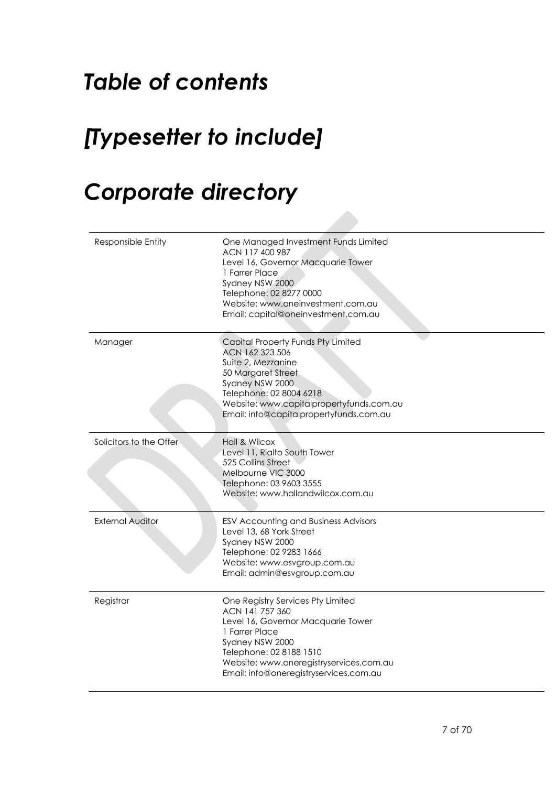## *Table of contents*

## *[Typesetter to include]*

## *Corporate directory*

| Responsible Entity      | One Managed Investment Funds Limited<br>ACN 117 400 987<br>Level 16, Governor Macquarie Tower<br>1 Farrer Place<br>Sydney NSW 2000<br>Telephone: 02 8277 0000<br>Website: www.oneinvestment.com.au<br>Email: capital@oneinvestment.com.au       |
|-------------------------|-------------------------------------------------------------------------------------------------------------------------------------------------------------------------------------------------------------------------------------------------|
| Manager                 | Capital Property Funds Pty Limited<br>ACN 162 323 506<br>Suite 2, Mezzanine<br>50 Margaret Street<br>Sydney NSW 2000<br>Telephone: 02 8004 6218<br>Website: www.capitalpropertyfunds.com.au<br>Email: info@capitalpropertyfunds.com.au          |
| Solicitors to the Offer | Hall & Wilcox<br>Level 11, Rialto South Tower<br>525 Collins Street<br>Melbourne VIC 3000<br>Telephone: 03 9603 3555<br>Website: www.hallandwilcox.com.au                                                                                       |
| <b>External Auditor</b> | ESV Accounting and Business Advisors<br>Level 13, 68 York Street<br>Sydney NSW 2000<br>Telephone: 02 9283 1666<br>Website: www.esvgroup.com.au<br>Email: admin@esvgroup.com.au                                                                  |
| Registrar               | One Registry Services Pty Limited<br>ACN 141 757 360<br>Level 16, Governor Macquarie Tower<br>1 Farrer Place<br>Sydney NSW 2000<br>Telephone: 02 8188 1510<br>Website: www.oneregistryservices.com.au<br>Email: info@oneregistryservices.com.au |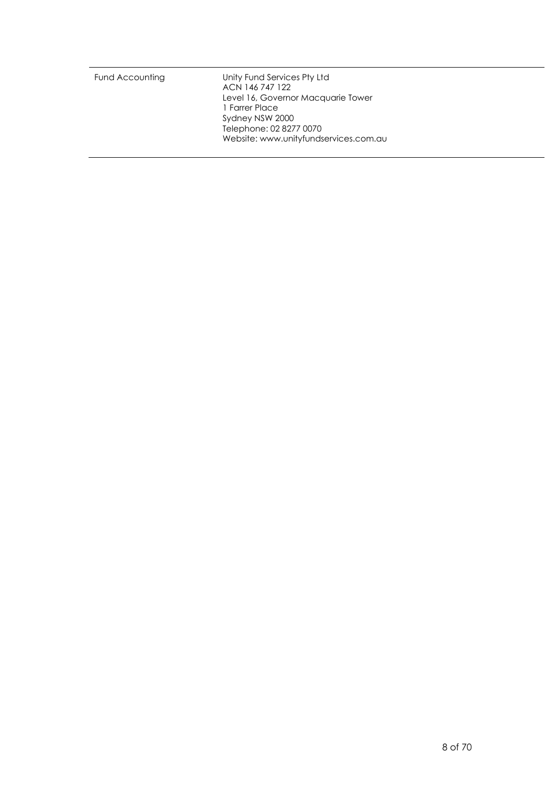|  |  | Fund Accounting | Unity Fund Services Pty Ltd<br>ACN 146 747 122<br>Level 16, Governor Macquarie Tower<br>1 Farrer Place<br>Sydney NSW 2000<br>Telephone: 02 8277 0070<br>Website: www.unityfundservices.com.au |
|--|--|-----------------|-----------------------------------------------------------------------------------------------------------------------------------------------------------------------------------------------|
|--|--|-----------------|-----------------------------------------------------------------------------------------------------------------------------------------------------------------------------------------------|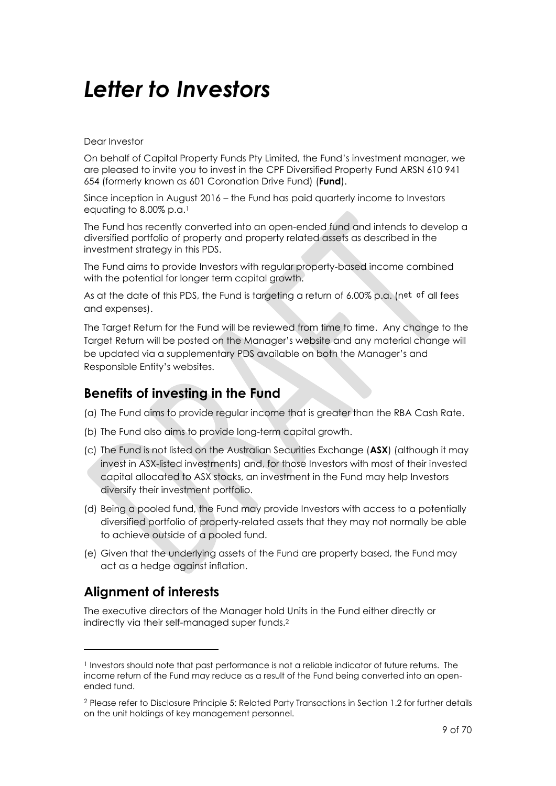## *Letter to Investors*

Dear Investor

On behalf of Capital Property Funds Pty Limited, the Fund's investment manager, we are pleased to invite you to invest in the CPF Diversified Property Fund ARSN 610 941 654 (formerly known as 601 Coronation Drive Fund) (**Fund**).

Since inception in August 2016 – the Fund has paid quarterly income to Investors equating to 8.00% p.a.<sup>1</sup>

The Fund has recently converted into an open-ended fund and intends to develop a diversified portfolio of property and property related assets as described in the investment strategy in this PDS.

The Fund aims to provide Investors with regular property-based income combined with the potential for longer term capital growth.

As at the date of this PDS, the Fund is targeting a return of 6.00% p.a. (net of all fees and expenses).

The Target Return for the Fund will be reviewed from time to time. Any change to the Target Return will be posted on the Manager's website and any material change will be updated via a supplementary PDS available on both the Manager's and Responsible Entity's websites.

#### **Benefits of investing in the Fund**

- (a) The Fund aims to provide regular income that is greater than the RBA Cash Rate.
- (b) The Fund also aims to provide long-term capital growth.
- (c) The Fund is not listed on the Australian Securities Exchange (**ASX**) (although it may invest in ASX-listed investments) and, for those Investors with most of their invested capital allocated to ASX stocks, an investment in the Fund may help Investors diversify their investment portfolio.
- (d) Being a pooled fund, the Fund may provide Investors with access to a potentially diversified portfolio of property-related assets that they may not normally be able to achieve outside of a pooled fund.
- (e) Given that the underlying assets of the Fund are property based, the Fund may act as a hedge against inflation.

### **Alignment of interests**

The executive directors of the Manager hold Units in the Fund either directly or indirectly via their self-managed super funds. 2

<sup>1</sup> Investors should note that past performance is not a reliable indicator of future returns. The income return of the Fund may reduce as a result of the Fund being converted into an openended fund.

<sup>2</sup> Please refer to Disclosure Principle 5: Related Party Transactions in Sectio[n 1.2](#page-18-0) for further details on the unit holdings of key management personnel.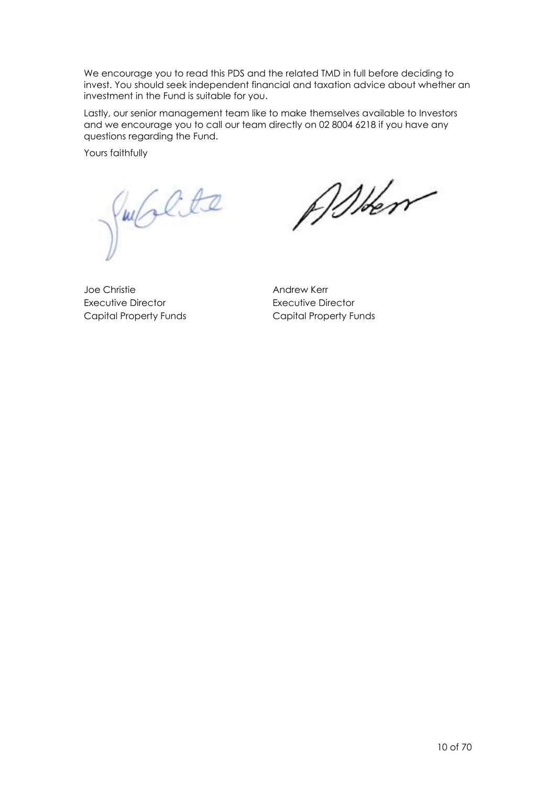We encourage you to read this PDS and the related TMD in full before deciding to invest. You should seek independent financial and taxation advice about whether an investment in the Fund is suitable for you.

Lastly, our senior management team like to make themselves available to Investors and we encourage you to call our team directly on 02 8004 6218 if you have any questions regarding the Fund.

Yours faithfully

Jubilte

When

Joe Christie Executive Director Capital Property Funds

Andrew Kerr Executive Director Capital Property Funds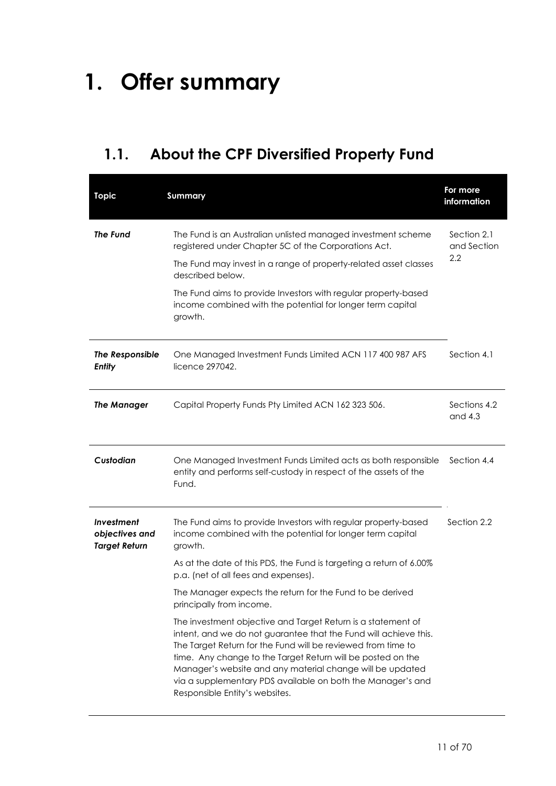## **1. Offer summary**

## **1.1. About the CPF Diversified Property Fund**

| <b>Topic</b>                                                | <b>Summary</b>                                                                                                                                                                                                                                                                                                                                                                                                                | For more<br>information           |
|-------------------------------------------------------------|-------------------------------------------------------------------------------------------------------------------------------------------------------------------------------------------------------------------------------------------------------------------------------------------------------------------------------------------------------------------------------------------------------------------------------|-----------------------------------|
| <b>The Fund</b>                                             | The Fund is an Australian unlisted managed investment scheme<br>registered under Chapter 5C of the Corporations Act.<br>The Fund may invest in a range of property-related asset classes<br>described below.<br>The Fund aims to provide Investors with regular property-based<br>income combined with the potential for longer term capital                                                                                  | Section 2.1<br>and Section<br>2.2 |
| The Responsible                                             | growth.<br>One Managed Investment Funds Limited ACN 117 400 987 AFS                                                                                                                                                                                                                                                                                                                                                           | Section 4.1                       |
| <b>Entity</b>                                               | licence 297042.                                                                                                                                                                                                                                                                                                                                                                                                               |                                   |
| <b>The Manager</b>                                          | Capital Property Funds Pty Limited ACN 162 323 506.                                                                                                                                                                                                                                                                                                                                                                           | Sections 4.2<br>and $4.3$         |
| Custodian                                                   | One Managed Investment Funds Limited acts as both responsible<br>entity and performs self-custody in respect of the assets of the<br>Fund.                                                                                                                                                                                                                                                                                    | Section 4.4                       |
| <b>Investment</b><br>objectives and<br><b>Target Return</b> | The Fund aims to provide Investors with regular property-based<br>income combined with the potential for longer term capital<br>growth.                                                                                                                                                                                                                                                                                       | Section 2.2                       |
|                                                             | As at the date of this PDS, the Fund is targeting a return of 6.00%<br>p.a. (net of all fees and expenses).                                                                                                                                                                                                                                                                                                                   |                                   |
|                                                             | The Manager expects the return for the Fund to be derived<br>principally from income.                                                                                                                                                                                                                                                                                                                                         |                                   |
|                                                             | The investment objective and Target Return is a statement of<br>intent, and we do not guarantee that the Fund will achieve this.<br>The Target Return for the Fund will be reviewed from time to<br>time. Any change to the Target Return will be posted on the<br>Manager's website and any material change will be updated<br>via a supplementary PDS available on both the Manager's and<br>Responsible Entity's websites. |                                   |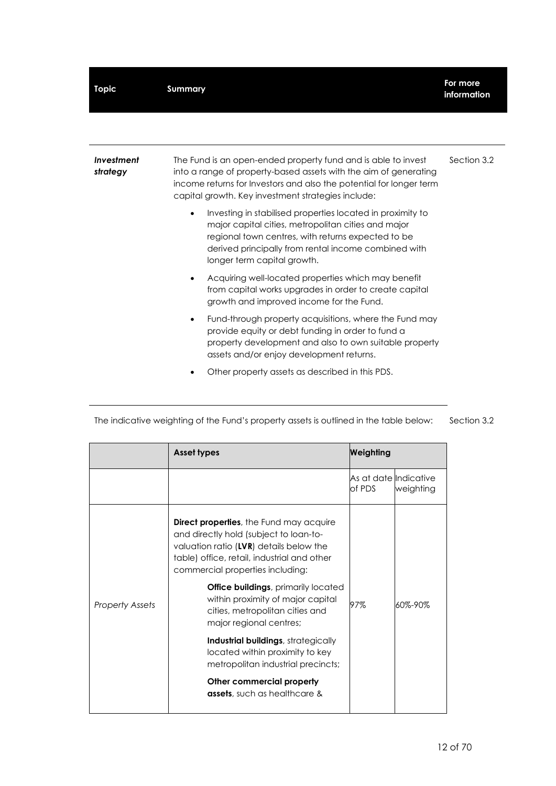| <b>Topic</b>           | <b>Summary</b>                                                                                                                                                                                                                                                              | For more<br>information |
|------------------------|-----------------------------------------------------------------------------------------------------------------------------------------------------------------------------------------------------------------------------------------------------------------------------|-------------------------|
|                        |                                                                                                                                                                                                                                                                             |                         |
| Investment<br>strategy | The Fund is an open-ended property fund and is able to invest<br>into a range of property-based assets with the aim of generating<br>income returns for Investors and also the potential for longer term<br>capital growth. Key investment strategies include:              | Section 3.2             |
|                        | Investing in stabilised properties located in proximity to<br>$\bullet$<br>major capital cities, metropolitan cities and major<br>regional town centres, with returns expected to be<br>derived principally from rental income combined with<br>longer term capital growth. |                         |
|                        | Acquiring well-located properties which may benefit<br>from capital works upgrades in order to create capital<br>growth and improved income for the Fund.                                                                                                                   |                         |
|                        | Fund-through property acquisitions, where the Fund may<br>$\bullet$<br>provide equity or debt funding in order to fund a<br>property development and also to own suitable property<br>assets and/or enjoy development returns.                                              |                         |
|                        | Other property assets as described in this PDS.                                                                                                                                                                                                                             |                         |

|                        | <b>Asset types</b>                                                                                                                                                                                                      | Weighting                       |           |
|------------------------|-------------------------------------------------------------------------------------------------------------------------------------------------------------------------------------------------------------------------|---------------------------------|-----------|
|                        |                                                                                                                                                                                                                         | As at date Indicative<br>of PDS | weighting |
|                        | <b>Direct properties</b> , the Fund may acquire<br>and directly hold (subject to loan-to-<br>valuation ratio (LVR) details below the<br>table) office, retail, industrial and other<br>commercial properties including: |                                 |           |
| <b>Property Assets</b> | <b>Office buildings</b> , primarily located<br>within proximity of major capital<br>cities, metropolitan cities and<br>major regional centres;                                                                          | 97%                             | 60%-90%   |
|                        | <b>Industrial buildings</b> , strategically<br>located within proximity to key<br>metropolitan industrial precincts;                                                                                                    |                                 |           |
|                        | Other commercial property<br><b>assets</b> , such as healthcare &                                                                                                                                                       |                                 |           |

The indicative weighting of the Fund's property assets is outlined in the table below: Sectio[n 3.2](#page-35-0)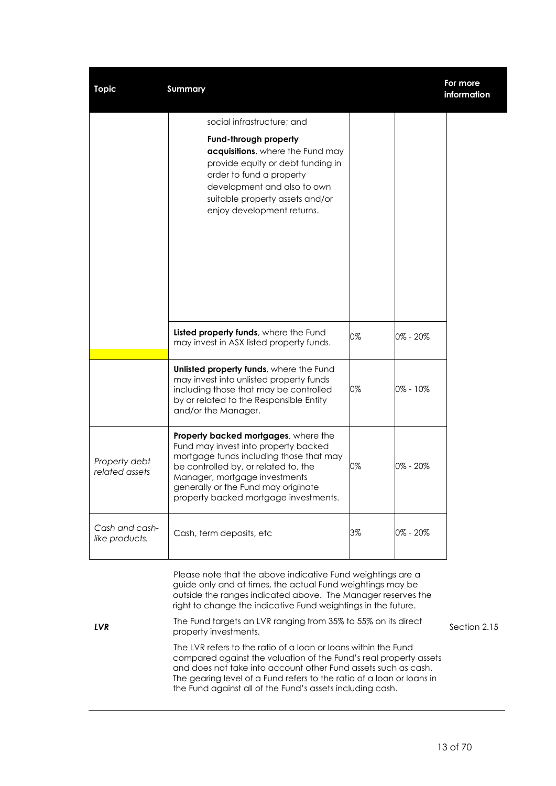| <b>Topic</b>                     | <b>Summary</b>                                                                                                                                                                                                                                                                   |    |          | For more<br>information |
|----------------------------------|----------------------------------------------------------------------------------------------------------------------------------------------------------------------------------------------------------------------------------------------------------------------------------|----|----------|-------------------------|
|                                  | social infrastructure; and                                                                                                                                                                                                                                                       |    |          |                         |
|                                  | Fund-through property<br>acquisitions, where the Fund may<br>provide equity or debt funding in<br>order to fund a property<br>development and also to own<br>suitable property assets and/or<br>enjoy development returns.                                                       |    |          |                         |
|                                  | Listed property funds, where the Fund<br>may invest in ASX listed property funds.                                                                                                                                                                                                | 0% | 0% - 20% |                         |
|                                  | Unlisted property funds, where the Fund<br>may invest into unlisted property funds<br>including those that may be controlled<br>by or related to the Responsible Entity<br>and/or the Manager.                                                                                   | 0% | 0% - 10% |                         |
| Property debt<br>related assets  | Property backed mortgages, where the<br>Fund may invest into property backed<br>mortgage funds including those that may<br>be controlled by, or related to, the<br>Manager, mortgage investments<br>generally or the Fund may originate<br>property backed mortgage investments. | 0% | 0% - 20% |                         |
| Cash and cash-<br>like products. | Cash, term deposits, etc                                                                                                                                                                                                                                                         | 3% | 0% - 20% |                         |

Please note that the above indicative Fund weightings are a guide only and at times, the actual Fund weightings may be outside the ranges indicated above. The Manager reserves the right to change the indicative Fund weightings in the future.

*LVR* The Fund targets an LVR ranging from 35% to 55% on its direct property investments. The LVR refers to the ratio of a loan or loans within the Fund compared against the valuation of the Fund's real property assets and does not take into account other Fund assets such as cash. The gearing level of a Fund refers to the ratio of a loan or loans in the Fund against all of the Fund's assets including cash.

Sectio[n 2.15](#page-33-0)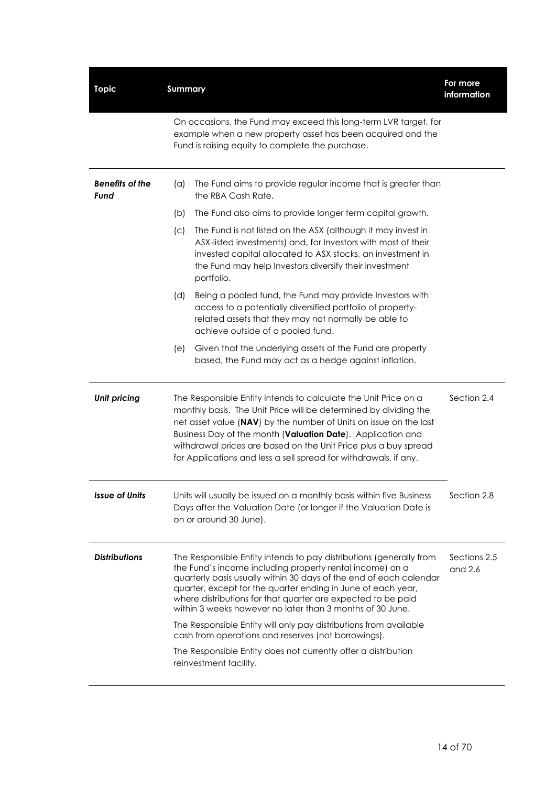| <b>Topic</b>                   | <b>Summary</b>                                                                                                                                                                                                                                                                                                                                                                                                                                                                                                                                                                                                             | For more<br>information   |
|--------------------------------|----------------------------------------------------------------------------------------------------------------------------------------------------------------------------------------------------------------------------------------------------------------------------------------------------------------------------------------------------------------------------------------------------------------------------------------------------------------------------------------------------------------------------------------------------------------------------------------------------------------------------|---------------------------|
|                                | On occasions, the Fund may exceed this long-term LVR target, for<br>example when a new property asset has been acquired and the<br>Fund is raising equity to complete the purchase.                                                                                                                                                                                                                                                                                                                                                                                                                                        |                           |
| <b>Benefits of the</b><br>Fund | The Fund aims to provide regular income that is greater than<br>(a)<br>the RBA Cash Rate.                                                                                                                                                                                                                                                                                                                                                                                                                                                                                                                                  |                           |
|                                | The Fund also aims to provide longer term capital growth.<br>(b)                                                                                                                                                                                                                                                                                                                                                                                                                                                                                                                                                           |                           |
|                                | The Fund is not listed on the ASX (although it may invest in<br>(C)<br>ASX-listed investments) and, for Investors with most of their<br>invested capital allocated to ASX stocks, an investment in<br>the Fund may help Investors diversify their investment<br>portfolio.                                                                                                                                                                                                                                                                                                                                                 |                           |
|                                | Being a pooled fund, the Fund may provide Investors with<br>(d)<br>access to a potentially diversified portfolio of property-<br>related assets that they may not normally be able to<br>achieve outside of a pooled fund.                                                                                                                                                                                                                                                                                                                                                                                                 |                           |
|                                | Given that the underlying assets of the Fund are property<br>(e)<br>based, the Fund may act as a hedge against inflation.                                                                                                                                                                                                                                                                                                                                                                                                                                                                                                  |                           |
| <b>Unit pricing</b>            | The Responsible Entity intends to calculate the Unit Price on a<br>monthly basis. The Unit Price will be determined by dividing the<br>net asset value (NAV) by the number of Units on issue on the last<br>Business Day of the month (Valuation Date). Application and<br>withdrawal prices are based on the Unit Price plus a buy spread<br>for Applications and less a sell spread for withdrawals, if any.                                                                                                                                                                                                             | Section 2.4               |
| <b>Issue of Units</b>          | Units will usually be issued on a monthly basis within five Business<br>Days after the Valuation Date (or longer if the Valuation Date is<br>on or around 30 June).                                                                                                                                                                                                                                                                                                                                                                                                                                                        | Section 2.8               |
| <b>Distributions</b>           | The Responsible Entity intends to pay distributions (generally from<br>the Fund's income including property rental income) on a<br>quarterly basis usually within 30 days of the end of each calendar<br>quarter, except for the quarter ending in June of each year,<br>where distributions for that quarter are expected to be paid<br>within 3 weeks however no later than 3 months of 30 June.<br>The Responsible Entity will only pay distributions from available<br>cash from operations and reserves (not borrowings).<br>The Responsible Entity does not currently offer a distribution<br>reinvestment facility. | Sections 2.5<br>and $2.6$ |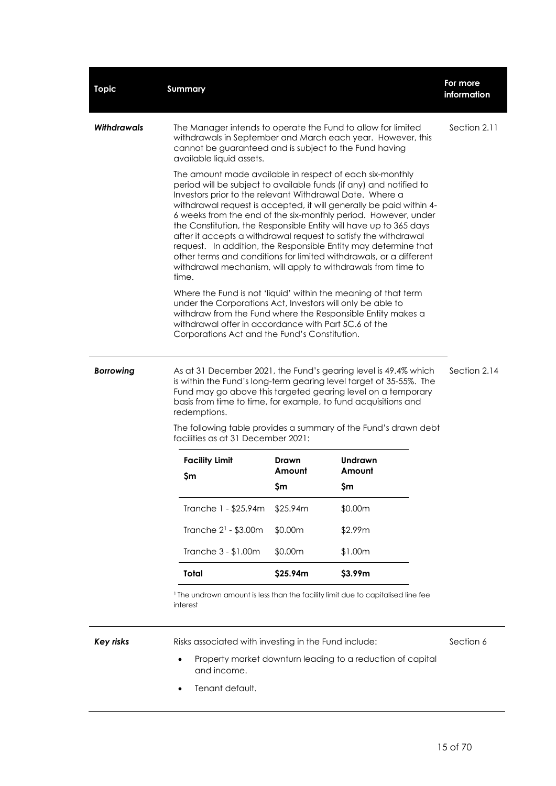| <b>Topic</b>       | <b>Summary</b>                                                                                                                                                                                                                                                                                                                                                                                                                                                                                                                                                                                                                                                                                |                 |                                                            | For more<br>information |
|--------------------|-----------------------------------------------------------------------------------------------------------------------------------------------------------------------------------------------------------------------------------------------------------------------------------------------------------------------------------------------------------------------------------------------------------------------------------------------------------------------------------------------------------------------------------------------------------------------------------------------------------------------------------------------------------------------------------------------|-----------------|------------------------------------------------------------|-------------------------|
| <b>Withdrawals</b> | The Manager intends to operate the Fund to allow for limited<br>withdrawals in September and March each year. However, this<br>cannot be guaranteed and is subject to the Fund having<br>available liquid assets.                                                                                                                                                                                                                                                                                                                                                                                                                                                                             |                 |                                                            | Section 2.11            |
|                    | The amount made available in respect of each six-monthly<br>period will be subject to available funds (if any) and notified to<br>Investors prior to the relevant Withdrawal Date. Where a<br>withdrawal request is accepted, it will generally be paid within 4-<br>6 weeks from the end of the six-monthly period. However, under<br>the Constitution, the Responsible Entity will have up to 365 days<br>after it accepts a withdrawal request to satisfy the withdrawal<br>request. In addition, the Responsible Entity may determine that<br>other terms and conditions for limited withdrawals, or a different<br>withdrawal mechanism, will apply to withdrawals from time to<br>time. |                 |                                                            |                         |
|                    | Where the Fund is not 'liquid' within the meaning of that term<br>under the Corporations Act, Investors will only be able to<br>withdraw from the Fund where the Responsible Entity makes a<br>withdrawal offer in accordance with Part 5C.6 of the<br>Corporations Act and the Fund's Constitution.                                                                                                                                                                                                                                                                                                                                                                                          |                 |                                                            |                         |
| <b>Borrowing</b>   | As at 31 December 2021, the Fund's gearing level is 49.4% which<br>is within the Fund's long-term gearing level target of 35-55%. The<br>Fund may go above this targeted gearing level on a temporary<br>basis from time to time, for example, to fund acquisitions and<br>redemptions.                                                                                                                                                                                                                                                                                                                                                                                                       |                 |                                                            | Section 2.14            |
|                    | The following table provides a summary of the Fund's drawn debt<br>facilities as at 31 December 2021:                                                                                                                                                                                                                                                                                                                                                                                                                                                                                                                                                                                         |                 |                                                            |                         |
|                    | <b>Facility Limit</b><br>\$m                                                                                                                                                                                                                                                                                                                                                                                                                                                                                                                                                                                                                                                                  | Drawn<br>Amount | <b>Undrawn</b><br>Amount                                   |                         |
|                    |                                                                                                                                                                                                                                                                                                                                                                                                                                                                                                                                                                                                                                                                                               | \$m             | \$m                                                        |                         |
|                    | Tranche 1 - \$25.94m                                                                                                                                                                                                                                                                                                                                                                                                                                                                                                                                                                                                                                                                          | \$25.94m        | \$0.00m                                                    |                         |
|                    | Tranche 2 <sup>1</sup> - \$3.00m                                                                                                                                                                                                                                                                                                                                                                                                                                                                                                                                                                                                                                                              | \$0.00m         | \$2.99m                                                    |                         |
|                    | Tranche 3 - \$1.00m                                                                                                                                                                                                                                                                                                                                                                                                                                                                                                                                                                                                                                                                           | \$0.00m         | \$1.00m                                                    |                         |
|                    | Total                                                                                                                                                                                                                                                                                                                                                                                                                                                                                                                                                                                                                                                                                         | \$25.94m        | \$3.99m                                                    |                         |
|                    | <sup>1</sup> The undrawn amount is less than the facility limit due to capitalised line fee<br>interest                                                                                                                                                                                                                                                                                                                                                                                                                                                                                                                                                                                       |                 |                                                            |                         |
| <b>Key risks</b>   | Risks associated with investing in the Fund include:                                                                                                                                                                                                                                                                                                                                                                                                                                                                                                                                                                                                                                          |                 |                                                            | Section 6               |
|                    | and income.                                                                                                                                                                                                                                                                                                                                                                                                                                                                                                                                                                                                                                                                                   |                 | Property market downturn leading to a reduction of capital |                         |

• Tenant default.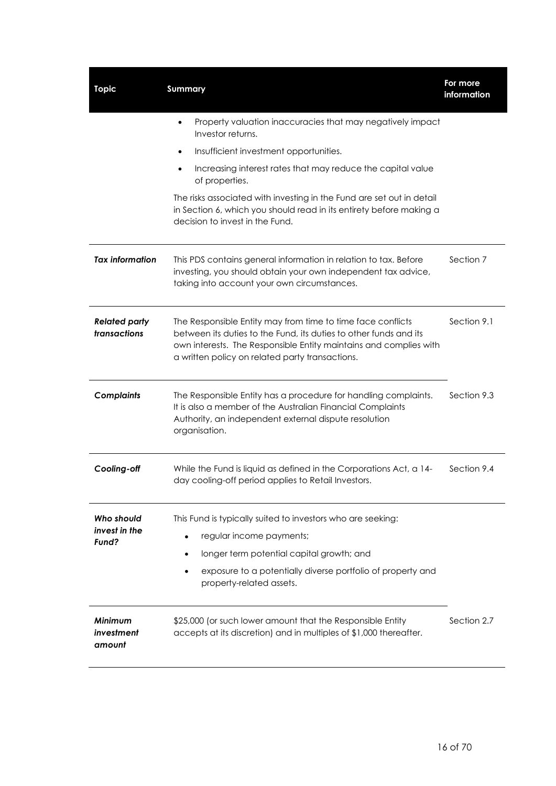| <b>Topic</b>                         | <b>Summary</b>                                                                                                                                                                                                                                           | For more<br>information |
|--------------------------------------|----------------------------------------------------------------------------------------------------------------------------------------------------------------------------------------------------------------------------------------------------------|-------------------------|
|                                      | Property valuation inaccuracies that may negatively impact<br>$\bullet$<br>Investor returns.                                                                                                                                                             |                         |
|                                      | Insufficient investment opportunities.<br>$\bullet$                                                                                                                                                                                                      |                         |
|                                      | Increasing interest rates that may reduce the capital value<br>$\bullet$<br>of properties.                                                                                                                                                               |                         |
|                                      | The risks associated with investing in the Fund are set out in detail<br>in Section 6, which you should read in its entirety before making a<br>decision to invest in the Fund.                                                                          |                         |
| <b>Tax information</b>               | This PDS contains general information in relation to tax. Before<br>investing, you should obtain your own independent tax advice,<br>taking into account your own circumstances.                                                                         | Section 7               |
| <b>Related party</b><br>transactions | The Responsible Entity may from time to time face conflicts<br>between its duties to the Fund, its duties to other funds and its<br>own interests. The Responsible Entity maintains and complies with<br>a written policy on related party transactions. | Section 9.1             |
| <b>Complaints</b>                    | The Responsible Entity has a procedure for handling complaints.<br>It is also a member of the Australian Financial Complaints<br>Authority, an independent external dispute resolution<br>organisation.                                                  | Section 9.3             |
| Cooling-off                          | While the Fund is liquid as defined in the Corporations Act, a 14-<br>day cooling-off period applies to Retail Investors.                                                                                                                                | Section 9.4             |
| Who should<br>invest in the          | This Fund is typically suited to investors who are seeking:                                                                                                                                                                                              |                         |
| Fund?                                | regular income payments;<br>$\bullet$                                                                                                                                                                                                                    |                         |
|                                      | longer term potential capital growth; and<br>$\bullet$                                                                                                                                                                                                   |                         |
|                                      | exposure to a potentially diverse portfolio of property and<br>property-related assets.                                                                                                                                                                  |                         |
| Minimum<br>investment<br>amount      | \$25,000 (or such lower amount that the Responsible Entity<br>accepts at its discretion) and in multiples of \$1,000 thereafter.                                                                                                                         | Section 2.7             |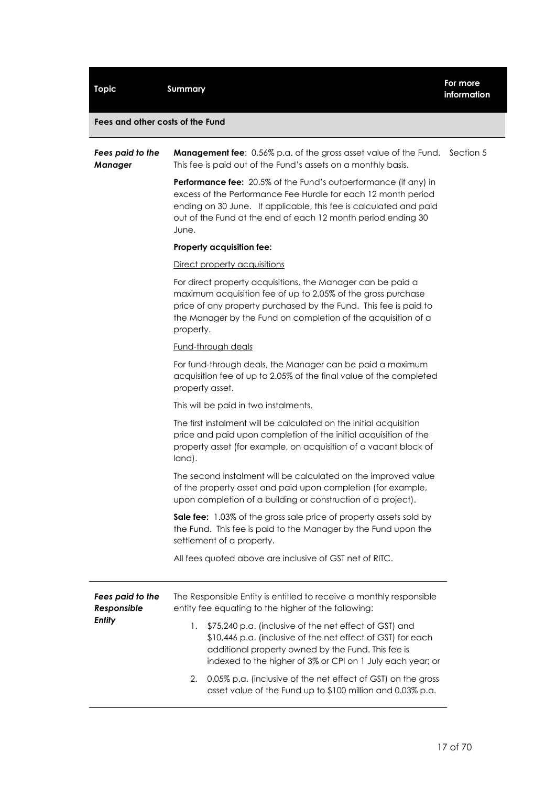| Fees and other costs of the Fund   |                                                                                                                                                                                                                                                                                |           |
|------------------------------------|--------------------------------------------------------------------------------------------------------------------------------------------------------------------------------------------------------------------------------------------------------------------------------|-----------|
| Fees paid to the<br><b>Manager</b> | <b>Management fee:</b> 0.56% p.a. of the gross asset value of the Fund.<br>This fee is paid out of the Fund's assets on a monthly basis.                                                                                                                                       | Section 5 |
|                                    | Performance fee: 20.5% of the Fund's outperformance (if any) in<br>excess of the Performance Fee Hurdle for each 12 month period<br>ending on 30 June. If applicable, this fee is calculated and paid<br>out of the Fund at the end of each 12 month period ending 30<br>June. |           |
|                                    | Property acquisition fee:                                                                                                                                                                                                                                                      |           |
|                                    | Direct property acquisitions                                                                                                                                                                                                                                                   |           |
|                                    | For direct property acquisitions, the Manager can be paid a<br>maximum acquisition fee of up to 2.05% of the gross purchase<br>price of any property purchased by the Fund. This fee is paid to<br>the Manager by the Fund on completion of the acquisition of a<br>property.  |           |
|                                    | Fund-through deals                                                                                                                                                                                                                                                             |           |
|                                    | For fund-through deals, the Manager can be paid a maximum<br>acquisition fee of up to 2.05% of the final value of the completed<br>property asset.                                                                                                                             |           |
|                                    | This will be paid in two instalments.                                                                                                                                                                                                                                          |           |
|                                    | The first instalment will be calculated on the initial acquisition<br>price and paid upon completion of the initial acquisition of the<br>property asset (for example, on acquisition of a vacant block of<br>land).                                                           |           |
|                                    | The second instalment will be calculated on the improved value<br>of the property asset and paid upon completion (for example,<br>upon completion of a building or construction of a project).                                                                                 |           |
|                                    | Sale fee: 1.03% of the gross sale price of property assets sold by<br>the Fund. This fee is paid to the Manager by the Fund upon the<br>settlement of a property.                                                                                                              |           |
|                                    | All fees quoted above are inclusive of GST net of RITC.                                                                                                                                                                                                                        |           |
| Fees paid to the<br>Responsible    | The Responsible Entity is entitled to receive a monthly responsible<br>entity fee equating to the higher of the following:                                                                                                                                                     |           |
| <b>Entity</b>                      | \$75,240 p.a. (inclusive of the net effect of GST) and<br>1.<br>\$10,446 p.a. (inclusive of the net effect of GST) for each<br>additional property owned by the Fund. This fee is<br>indexed to the higher of 3% or CPI on 1 July each year; or                                |           |
|                                    | 0.05% p.a. linelusive of the net effect of GST) on the gross<br>2                                                                                                                                                                                                              |           |

**Topic Summary For more** 

2. 0.05% p.a. (inclusive of the net effect of GST) on the gross asset value of the Fund up to \$100 million and 0.03% p.a.

**information**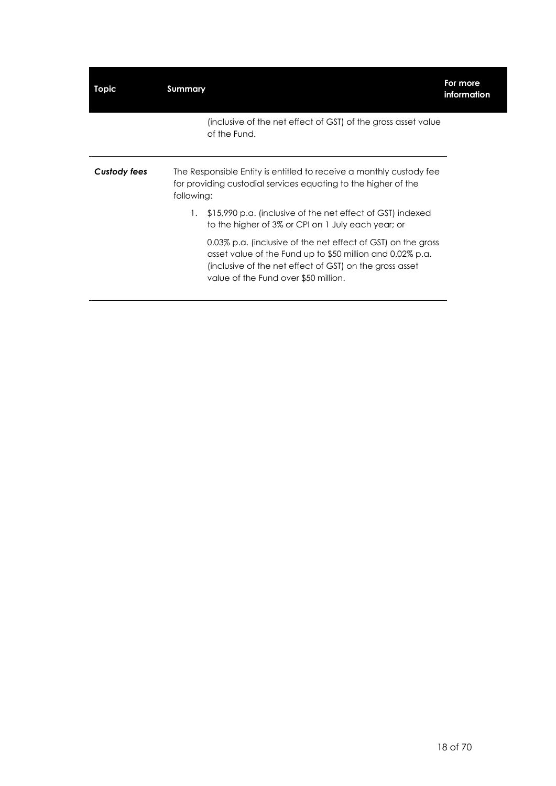| Topic        | Summary    |                                                                                                                                                                                                                              | For more<br>information |
|--------------|------------|------------------------------------------------------------------------------------------------------------------------------------------------------------------------------------------------------------------------------|-------------------------|
|              |            | (inclusive of the net effect of GST) of the gross asset value<br>of the Fund.                                                                                                                                                |                         |
| Custody fees | following: | The Responsible Entity is entitled to receive a monthly custody fee<br>for providing custodial services equating to the higher of the                                                                                        |                         |
|              |            | 1. \$15,990 p.a. (inclusive of the net effect of GST) indexed<br>to the higher of 3% or CPI on 1 July each year; or                                                                                                          |                         |
|              |            | 0.03% p.a. (inclusive of the net effect of GST) on the gross<br>asset value of the Fund up to \$50 million and 0.02% p.a.<br>(inclusive of the net effect of GST) on the gross asset<br>value of the Fund over \$50 million. |                         |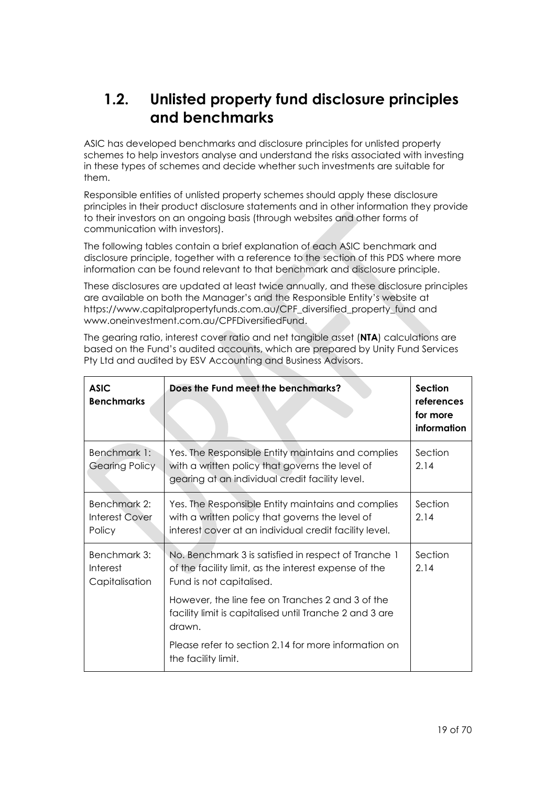## <span id="page-18-0"></span>**1.2. Unlisted property fund disclosure principles and benchmarks**

ASIC has developed benchmarks and disclosure principles for unlisted property schemes to help investors analyse and understand the risks associated with investing in these types of schemes and decide whether such investments are suitable for them.

Responsible entities of unlisted property schemes should apply these disclosure principles in their product disclosure statements and in other information they provide to their investors on an ongoing basis (through websites and other forms of communication with investors).

The following tables contain a brief explanation of each ASIC benchmark and disclosure principle, together with a reference to the section of this PDS where more information can be found relevant to that benchmark and disclosure principle.

These disclosures are updated at least twice annually, and these disclosure principles are available on both the Manager's and the Responsible Entity's website at https://www.capitalpropertyfunds.com.au/CPF\_diversified\_property\_fund and www.oneinvestment.com.au/CPFDiversifiedFund.

Pty Ltd and audited by ESV Accounting and Business Advisors. **ASIC Benchmarks Does the Fund meet the benchmarks?** Section **references for more information**

The gearing ratio, interest cover ratio and net tangible asset (**NTA**) calculations are based on the Fund's audited accounts, which are prepared by Unity Fund Services

| <b>DENCHINGIKS</b>                              |                                                                                                                                                                 | <u>references</u><br>for more<br>information |
|-------------------------------------------------|-----------------------------------------------------------------------------------------------------------------------------------------------------------------|----------------------------------------------|
| Benchmark 1:<br><b>Gearing Policy</b>           | Yes. The Responsible Entity maintains and complies<br>with a written policy that governs the level of<br>gearing at an individual credit facility level.        | Section<br>2.14                              |
| Benchmark 2:<br><b>Interest Cover</b><br>Policy | Yes. The Responsible Entity maintains and complies<br>with a written policy that governs the level of<br>interest cover at an individual credit facility level. | Section<br>2.14                              |
| Benchmark 3:<br>Interest<br>Capitalisation      | No. Benchmark 3 is satisfied in respect of Tranche 1<br>of the facility limit, as the interest expense of the<br>Fund is not capitalised.                       | Section<br>2.14                              |
|                                                 | However, the line fee on Tranches 2 and 3 of the<br>facility limit is capitalised until Tranche 2 and 3 are<br>drawn.                                           |                                              |
|                                                 | Please refer to section 2.14 for more information on<br>the facility limit.                                                                                     |                                              |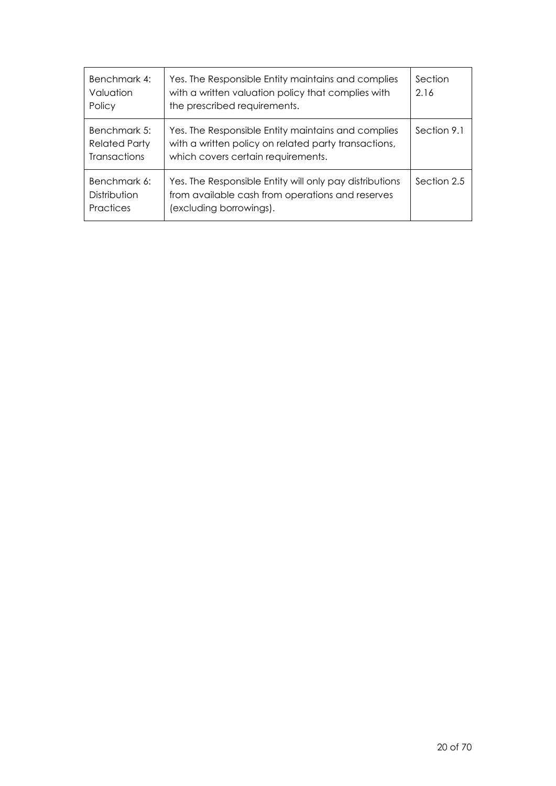| Benchmark 4:<br>Valuation<br>Policy                         | Yes. The Responsible Entity maintains and complies<br>with a written valuation policy that complies with<br>the prescribed requirements.         | Section<br>2.16 |
|-------------------------------------------------------------|--------------------------------------------------------------------------------------------------------------------------------------------------|-----------------|
| Benchmark 5:<br><b>Related Party</b><br><b>Transactions</b> | Yes. The Responsible Entity maintains and complies<br>with a written policy on related party transactions,<br>which covers certain requirements. | Section 9.1     |
| Benchmark 6:<br>Distribution<br>Practices                   | Yes. The Responsible Entity will only pay distributions<br>from available cash from operations and reserves<br>(excluding borrowings).           | Section 2.5     |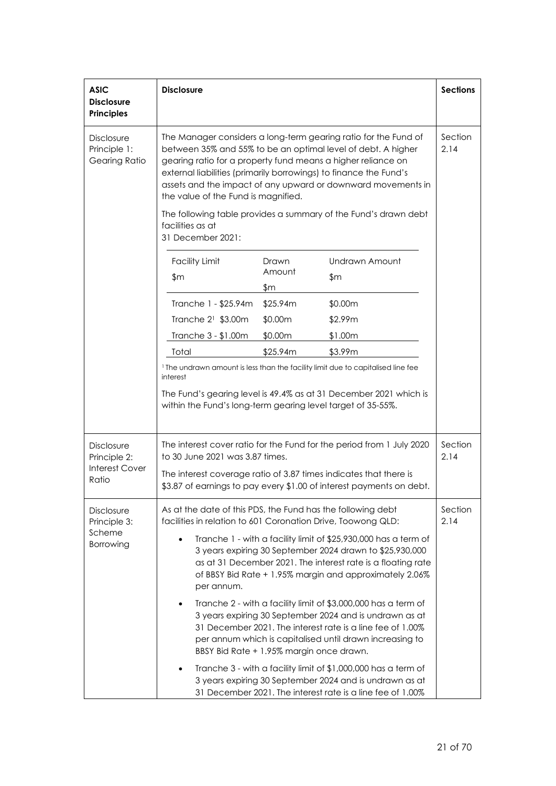| <b>ASIC</b><br><b>Disclosure</b><br><b>Principles</b>    | <b>Disclosure</b>                                                                                                                                                                                                                                                                                                                                                                                                                              |                        |                                                                                                                                                                                         | <b>Sections</b> |
|----------------------------------------------------------|------------------------------------------------------------------------------------------------------------------------------------------------------------------------------------------------------------------------------------------------------------------------------------------------------------------------------------------------------------------------------------------------------------------------------------------------|------------------------|-----------------------------------------------------------------------------------------------------------------------------------------------------------------------------------------|-----------------|
| <b>Disclosure</b><br>Principle 1:<br>Gearing Ratio       | The Manager considers a long-term gearing ratio for the Fund of<br>between 35% and 55% to be an optimal level of debt. A higher<br>gearing ratio for a property fund means a higher reliance on<br>external liabilities (primarily borrowings) to finance the Fund's<br>assets and the impact of any upward or downward movements in<br>the value of the Fund is magnified.<br>The following table provides a summary of the Fund's drawn debt |                        |                                                                                                                                                                                         | Section<br>2.14 |
|                                                          | facilities as at<br>31 December 2021:                                                                                                                                                                                                                                                                                                                                                                                                          |                        |                                                                                                                                                                                         |                 |
|                                                          | <b>Facility Limit</b><br>\$m                                                                                                                                                                                                                                                                                                                                                                                                                   | Drawn<br>Amount<br>\$m | Undrawn Amount<br>\$m                                                                                                                                                                   |                 |
|                                                          | Tranche 1 - \$25.94m                                                                                                                                                                                                                                                                                                                                                                                                                           | \$25.94m               | \$0.00m                                                                                                                                                                                 |                 |
|                                                          | Tranche $2^1$ \$3.00m                                                                                                                                                                                                                                                                                                                                                                                                                          | \$0.00m                | \$2.99m                                                                                                                                                                                 |                 |
|                                                          | Tranche 3 - \$1.00m                                                                                                                                                                                                                                                                                                                                                                                                                            | \$0.00m                | \$1.00m                                                                                                                                                                                 |                 |
|                                                          | Total                                                                                                                                                                                                                                                                                                                                                                                                                                          | \$25.94m               | \$3.99m                                                                                                                                                                                 |                 |
|                                                          | within the Fund's long-term gearing level target of 35-55%.                                                                                                                                                                                                                                                                                                                                                                                    |                        | The Fund's gearing level is 49.4% as at 31 December 2021 which is                                                                                                                       |                 |
| <b>Disclosure</b><br>Principle 2:                        | to 30 June 2021 was 3.87 times.                                                                                                                                                                                                                                                                                                                                                                                                                |                        | The interest cover ratio for the Fund for the period from 1 July 2020                                                                                                                   | Section<br>2.14 |
| <b>Interest Cover</b><br>Ratio                           | The interest coverage ratio of 3.87 times indicates that there is<br>\$3.87 of earnings to pay every \$1.00 of interest payments on debt.                                                                                                                                                                                                                                                                                                      |                        |                                                                                                                                                                                         |                 |
| <b>Disclosure</b><br>Principle 3:<br>Scheme<br>Borrowing | As at the date of this PDS, the Fund has the following debt<br>facilities in relation to 601 Coronation Drive, Toowong QLD:<br>Tranche 1 - with a facility limit of \$25,930,000 has a term of<br>3 years expiring 30 September 2024 drawn to \$25,930,000<br>as at 31 December 2021. The interest rate is a floating rate<br>of BBSY Bid Rate + 1.95% margin and approximately 2.06%<br>per annum.                                            |                        |                                                                                                                                                                                         | Section<br>2.14 |
|                                                          | Tranche 2 - with a facility limit of \$3,000,000 has a term of<br>3 years expiring 30 September 2024 and is undrawn as at<br>31 December 2021. The interest rate is a line fee of 1.00%<br>per annum which is capitalised until drawn increasing to<br>BBSY Bid Rate + 1.95% margin once drawn.                                                                                                                                                |                        |                                                                                                                                                                                         |                 |
|                                                          |                                                                                                                                                                                                                                                                                                                                                                                                                                                |                        | Tranche 3 - with a facility limit of \$1,000,000 has a term of<br>3 years expiring 30 September 2024 and is undrawn as at<br>31 December 2021. The interest rate is a line fee of 1.00% |                 |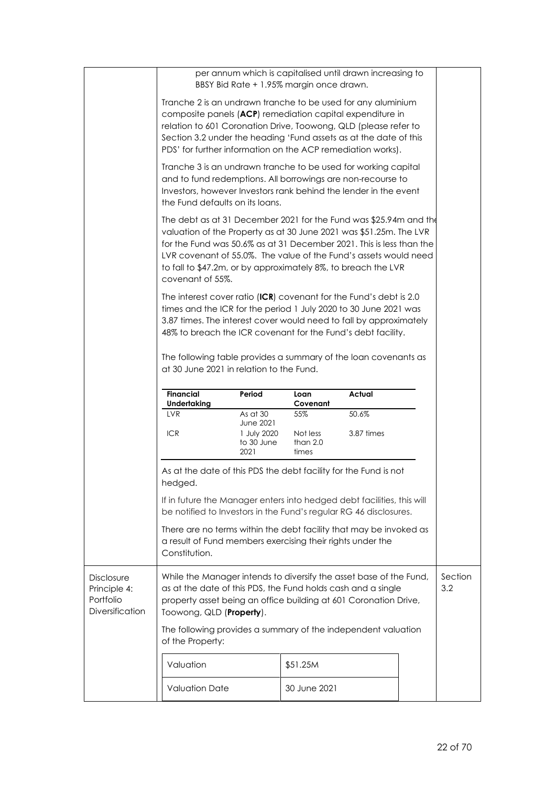|                                                                   |                                                                                                                                                                                                                                                                                                                                                                                                                                                                                                                                                                          |                                                                   | BBSY Bid Rate + 1.95% margin once drawn. | per annum which is capitalised until drawn increasing to |  |                |
|-------------------------------------------------------------------|--------------------------------------------------------------------------------------------------------------------------------------------------------------------------------------------------------------------------------------------------------------------------------------------------------------------------------------------------------------------------------------------------------------------------------------------------------------------------------------------------------------------------------------------------------------------------|-------------------------------------------------------------------|------------------------------------------|----------------------------------------------------------|--|----------------|
|                                                                   | Tranche 2 is an undrawn tranche to be used for any aluminium<br>composite panels (ACP) remediation capital expenditure in<br>relation to 601 Coronation Drive, Toowong, QLD (please refer to<br>Section 3.2 under the heading 'Fund assets as at the date of this<br>PDS' for further information on the ACP remediation works).<br>Tranche 3 is an undrawn tranche to be used for working capital<br>and to fund redemptions. All borrowings are non-recourse to<br>Investors, however Investors rank behind the lender in the event<br>the Fund defaults on its loans. |                                                                   |                                          |                                                          |  |                |
|                                                                   |                                                                                                                                                                                                                                                                                                                                                                                                                                                                                                                                                                          |                                                                   |                                          |                                                          |  |                |
|                                                                   | The debt as at 31 December 2021 for the Fund was \$25.94m and the<br>valuation of the Property as at 30 June 2021 was \$51.25m. The LVR<br>for the Fund was 50.6% as at 31 December 2021. This is less than the<br>LVR covenant of 55.0%. The value of the Fund's assets would need<br>to fall to \$47.2m, or by approximately 8%, to breach the LVR<br>covenant of 55%.                                                                                                                                                                                                 |                                                                   |                                          |                                                          |  |                |
|                                                                   | The interest cover ratio (ICR) covenant for the Fund's debt is 2.0<br>times and the ICR for the period 1 July 2020 to 30 June 2021 was<br>3.87 times. The interest cover would need to fall by approximately<br>48% to breach the ICR covenant for the Fund's debt facility.                                                                                                                                                                                                                                                                                             |                                                                   |                                          |                                                          |  |                |
|                                                                   | The following table provides a summary of the loan covenants as<br>at 30 June 2021 in relation to the Fund.                                                                                                                                                                                                                                                                                                                                                                                                                                                              |                                                                   |                                          |                                                          |  |                |
|                                                                   |                                                                                                                                                                                                                                                                                                                                                                                                                                                                                                                                                                          |                                                                   |                                          |                                                          |  |                |
|                                                                   | <b>Financial</b>                                                                                                                                                                                                                                                                                                                                                                                                                                                                                                                                                         | Period                                                            | Loan<br>Covenant                         | Actual                                                   |  |                |
|                                                                   | <b>Undertaking</b><br><b>LVR</b><br><b>ICR</b>                                                                                                                                                                                                                                                                                                                                                                                                                                                                                                                           | As at 30<br><b>June 2021</b><br>1 July 2020<br>to 30 June<br>2021 | 55%<br>Not less<br>than $2.0$<br>times   | 50.6%<br>3.87 times                                      |  |                |
|                                                                   | As at the date of this PDS the debt facility for the Fund is not<br>hedged.                                                                                                                                                                                                                                                                                                                                                                                                                                                                                              |                                                                   |                                          |                                                          |  |                |
|                                                                   | If in future the Manager enters into hedged debt facilities, this will<br>be notified to Investors in the Fund's regular RG 46 disclosures.                                                                                                                                                                                                                                                                                                                                                                                                                              |                                                                   |                                          |                                                          |  |                |
|                                                                   | There are no terms within the debt facility that may be invoked as<br>a result of Fund members exercising their rights under the<br>Constitution.                                                                                                                                                                                                                                                                                                                                                                                                                        |                                                                   |                                          |                                                          |  |                |
| <b>Disclosure</b><br>Principle 4:<br>Portfolio<br>Diversification | While the Manager intends to diversify the asset base of the Fund,<br>as at the date of this PDS, the Fund holds cash and a single<br>property asset being an office building at 601 Coronation Drive,<br>Toowong, QLD (Property).                                                                                                                                                                                                                                                                                                                                       |                                                                   |                                          |                                                          |  | Section<br>3.2 |
|                                                                   | The following provides a summary of the independent valuation<br>of the Property:                                                                                                                                                                                                                                                                                                                                                                                                                                                                                        |                                                                   |                                          |                                                          |  |                |
|                                                                   | Valuation                                                                                                                                                                                                                                                                                                                                                                                                                                                                                                                                                                |                                                                   | \$51.25M                                 |                                                          |  |                |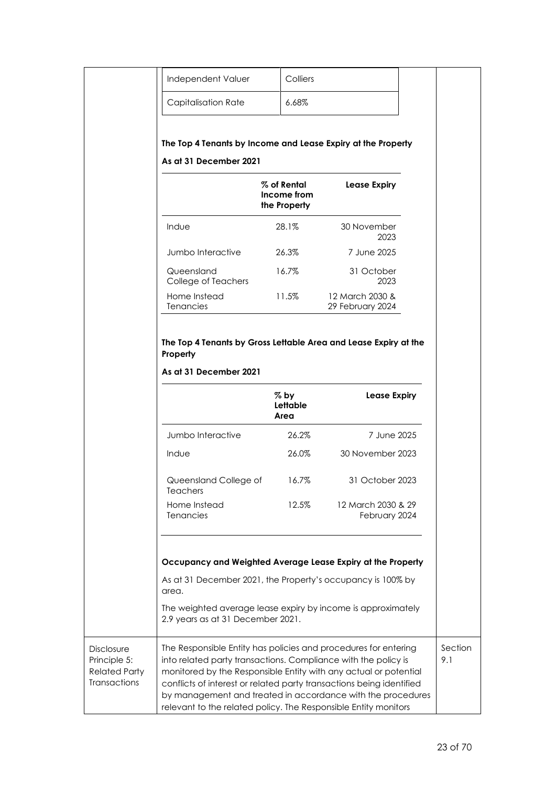|                                                                           | Independent Valuer                                                                                                                                                                                                                                                                                                                                                                                              | Colliers                                      |                                                              |                |
|---------------------------------------------------------------------------|-----------------------------------------------------------------------------------------------------------------------------------------------------------------------------------------------------------------------------------------------------------------------------------------------------------------------------------------------------------------------------------------------------------------|-----------------------------------------------|--------------------------------------------------------------|----------------|
|                                                                           | <b>Capitalisation Rate</b>                                                                                                                                                                                                                                                                                                                                                                                      | 6.68%                                         |                                                              |                |
|                                                                           | The Top 4 Tenants by Income and Lease Expiry at the Property<br>As at 31 December 2021                                                                                                                                                                                                                                                                                                                          |                                               |                                                              |                |
|                                                                           |                                                                                                                                                                                                                                                                                                                                                                                                                 | $\%$ of Rental<br>Income from<br>the Property | Lease Expiry                                                 |                |
|                                                                           | Indue                                                                                                                                                                                                                                                                                                                                                                                                           | 28.1%                                         | 30 November<br>2023                                          |                |
|                                                                           | Jumbo Interactive                                                                                                                                                                                                                                                                                                                                                                                               | 26.3%                                         | 7 June 2025                                                  |                |
|                                                                           | Queensland<br>College of Teachers                                                                                                                                                                                                                                                                                                                                                                               | 16.7%                                         | 31 October<br>2023                                           |                |
|                                                                           | Home Instead<br>Tenancies                                                                                                                                                                                                                                                                                                                                                                                       | 11.5%                                         | 12 March 2030 &<br>29 February 2024                          |                |
|                                                                           |                                                                                                                                                                                                                                                                                                                                                                                                                 | $%$ by<br>Lettable<br>Area                    | <b>Lease Expiry</b>                                          |                |
|                                                                           | Jumbo Interactive                                                                                                                                                                                                                                                                                                                                                                                               | 26.2%                                         | 7 June 2025                                                  |                |
|                                                                           | Indue                                                                                                                                                                                                                                                                                                                                                                                                           | 26.0%                                         | 30 November 2023                                             |                |
|                                                                           | Queensland College of<br><b>Teachers</b>                                                                                                                                                                                                                                                                                                                                                                        | 16.7%                                         | 31 October 2023                                              |                |
|                                                                           | Home Instead<br>Tenancies                                                                                                                                                                                                                                                                                                                                                                                       | 12.5%                                         | 12 March 2030 & 29<br>February 2024                          |                |
|                                                                           |                                                                                                                                                                                                                                                                                                                                                                                                                 |                                               | Occupancy and Weighted Average Lease Expiry at the Property  |                |
|                                                                           | As at 31 December 2021, the Property's occupancy is 100% by<br>area.                                                                                                                                                                                                                                                                                                                                            |                                               |                                                              |                |
|                                                                           | 2.9 years as at 31 December 2021.                                                                                                                                                                                                                                                                                                                                                                               |                                               | The weighted average lease expiry by income is approximately |                |
| <b>Disclosure</b><br>Principle 5:<br><b>Related Party</b><br>Transactions | The Responsible Entity has policies and procedures for entering<br>into related party transactions. Compliance with the policy is<br>monitored by the Responsible Entity with any actual or potential<br>conflicts of interest or related party transactions being identified<br>by management and treated in accordance with the procedures<br>relevant to the related policy. The Responsible Entity monitors |                                               |                                                              | Section<br>9.1 |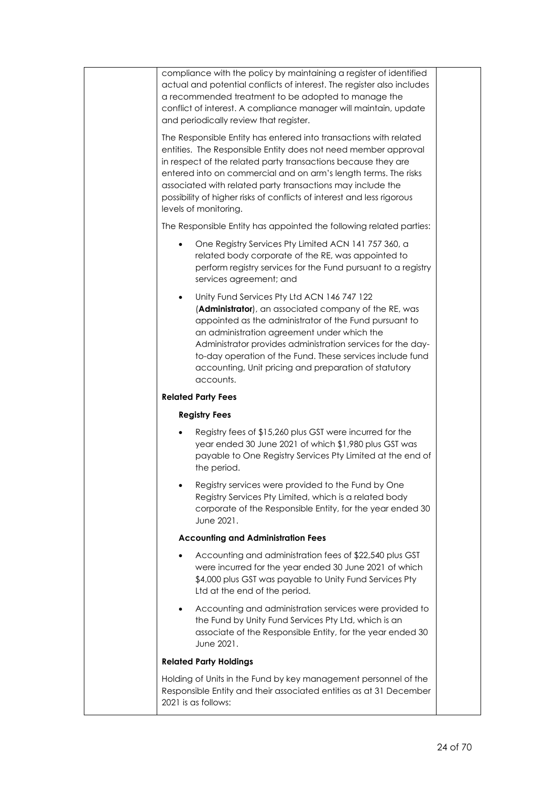| compliance with the policy by maintaining a register of identified<br>actual and potential conflicts of interest. The register also includes<br>a recommended treatment to be adopted to manage the<br>conflict of interest. A compliance manager will maintain, update<br>and periodically review that register.                                                                                                                        |  |
|------------------------------------------------------------------------------------------------------------------------------------------------------------------------------------------------------------------------------------------------------------------------------------------------------------------------------------------------------------------------------------------------------------------------------------------|--|
| The Responsible Entity has entered into transactions with related<br>entities. The Responsible Entity does not need member approval<br>in respect of the related party transactions because they are<br>entered into on commercial and on arm's length terms. The risks<br>associated with related party transactions may include the<br>possibility of higher risks of conflicts of interest and less rigorous<br>levels of monitoring. |  |
| The Responsible Entity has appointed the following related parties:                                                                                                                                                                                                                                                                                                                                                                      |  |
| One Registry Services Pty Limited ACN 141 757 360, a<br>related body corporate of the RE, was appointed to<br>perform registry services for the Fund pursuant to a registry<br>services agreement; and                                                                                                                                                                                                                                   |  |
| Unity Fund Services Pty Ltd ACN 146 747 122<br>$\bullet$<br>(Administrator), an associated company of the RE, was<br>appointed as the administrator of the Fund pursuant to<br>an administration agreement under which the<br>Administrator provides administration services for the day-<br>to-day operation of the Fund. These services include fund<br>accounting, Unit pricing and preparation of statutory<br>accounts.             |  |
| <b>Related Party Fees</b>                                                                                                                                                                                                                                                                                                                                                                                                                |  |
| <b>Registry Fees</b>                                                                                                                                                                                                                                                                                                                                                                                                                     |  |
| Registry fees of \$15,260 plus GST were incurred for the<br>year ended 30 June 2021 of which \$1,980 plus GST was<br>payable to One Registry Services Pty Limited at the end of<br>the period.                                                                                                                                                                                                                                           |  |
| Registry services were provided to the Fund by One<br>Registry Services Pty Limited, which is a related body<br>corporate of the Responsible Entity, for the year ended 30<br>June 2021.                                                                                                                                                                                                                                                 |  |
| <b>Accounting and Administration Fees</b>                                                                                                                                                                                                                                                                                                                                                                                                |  |
| Accounting and administration fees of \$22,540 plus GST<br>were incurred for the year ended 30 June 2021 of which<br>\$4,000 plus GST was payable to Unity Fund Services Pty<br>Ltd at the end of the period.                                                                                                                                                                                                                            |  |
| Accounting and administration services were provided to<br>the Fund by Unity Fund Services Pty Ltd, which is an<br>associate of the Responsible Entity, for the year ended 30<br>June 2021.                                                                                                                                                                                                                                              |  |
| <b>Related Party Holdings</b>                                                                                                                                                                                                                                                                                                                                                                                                            |  |
| Holding of Units in the Fund by key management personnel of the<br>Responsible Entity and their associated entities as at 31 December<br>2021 is as follows:                                                                                                                                                                                                                                                                             |  |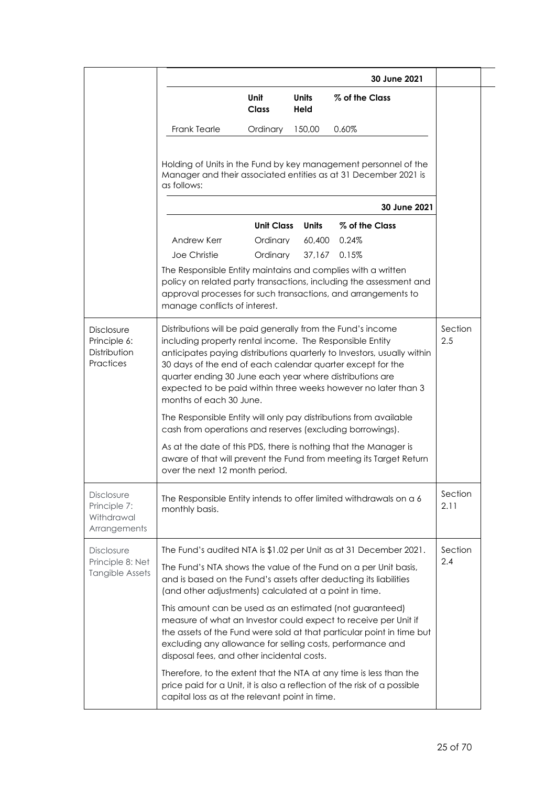|                                                                 |                                                                                                                                                                                                                                                                              |                                           |                             | 30 June 2021                                                                                                                                                            |                 |  |
|-----------------------------------------------------------------|------------------------------------------------------------------------------------------------------------------------------------------------------------------------------------------------------------------------------------------------------------------------------|-------------------------------------------|-----------------------------|-------------------------------------------------------------------------------------------------------------------------------------------------------------------------|-----------------|--|
|                                                                 |                                                                                                                                                                                                                                                                              | Unit<br><b>Class</b>                      | <b>Units</b><br><b>Held</b> | % of the Class                                                                                                                                                          |                 |  |
|                                                                 | <b>Frank Tearle</b>                                                                                                                                                                                                                                                          | Ordinary                                  | 150,00                      | 0.60%                                                                                                                                                                   |                 |  |
|                                                                 | as follows:                                                                                                                                                                                                                                                                  |                                           |                             | Holding of Units in the Fund by key management personnel of the<br>Manager and their associated entities as at 31 December 2021 is                                      |                 |  |
|                                                                 |                                                                                                                                                                                                                                                                              |                                           |                             | 30 June 2021                                                                                                                                                            |                 |  |
|                                                                 | Andrew Kerr<br>Joe Christie<br>The Responsible Entity maintains and complies with a written<br>manage conflicts of interest.                                                                                                                                                 | <b>Unit Class</b><br>Ordinary<br>Ordinary | Units<br>60,400<br>37,167   | % of the Class<br>0.24%<br>0.15%<br>policy on related party transactions, including the assessment and<br>approval processes for such transactions, and arrangements to |                 |  |
| <b>Disclosure</b><br>Principle 6:<br>Distribution<br>Practices  | Distributions will be paid generally from the Fund's income<br>including property rental income. The Responsible Entity<br>30 days of the end of each calendar quarter except for the<br>quarter ending 30 June each year where distributions are<br>months of each 30 June. |                                           |                             | anticipates paying distributions quarterly to Investors, usually within<br>expected to be paid within three weeks however no later than 3                               | Section<br>2.5  |  |
|                                                                 | cash from operations and reserves (excluding borrowings).                                                                                                                                                                                                                    |                                           |                             | The Responsible Entity will only pay distributions from available                                                                                                       |                 |  |
|                                                                 | over the next 12 month period.                                                                                                                                                                                                                                               |                                           |                             | As at the date of this PDS, there is nothing that the Manager is<br>aware of that will prevent the Fund from meeting its Target Return                                  |                 |  |
| <b>Disclosure</b><br>Principle 7:<br>Withdrawal<br>Arrangements | monthly basis.                                                                                                                                                                                                                                                               |                                           |                             | The Responsible Entity intends to offer limited withdrawals on a 6                                                                                                      | Section<br>2.11 |  |
| Disclosure                                                      |                                                                                                                                                                                                                                                                              |                                           |                             | The Fund's audited NTA is \$1.02 per Unit as at 31 December 2021.                                                                                                       | Section         |  |
| Principle 8: Net<br>Tangible Assets                             | and is based on the Fund's assets after deducting its liabilities<br>(and other adjustments) calculated at a point in time.                                                                                                                                                  |                                           |                             | The Fund's NTA shows the value of the Fund on a per Unit basis,                                                                                                         | 2.4             |  |
|                                                                 | This amount can be used as an estimated (not guaranteed)<br>excluding any allowance for selling costs, performance and<br>disposal fees, and other incidental costs.                                                                                                         |                                           |                             | measure of what an Investor could expect to receive per Unit if<br>the assets of the Fund were sold at that particular point in time but                                |                 |  |
|                                                                 | capital loss as at the relevant point in time.                                                                                                                                                                                                                               |                                           |                             | Therefore, to the extent that the NTA at any time is less than the<br>price paid for a Unit, it is also a reflection of the risk of a possible                          |                 |  |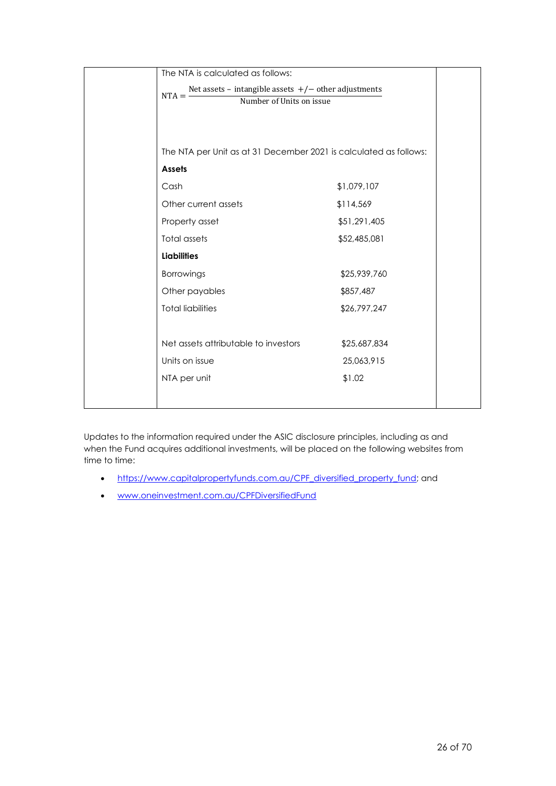| The NTA is calculated as follows:                                   |              |  |
|---------------------------------------------------------------------|--------------|--|
| Net assets - intangible assets $+/-$ other adjustments<br>$NTA = -$ |              |  |
| Number of Units on issue                                            |              |  |
|                                                                     |              |  |
|                                                                     |              |  |
| The NTA per Unit as at 31 December 2021 is calculated as follows:   |              |  |
| <b>Assets</b>                                                       |              |  |
| Cash                                                                | \$1,079,107  |  |
| Other current assets                                                | \$114,569    |  |
| Property asset                                                      | \$51,291,405 |  |
| <b>Total assets</b>                                                 | \$52,485,081 |  |
| <b>Liabilities</b>                                                  |              |  |
| Borrowings                                                          | \$25,939,760 |  |
| Other payables                                                      | \$857,487    |  |
| <b>Total liabilities</b>                                            | \$26,797,247 |  |
|                                                                     |              |  |
| Net assets attributable to investors                                | \$25,687,834 |  |
| Units on issue                                                      | 25,063,915   |  |
| NTA per unit                                                        | \$1.02       |  |
|                                                                     |              |  |
|                                                                     |              |  |

Updates to the information required under the ASIC disclosure principles, including as and when the Fund acquires additional investments, will be placed on the following websites from time to time:

- https://www.capitalpropertyfunds.com.au/CPF diversified property fund; and
- [www.oneinvestment.com.au/CPFDiversifiedFund](http://www.oneinvestment.com.au/CPFDiversifiedFund)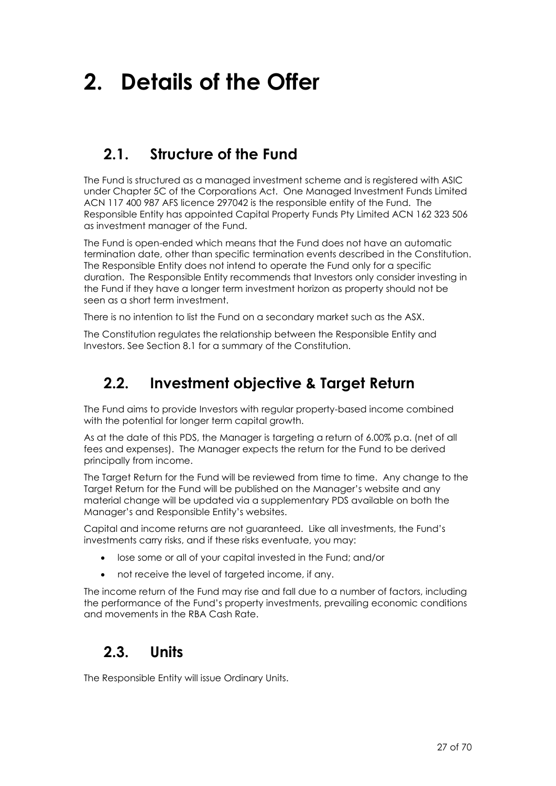## **2. Details of the Offer**

## <span id="page-26-0"></span>**2.1. Structure of the Fund**

The Fund is structured as a managed investment scheme and is registered with ASIC under Chapter 5C of the Corporations Act. One Managed Investment Funds Limited ACN 117 400 987 AFS licence 297042 is the responsible entity of the Fund. The Responsible Entity has appointed Capital Property Funds Pty Limited ACN 162 323 506 as investment manager of the Fund.

The Fund is open-ended which means that the Fund does not have an automatic termination date, other than specific termination events described in the Constitution. The Responsible Entity does not intend to operate the Fund only for a specific duration. The Responsible Entity recommends that Investors only consider investing in the Fund if they have a longer term investment horizon as property should not be seen as a short term investment.

There is no intention to list the Fund on a secondary market such as the ASX.

The Constitution regulates the relationship between the Responsible Entity and Investors. See Section [8.1](#page-61-0) for a summary of the Constitution.

## <span id="page-26-1"></span>**2.2. Investment objective & Target Return**

The Fund aims to provide Investors with regular property-based income combined with the potential for longer term capital growth.

As at the date of this PDS, the Manager is targeting a return of 6.00% p.a. (net of all fees and expenses). The Manager expects the return for the Fund to be derived principally from income.

The Target Return for the Fund will be reviewed from time to time. Any change to the Target Return for the Fund will be published on the Manager's website and any material change will be updated via a supplementary PDS available on both the Manager's and Responsible Entity's websites.

Capital and income returns are not guaranteed. Like all investments, the Fund's investments carry risks, and if these risks eventuate, you may:

- lose some or all of your capital invested in the Fund; and/or
- not receive the level of targeted income, if any.

The income return of the Fund may rise and fall due to a number of factors, including the performance of the Fund's property investments, prevailing economic conditions and movements in the RBA Cash Rate.

## **2.3. Units**

The Responsible Entity will issue Ordinary Units.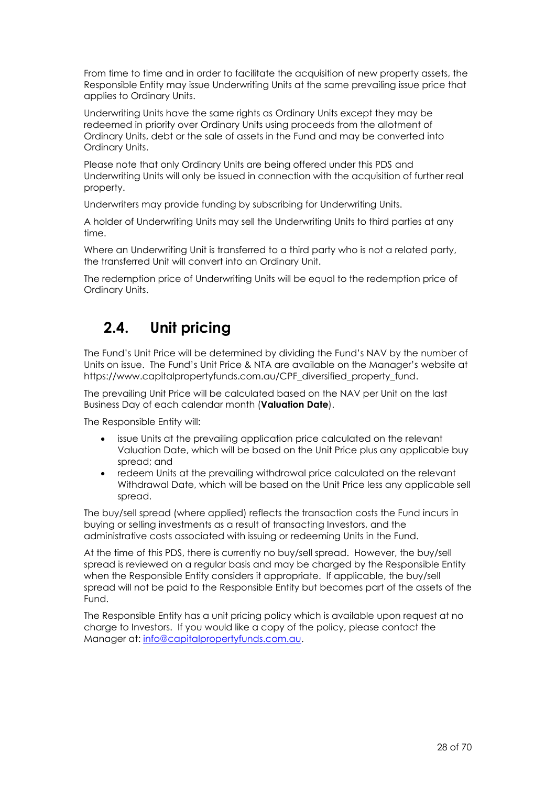From time to time and in order to facilitate the acquisition of new property assets, the Responsible Entity may issue Underwriting Units at the same prevailing issue price that applies to Ordinary Units.

Underwriting Units have the same rights as Ordinary Units except they may be redeemed in priority over Ordinary Units using proceeds from the allotment of Ordinary Units, debt or the sale of assets in the Fund and may be converted into Ordinary Units.

Please note that only Ordinary Units are being offered under this PDS and Underwriting Units will only be issued in connection with the acquisition of further real property.

Underwriters may provide funding by subscribing for Underwriting Units.

A holder of Underwriting Units may sell the Underwriting Units to third parties at any time.

Where an Underwriting Unit is transferred to a third party who is not a related party, the transferred Unit will convert into an Ordinary Unit.

The redemption price of Underwriting Units will be equal to the redemption price of Ordinary Units.

## <span id="page-27-0"></span>**2.4. Unit pricing**

The Fund's Unit Price will be determined by dividing the Fund's NAV by the number of Units on issue. The Fund's Unit Price & NTA are available on the Manager's website at https://www.capitalpropertyfunds.com.au/CPF\_diversified\_property\_fund.

The prevailing Unit Price will be calculated based on the NAV per Unit on the last Business Day of each calendar month (**Valuation Date**).

The Responsible Entity will:

- issue Units at the prevailing application price calculated on the relevant Valuation Date, which will be based on the Unit Price plus any applicable buy spread; and
- redeem Units at the prevailing withdrawal price calculated on the relevant Withdrawal Date, which will be based on the Unit Price less any applicable sell spread.

The buy/sell spread (where applied) reflects the transaction costs the Fund incurs in buying or selling investments as a result of transacting Investors, and the administrative costs associated with issuing or redeeming Units in the Fund.

At the time of this PDS, there is currently no buy/sell spread. However, the buy/sell spread is reviewed on a regular basis and may be charged by the Responsible Entity when the Responsible Entity considers it appropriate. If applicable, the buy/sell spread will not be paid to the Responsible Entity but becomes part of the assets of the Fund.

The Responsible Entity has a unit pricing policy which is available upon request at no charge to Investors. If you would like a copy of the policy, please contact the Manager at: [info@capitalpropertyfunds.com.au.](mailto:info@capitalpropertyfunds.com.au)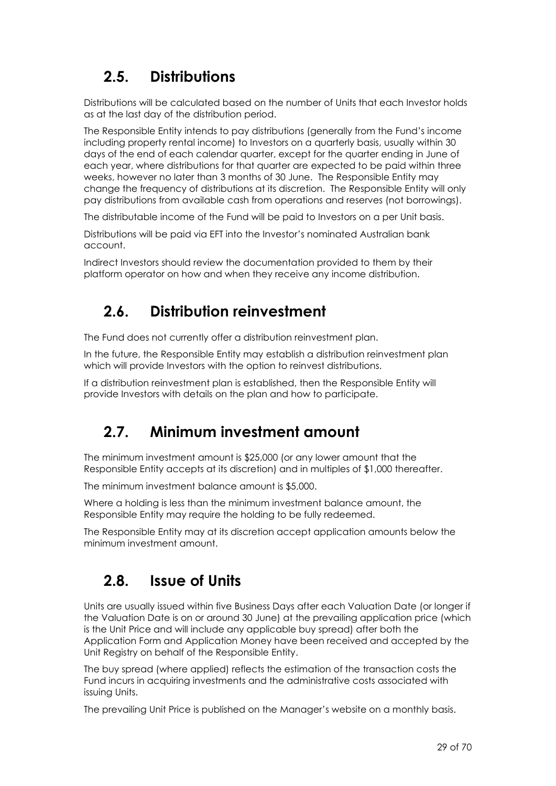## <span id="page-28-1"></span>**2.5. Distributions**

Distributions will be calculated based on the number of Units that each Investor holds as at the last day of the distribution period.

The Responsible Entity intends to pay distributions (generally from the Fund's income including property rental income) to Investors on a quarterly basis, usually within 30 days of the end of each calendar quarter, except for the quarter ending in June of each year, where distributions for that quarter are expected to be paid within three weeks, however no later than 3 months of 30 June. The Responsible Entity may change the frequency of distributions at its discretion. The Responsible Entity will only pay distributions from available cash from operations and reserves (not borrowings).

The distributable income of the Fund will be paid to Investors on a per Unit basis.

Distributions will be paid via EFT into the Investor's nominated Australian bank account.

Indirect Investors should review the documentation provided to them by their platform operator on how and when they receive any income distribution.

## <span id="page-28-2"></span>**2.6. Distribution reinvestment**

The Fund does not currently offer a distribution reinvestment plan.

In the future, the Responsible Entity may establish a distribution reinvestment plan which will provide Investors with the option to reinvest distributions.

If a distribution reinvestment plan is established, then the Responsible Entity will provide Investors with details on the plan and how to participate.

## <span id="page-28-3"></span>**2.7. Minimum investment amount**

The minimum investment amount is \$25,000 (or any lower amount that the Responsible Entity accepts at its discretion) and in multiples of \$1,000 thereafter.

The minimum investment balance amount is \$5,000.

Where a holding is less than the minimum investment balance amount, the Responsible Entity may require the holding to be fully redeemed.

The Responsible Entity may at its discretion accept application amounts below the minimum investment amount.

## <span id="page-28-0"></span>**2.8. Issue of Units**

Units are usually issued within five Business Days after each Valuation Date (or longer if the Valuation Date is on or around 30 June) at the prevailing application price (which is the Unit Price and will include any applicable buy spread) after both the Application Form and Application Money have been received and accepted by the Unit Registry on behalf of the Responsible Entity.

The buy spread (where applied) reflects the estimation of the transaction costs the Fund incurs in acquiring investments and the administrative costs associated with issuing Units.

The prevailing Unit Price is published on the Manager's website on a monthly basis.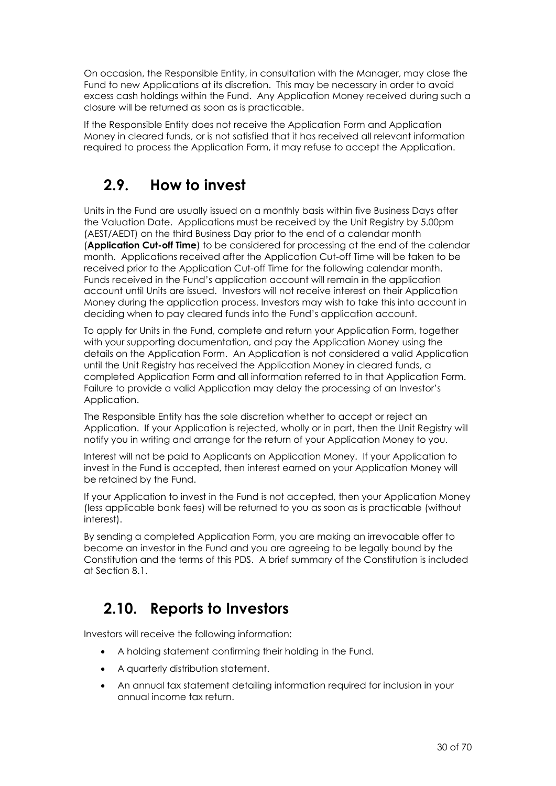On occasion, the Responsible Entity, in consultation with the Manager, may close the Fund to new Applications at its discretion. This may be necessary in order to avoid excess cash holdings within the Fund. Any Application Money received during such a closure will be returned as soon as is practicable.

If the Responsible Entity does not receive the Application Form and Application Money in cleared funds, or is not satisfied that it has received all relevant information required to process the Application Form, it may refuse to accept the Application.

## **2.9. How to invest**

Units in the Fund are usually issued on a monthly basis within five Business Days after the Valuation Date. Applications must be received by the Unit Registry by 5.00pm (AEST/AEDT) on the third Business Day prior to the end of a calendar month (**Application Cut-off Time**) to be considered for processing at the end of the calendar month. Applications received after the Application Cut-off Time will be taken to be received prior to the Application Cut-off Time for the following calendar month. Funds received in the Fund's application account will remain in the application account until Units are issued. Investors will not receive interest on their Application Money during the application process. Investors may wish to take this into account in deciding when to pay cleared funds into the Fund's application account.

To apply for Units in the Fund, complete and return your Application Form, together with your supporting documentation, and pay the Application Money using the details on the Application Form. An Application is not considered a valid Application until the Unit Registry has received the Application Money in cleared funds, a completed Application Form and all information referred to in that Application Form. Failure to provide a valid Application may delay the processing of an Investor's Application.

The Responsible Entity has the sole discretion whether to accept or reject an Application. If your Application is rejected, wholly or in part, then the Unit Registry will notify you in writing and arrange for the return of your Application Money to you.

Interest will not be paid to Applicants on Application Money. If your Application to invest in the Fund is accepted, then interest earned on your Application Money will be retained by the Fund.

If your Application to invest in the Fund is not accepted, then your Application Money (less applicable bank fees) will be returned to you as soon as is practicable (without interest).

By sending a completed Application Form, you are making an irrevocable offer to become an investor in the Fund and you are agreeing to be legally bound by the Constitution and the terms of this PDS. A brief summary of the Constitution is included at Section [8.1.](#page-61-0)

## **2.10. Reports to Investors**

Investors will receive the following information:

- A holding statement confirming their holding in the Fund.
- A quarterly distribution statement.
- An annual tax statement detailing information required for inclusion in your annual income tax return.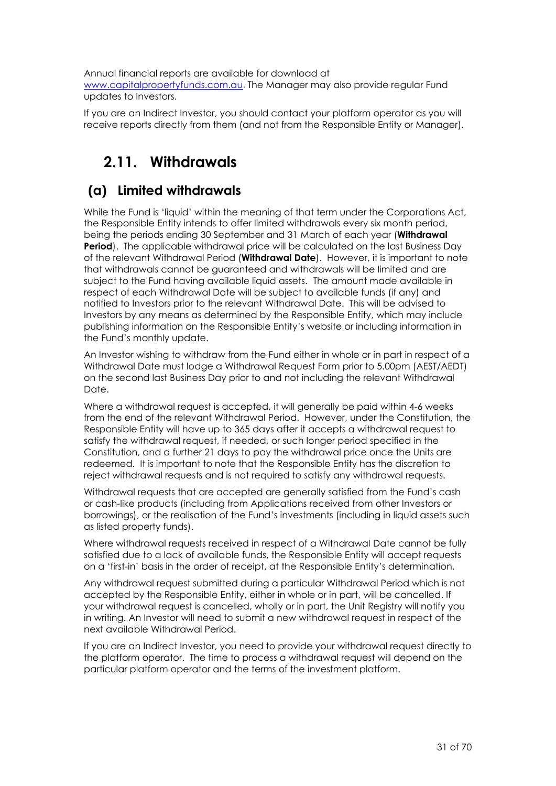Annual financial reports are available for download at [www.capitalpropertyfunds.com.au](http://www.capitalpropertyfunds.com.au/). The Manager may also provide regular Fund updates to Investors.

If you are an Indirect Investor, you should contact your platform operator as you will receive reports directly from them (and not from the Responsible Entity or Manager).

## <span id="page-30-0"></span>**2.11. Withdrawals**

### **(a) Limited withdrawals**

While the Fund is 'liquid' within the meaning of that term under the Corporations Act, the Responsible Entity intends to offer limited withdrawals every six month period, being the periods ending 30 September and 31 March of each year (**Withdrawal Period**). The applicable withdrawal price will be calculated on the last Business Day of the relevant Withdrawal Period (**Withdrawal Date**). However, it is important to note that withdrawals cannot be guaranteed and withdrawals will be limited and are subject to the Fund having available liquid assets. The amount made available in respect of each Withdrawal Date will be subject to available funds (if any) and notified to Investors prior to the relevant Withdrawal Date. This will be advised to Investors by any means as determined by the Responsible Entity, which may include publishing information on the Responsible Entity's website or including information in the Fund's monthly update.

An Investor wishing to withdraw from the Fund either in whole or in part in respect of a Withdrawal Date must lodge a Withdrawal Request Form prior to 5.00pm (AEST/AEDT) on the second last Business Day prior to and not including the relevant Withdrawal Date.

Where a withdrawal request is accepted, it will generally be paid within 4-6 weeks from the end of the relevant Withdrawal Period. However, under the Constitution, the Responsible Entity will have up to 365 days after it accepts a withdrawal request to satisfy the withdrawal request, if needed, or such longer period specified in the Constitution, and a further 21 days to pay the withdrawal price once the Units are redeemed. It is important to note that the Responsible Entity has the discretion to reject withdrawal requests and is not required to satisfy any withdrawal requests.

Withdrawal requests that are accepted are generally satisfied from the Fund's cash or cash-like products (including from Applications received from other Investors or borrowings), or the realisation of the Fund's investments (including in liquid assets such as listed property funds).

Where withdrawal requests received in respect of a Withdrawal Date cannot be fully satisfied due to a lack of available funds, the Responsible Entity will accept requests on a 'first-in' basis in the order of receipt, at the Responsible Entity's determination.

Any withdrawal request submitted during a particular Withdrawal Period which is not accepted by the Responsible Entity, either in whole or in part, will be cancelled. If your withdrawal request is cancelled, wholly or in part, the Unit Registry will notify you in writing. An Investor will need to submit a new withdrawal request in respect of the next available Withdrawal Period.

If you are an Indirect Investor, you need to provide your withdrawal request directly to the platform operator. The time to process a withdrawal request will depend on the particular platform operator and the terms of the investment platform.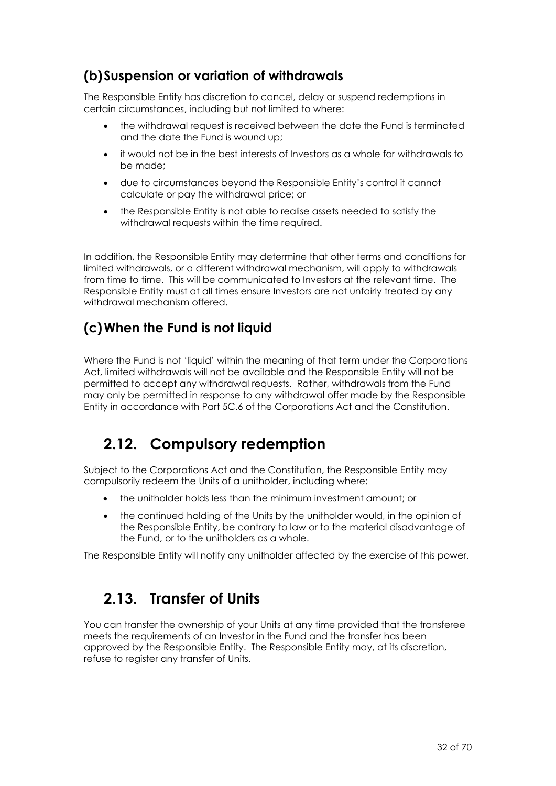### **(b)Suspension or variation of withdrawals**

The Responsible Entity has discretion to cancel, delay or suspend redemptions in certain circumstances, including but not limited to where:

- the withdrawal request is received between the date the Fund is terminated and the date the Fund is wound up;
- it would not be in the best interests of Investors as a whole for withdrawals to be made;
- due to circumstances beyond the Responsible Entity's control it cannot calculate or pay the withdrawal price; or
- the Responsible Entity is not able to realise assets needed to satisfy the withdrawal requests within the time required.

In addition, the Responsible Entity may determine that other terms and conditions for limited withdrawals, or a different withdrawal mechanism, will apply to withdrawals from time to time. This will be communicated to Investors at the relevant time. The Responsible Entity must at all times ensure Investors are not unfairly treated by any withdrawal mechanism offered.

### **(c)When the Fund is not liquid**

Where the Fund is not 'liquid' within the meaning of that term under the Corporations Act, limited withdrawals will not be available and the Responsible Entity will not be permitted to accept any withdrawal requests. Rather, withdrawals from the Fund may only be permitted in response to any withdrawal offer made by the Responsible Entity in accordance with Part 5C.6 of the Corporations Act and the Constitution.

## **2.12. Compulsory redemption**

Subject to the Corporations Act and the Constitution, the Responsible Entity may compulsorily redeem the Units of a unitholder, including where:

- the unitholder holds less than the minimum investment amount; or
- the continued holding of the Units by the unitholder would, in the opinion of the Responsible Entity, be contrary to law or to the material disadvantage of the Fund, or to the unitholders as a whole.

The Responsible Entity will notify any unitholder affected by the exercise of this power.

## **2.13. Transfer of Units**

You can transfer the ownership of your Units at any time provided that the transferee meets the requirements of an Investor in the Fund and the transfer has been approved by the Responsible Entity. The Responsible Entity may, at its discretion, refuse to register any transfer of Units.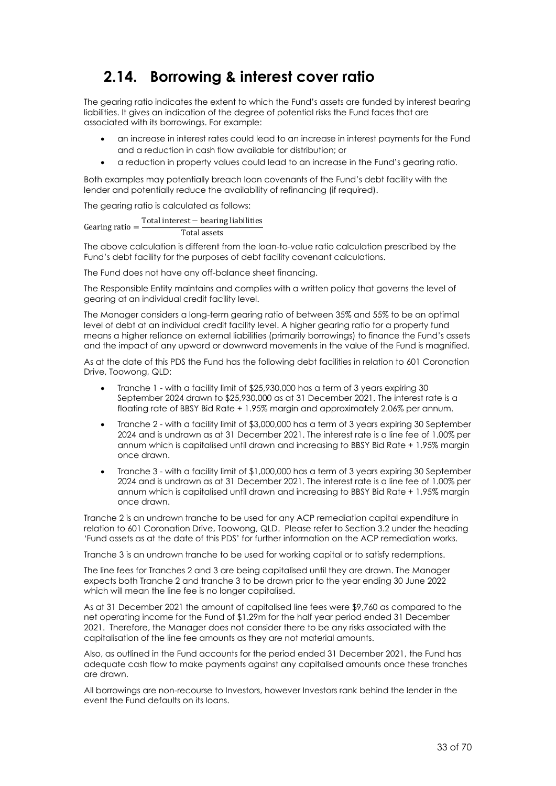## <span id="page-32-0"></span>**2.14. Borrowing & interest cover ratio**

The gearing ratio indicates the extent to which the Fund's assets are funded by interest bearing liabilities. It gives an indication of the degree of potential risks the Fund faces that are associated with its borrowings. For example:

- an increase in interest rates could lead to an increase in interest payments for the Fund and a reduction in cash flow available for distribution; or
- a reduction in property values could lead to an increase in the Fund's gearing ratio.

Both examples may potentially breach loan covenants of the Fund's debt facility with the lender and potentially reduce the availability of refinancing (if required).

The gearing ratio is calculated as follows:

Gearing ratio  $=$ Total interest − bearing liabilities

Total assets

The above calculation is different from the loan-to-value ratio calculation prescribed by the Fund's debt facility for the purposes of debt facility covenant calculations.

The Fund does not have any off-balance sheet financing.

The Responsible Entity maintains and complies with a written policy that governs the level of gearing at an individual credit facility level.

The Manager considers a long-term gearing ratio of between 35% and 55% to be an optimal level of debt at an individual credit facility level. A higher gearing ratio for a property fund means a higher reliance on external liabilities (primarily borrowings) to finance the Fund's assets and the impact of any upward or downward movements in the value of the Fund is magnified.

As at the date of this PDS the Fund has the following debt facilities in relation to 601 Coronation Drive, Toowong, QLD:

- Tranche 1 with a facility limit of \$25,930,000 has a term of 3 years expiring 30 September 2024 drawn to \$25,930,000 as at 31 December 2021. The interest rate is a floating rate of BBSY Bid Rate + 1.95% margin and approximately 2.06% per annum.
- Tranche 2 with a facility limit of \$3,000,000 has a term of 3 years expiring 30 September 2024 and is undrawn as at 31 December 2021. The interest rate is a line fee of 1.00% per annum which is capitalised until drawn and increasing to BBSY Bid Rate + 1.95% margin once drawn.
- Tranche 3 with a facility limit of \$1,000,000 has a term of 3 years expiring 30 September 2024 and is undrawn as at 31 December 2021. The interest rate is a line fee of 1.00% per annum which is capitalised until drawn and increasing to BBSY Bid Rate + 1.95% margin once drawn.

Tranche 2 is an undrawn tranche to be used for any ACP remediation capital expenditure in relation to 601 Coronation Drive, Toowong, QLD. Please refer to Sectio[n 3.2](#page-35-0) under the heading 'Fund assets as at the date of this PDS' for further information on the ACP remediation works.

Tranche 3 is an undrawn tranche to be used for working capital or to satisfy redemptions.

The line fees for Tranches 2 and 3 are being capitalised until they are drawn. The Manager expects both Tranche 2 and tranche 3 to be drawn prior to the year ending 30 June 2022 which will mean the line fee is no longer capitalised.

As at 31 December 2021 the amount of capitalised line fees were \$9,760 as compared to the net operating income for the Fund of \$1.29m for the half year period ended 31 December 2021. Therefore, the Manager does not consider there to be any risks associated with the capitalisation of the line fee amounts as they are not material amounts.

Also, as outlined in the Fund accounts for the period ended 31 December 2021, the Fund has adequate cash flow to make payments against any capitalised amounts once these tranches are drawn.

All borrowings are non-recourse to Investors, however Investors rank behind the lender in the event the Fund defaults on its loans.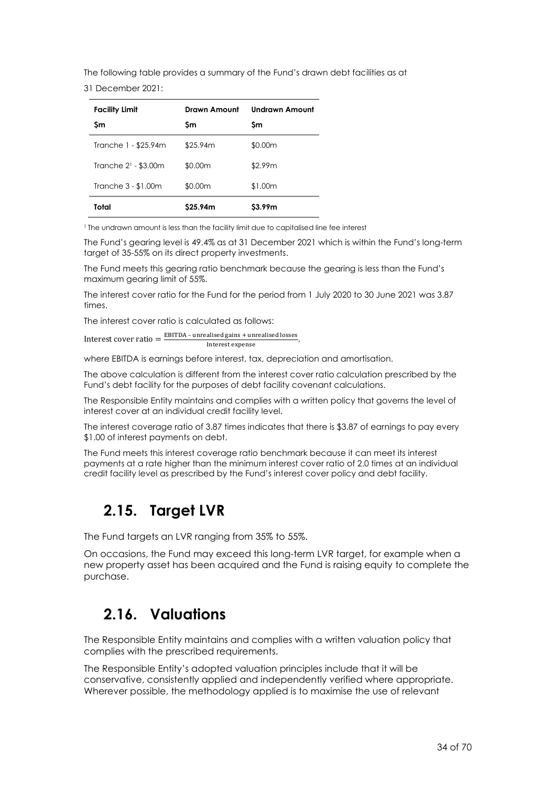The following table provides a summary of the Fund's drawn debt facilities as at

31 December 2021:

| <b>Facility Limit</b>            | Drawn Amount | <b>Undrawn Amount</b> |
|----------------------------------|--------------|-----------------------|
| Sm                               | Sm           | Sm                    |
| Tranche 1 - \$25.94m             | \$25.94m     | \$0.00m               |
| Tranche 2 <sup>1</sup> - \$3.00m | \$0.00m      | \$2.99m               |
| Tranche 3 - \$1.00m              | \$0.00m      | \$1.00m               |
| Total                            | S25.94m      | \$3.99m               |

<sup>1</sup> The undrawn amount is less than the facility limit due to capitalised line fee interest

The Fund's gearing level is 49.4% as at 31 December 2021 which is within the Fund's long-term target of 35-55% on its direct property investments.

The Fund meets this gearing ratio benchmark because the gearing is less than the Fund's maximum gearing limit of 55%.

The interest cover ratio for the Fund for the period from 1 July 2020 to 30 June 2021 was 3.87 times.

The interest cover ratio is calculated as follows:

Interest cover ratio  $=$   $\frac{\text{EBITDA} - \text{unrealised gains} + \text{unrealised losses}}{\text{Interact expense}}$ Interest expense

where EBITDA is earnings before interest, tax, depreciation and amortisation.

The above calculation is different from the interest cover ratio calculation prescribed by the Fund's debt facility for the purposes of debt facility covenant calculations.

The Responsible Entity maintains and complies with a written policy that governs the level of interest cover at an individual credit facility level.

The interest coverage ratio of 3.87 times indicates that there is \$3.87 of earnings to pay every \$1.00 of interest payments on debt.

The Fund meets this interest coverage ratio benchmark because it can meet its interest payments at a rate higher than the minimum interest cover ratio of 2.0 times at an individual credit facility level as prescribed by the Fund's interest cover policy and debt facility.

## <span id="page-33-0"></span>**2.15. Target LVR**

The Fund targets an LVR ranging from 35% to 55%.

On occasions, the Fund may exceed this long-term LVR target, for example when a new property asset has been acquired and the Fund is raising equity to complete the purchase.

### <span id="page-33-1"></span>**2.16. Valuations**

The Responsible Entity maintains and complies with a written valuation policy that complies with the prescribed requirements.

The Responsible Entity's adopted valuation principles include that it will be conservative, consistently applied and independently verified where appropriate. Wherever possible, the methodology applied is to maximise the use of relevant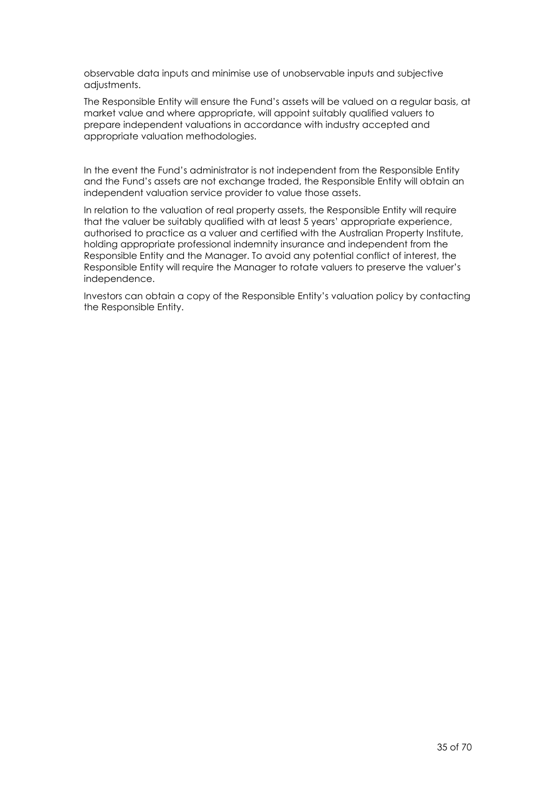observable data inputs and minimise use of unobservable inputs and subjective adjustments.

The Responsible Entity will ensure the Fund's assets will be valued on a regular basis, at market value and where appropriate, will appoint suitably qualified valuers to prepare independent valuations in accordance with industry accepted and appropriate valuation methodologies.

In the event the Fund's administrator is not independent from the Responsible Entity and the Fund's assets are not exchange traded, the Responsible Entity will obtain an independent valuation service provider to value those assets.

In relation to the valuation of real property assets, the Responsible Entity will require that the valuer be suitably qualified with at least 5 years' appropriate experience, authorised to practice as a valuer and certified with the Australian Property Institute, holding appropriate professional indemnity insurance and independent from the Responsible Entity and the Manager. To avoid any potential conflict of interest, the Responsible Entity will require the Manager to rotate valuers to preserve the valuer's independence.

Investors can obtain a copy of the Responsible Entity's valuation policy by contacting the Responsible Entity.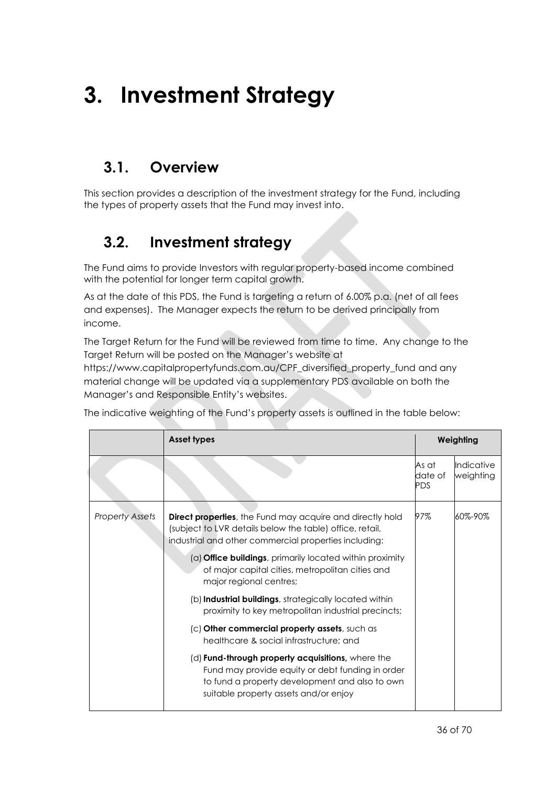## **3. Investment Strategy**

## **3.1. Overview**

<span id="page-35-0"></span>This section provides a description of the investment strategy for the Fund, including the types of property assets that the Fund may invest into.

## **3.2. Investment strategy**

The Fund aims to provide Investors with regular property-based income combined with the potential for longer term capital growth.

As at the date of this PDS, the Fund is targeting a return of 6.00% p.a. (net of all fees and expenses). The Manager expects the return to be derived principally from income.

The Target Return for the Fund will be reviewed from time to time. Any change to the Target Return will be posted on the Manager's website at

https://www.capitalpropertyfunds.com.au/CPF\_diversified\_property\_fund and any material change will be updated via a supplementary PDS available on both the Manager's and Responsible Entity's websites.

The indicative weighting of the Fund's property assets is outlined in the table below:

|                 | <b>Asset types</b>                                                                                                                                                                               |                                | Weighting               |
|-----------------|--------------------------------------------------------------------------------------------------------------------------------------------------------------------------------------------------|--------------------------------|-------------------------|
|                 |                                                                                                                                                                                                  | As at<br>date of<br><b>PDS</b> | Indicative<br>weighting |
| Property Assets | <b>Direct properties</b> , the Fund may acquire and directly hold<br>(subject to LVR details below the table) office, retail,<br>industrial and other commercial properties including:           | 97%                            | 60%-90%                 |
|                 | (a) <b>Office buildings</b> , primarily located within proximity<br>of major capital cities, metropolitan cities and<br>major regional centres;                                                  |                                |                         |
|                 | (b) Industrial buildings, strategically located within<br>proximity to key metropolitan industrial precincts;                                                                                    |                                |                         |
|                 | (c) Other commercial property assets, such as<br>healthcare & social infrastructure: and                                                                                                         |                                |                         |
|                 | (d) Fund-through property acquisitions, where the<br>Fund may provide equity or debt funding in order<br>to fund a property development and also to own<br>suitable property assets and/or enjoy |                                |                         |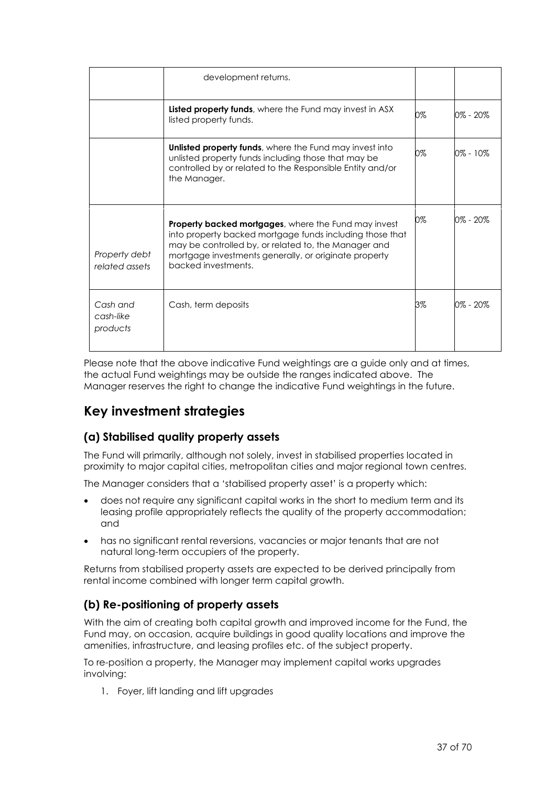|                                   | development returns.                                                                                                                                                                                                                                     |    |          |
|-----------------------------------|----------------------------------------------------------------------------------------------------------------------------------------------------------------------------------------------------------------------------------------------------------|----|----------|
|                                   | Listed property funds, where the Fund may invest in ASX<br>listed property funds.                                                                                                                                                                        | 0% | 0% - 20% |
|                                   | <b>Unlisted property funds</b> , where the Fund may invest into<br>unlisted property funds including those that may be<br>controlled by or related to the Responsible Entity and/or<br>the Manager.                                                      | 0% | 0% - 10% |
| Property debt<br>related assets   | Property backed mortgages, where the Fund may invest<br>into property backed mortgage funds including those that<br>may be controlled by, or related to, the Manager and<br>mortgage investments generally, or originate property<br>backed investments. | 0% | 0% - 20% |
| Cash and<br>cash-like<br>products | Cash, term deposits                                                                                                                                                                                                                                      | 3% | 0% - 20% |

Please note that the above indicative Fund weightings are a guide only and at times, the actual Fund weightings may be outside the ranges indicated above. The Manager reserves the right to change the indicative Fund weightings in the future.

### **Key investment strategies**

#### **(a) Stabilised quality property assets**

The Fund will primarily, although not solely, invest in stabilised properties located in proximity to major capital cities, metropolitan cities and major regional town centres.

The Manager considers that a 'stabilised property asset' is a property which:

- does not require any significant capital works in the short to medium term and its leasing profile appropriately reflects the quality of the property accommodation; and
- has no significant rental reversions, vacancies or major tenants that are not natural long-term occupiers of the property.

Returns from stabilised property assets are expected to be derived principally from rental income combined with longer term capital growth.

#### **(b) Re-positioning of property assets**

With the aim of creating both capital growth and improved income for the Fund, the Fund may, on occasion, acquire buildings in good quality locations and improve the amenities, infrastructure, and leasing profiles etc. of the subject property.

To re-position a property, the Manager may implement capital works upgrades involving:

1. Foyer, lift landing and lift upgrades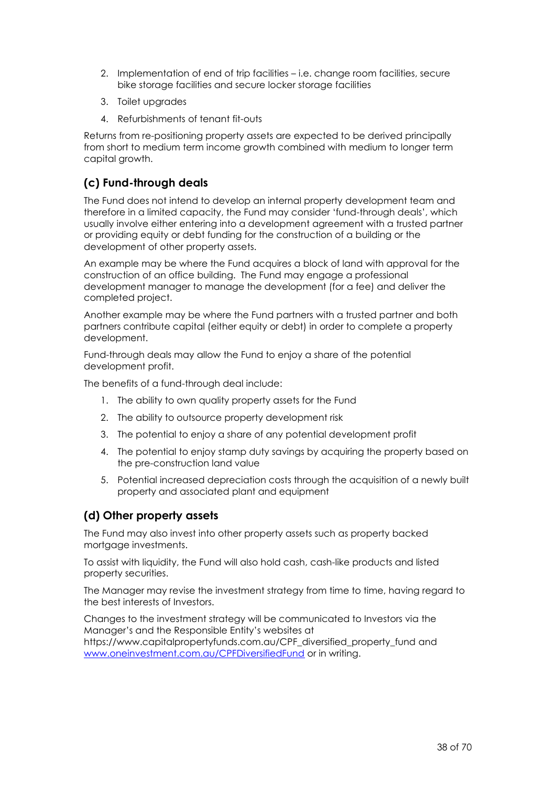- 2. Implementation of end of trip facilities i.e. change room facilities, secure bike storage facilities and secure locker storage facilities
- 3. Toilet upgrades
- 4. Refurbishments of tenant fit-outs

Returns from re-positioning property assets are expected to be derived principally from short to medium term income growth combined with medium to longer term capital growth.

#### **(c) Fund-through deals**

The Fund does not intend to develop an internal property development team and therefore in a limited capacity, the Fund may consider 'fund-through deals', which usually involve either entering into a development agreement with a trusted partner or providing equity or debt funding for the construction of a building or the development of other property assets.

An example may be where the Fund acquires a block of land with approval for the construction of an office building. The Fund may engage a professional development manager to manage the development (for a fee) and deliver the completed project.

Another example may be where the Fund partners with a trusted partner and both partners contribute capital (either equity or debt) in order to complete a property development.

Fund-through deals may allow the Fund to enjoy a share of the potential development profit.

The benefits of a fund-through deal include:

- 1. The ability to own quality property assets for the Fund
- 2. The ability to outsource property development risk
- 3. The potential to enjoy a share of any potential development profit
- 4. The potential to enjoy stamp duty savings by acquiring the property based on the pre-construction land value
- 5. Potential increased depreciation costs through the acquisition of a newly built property and associated plant and equipment

#### **(d) Other property assets**

The Fund may also invest into other property assets such as property backed mortagge investments.

To assist with liquidity, the Fund will also hold cash, cash-like products and listed property securities.

The Manager may revise the investment strategy from time to time, having regard to the best interests of Investors.

Changes to the investment strategy will be communicated to Investors via the Manager's and the Responsible Entity's websites at https://www.capitalpropertyfunds.com.au/CPF\_diversified\_property\_fund and [www.oneinvestment.com.au/CPFDiversifiedFund](http://www.oneinvestment.com.au/CPFDiversifiedFund) or in writing.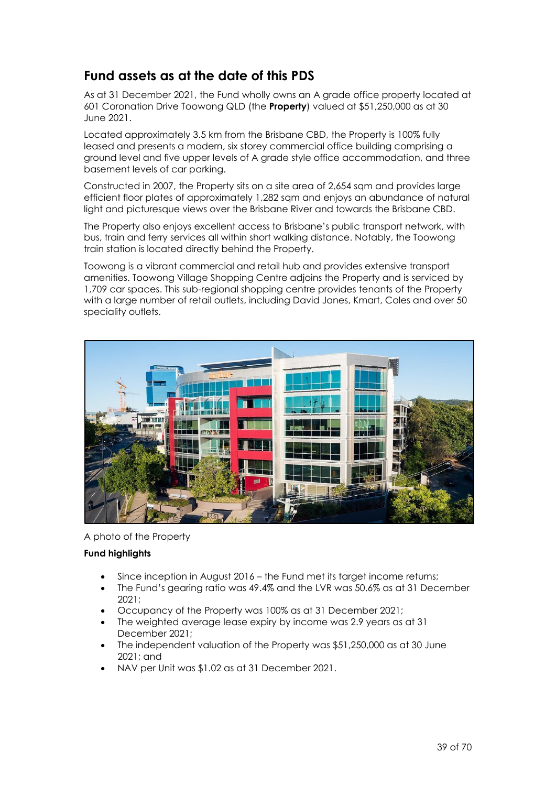### **Fund assets as at the date of this PDS**

As at 31 December 2021, the Fund wholly owns an A grade office property located at 601 Coronation Drive Toowong QLD (the **Property**) valued at \$51,250,000 as at 30 June 2021.

Located approximately 3.5 km from the Brisbane CBD, the Property is 100% fully leased and presents a modern, six storey commercial office building comprising a ground level and five upper levels of A grade style office accommodation, and three basement levels of car parking.

Constructed in 2007, the Property sits on a site area of 2,654 sqm and provides large efficient floor plates of approximately 1,282 sqm and enjoys an abundance of natural light and picturesque views over the Brisbane River and towards the Brisbane CBD.

The Property also enjoys excellent access to Brisbane's public transport network, with bus, train and ferry services all within short walking distance. Notably, the Toowong train station is located directly behind the Property.

Toowong is a vibrant commercial and retail hub and provides extensive transport amenities. Toowong Village Shopping Centre adjoins the Property and is serviced by 1,709 car spaces. This sub-regional shopping centre provides tenants of the Property with a large number of retail outlets, including David Jones, Kmart, Coles and over 50 speciality outlets.



A photo of the Property

#### **Fund highlights**

- Since inception in August 2016 the Fund met its target income returns;
- The Fund's gearing ratio was 49.4% and the LVR was 50.6% as at 31 December 2021;
- Occupancy of the Property was 100% as at 31 December 2021;
- The weighted average lease expiry by income was 2.9 years as at 31 December 2021;
- The independent valuation of the Property was \$51,250,000 as at 30 June 2021; and
- NAV per Unit was \$1.02 as at 31 December 2021.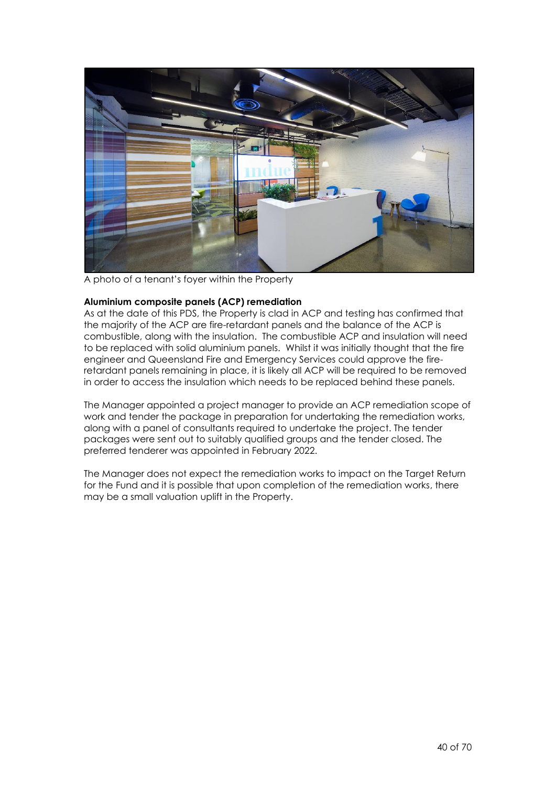

A photo of a tenant's foyer within the Property

#### **Aluminium composite panels (ACP) remediation**

As at the date of this PDS, the Property is clad in ACP and testing has confirmed that the majority of the ACP are fire-retardant panels and the balance of the ACP is combustible, along with the insulation. The combustible ACP and insulation will need to be replaced with solid aluminium panels. Whilst it was initially thought that the fire engineer and Queensland Fire and Emergency Services could approve the fireretardant panels remaining in place, it is likely all ACP will be required to be removed in order to access the insulation which needs to be replaced behind these panels.

The Manager appointed a project manager to provide an ACP remediation scope of work and tender the package in preparation for undertaking the remediation works, along with a panel of consultants required to undertake the project. The tender packages were sent out to suitably qualified groups and the tender closed. The preferred tenderer was appointed in February 2022.

The Manager does not expect the remediation works to impact on the Target Return for the Fund and it is possible that upon completion of the remediation works, there may be a small valuation uplift in the Property.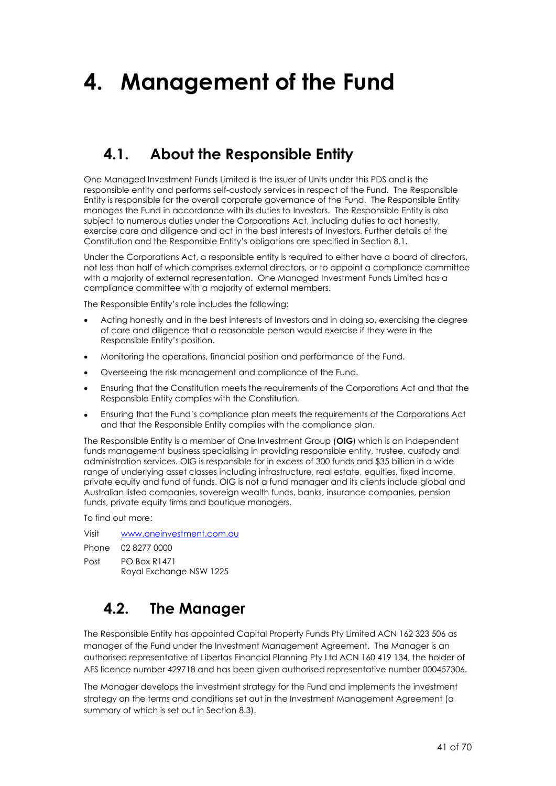## **4. Management of the Fund**

## <span id="page-40-0"></span>**4.1. About the Responsible Entity**

One Managed Investment Funds Limited is the issuer of Units under this PDS and is the responsible entity and performs self-custody services in respect of the Fund. The Responsible Entity is responsible for the overall corporate governance of the Fund. The Responsible Entity manages the Fund in accordance with its duties to Investors. The Responsible Entity is also subject to numerous duties under the Corporations Act, including duties to act honestly, exercise care and diligence and act in the best interests of Investors. Further details of the Constitution and the Responsible Entity's obligations are specified in Section [8.1.](#page-61-0)

Under the Corporations Act, a responsible entity is required to either have a board of directors, not less than half of which comprises external directors, or to appoint a compliance committee with a majority of external representation. One Managed Investment Funds Limited has a compliance committee with a majority of external members.

The Responsible Entity's role includes the following:

- Acting honestly and in the best interests of Investors and in doing so, exercising the degree of care and diligence that a reasonable person would exercise if they were in the Responsible Entity's position.
- Monitoring the operations, financial position and performance of the Fund.
- Overseeing the risk management and compliance of the Fund.
- Ensuring that the Constitution meets the requirements of the Corporations Act and that the Responsible Entity complies with the Constitution.
- Ensuring that the Fund's compliance plan meets the requirements of the Corporations Act and that the Responsible Entity complies with the compliance plan.

The Responsible Entity is a member of One Investment Group (**OIG**) which is an independent funds management business specialising in providing responsible entity, trustee, custody and administration services. OIG is responsible for in excess of 300 funds and \$35 billion in a wide range of underlying asset classes including infrastructure, real estate, equities, fixed income, private equity and fund of funds. OIG is not a fund manager and its clients include global and Australian listed companies, sovereign wealth funds, banks, insurance companies, pension funds, private equity firms and boutique managers.

To find out more:

Visit [www.oneinvestment.com.au](http://www.oneinvestment.com.au/)

Phone 02 8277 0000

Post PO Box R1471

Royal Exchange NSW 1225

## <span id="page-40-1"></span>**4.2. The Manager**

The Responsible Entity has appointed Capital Property Funds Pty Limited ACN 162 323 506 as manager of the Fund under the Investment Management Agreement. The Manager is an authorised representative of Libertas Financial Planning Pty Ltd ACN 160 419 134, the holder of AFS licence number 429718 and has been given authorised representative number 000457306.

The Manager develops the investment strategy for the Fund and implements the investment strategy on the terms and conditions set out in the Investment Management Agreement (a summary of which is set out in Section [8.3\)](#page-62-0).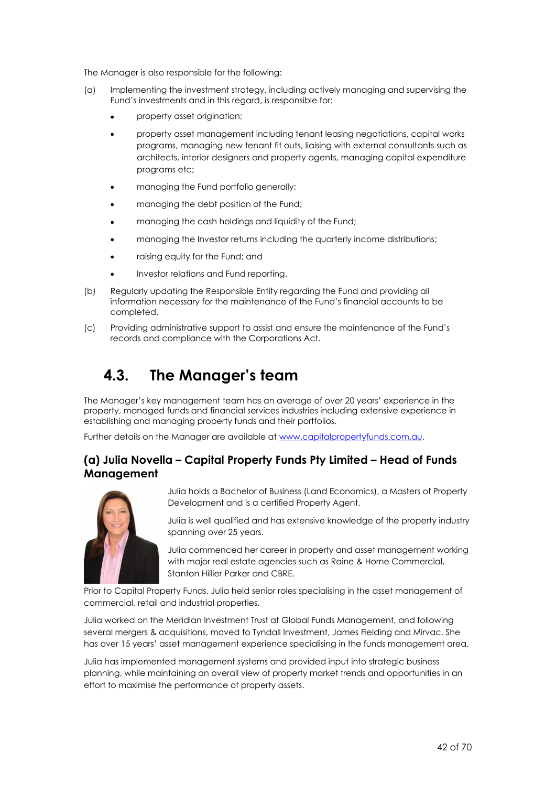The Manager is also responsible for the following:

- (a) Implementing the investment strategy, including actively managing and supervising the Fund's investments and in this regard, is responsible for:
	- property asset origination;
	- property asset management including tenant leasing negotiations, capital works programs, managing new tenant fit outs, liaising with external consultants such as architects, interior designers and property agents, managing capital expenditure programs etc;
	- managing the Fund portfolio generally;
	- managing the debt position of the Fund;
	- managing the cash holdings and liquidity of the Fund;
	- managing the Investor returns including the quarterly income distributions;
	- raising equity for the Fund; and
	- Investor relations and Fund reporting.
- (b) Regularly updating the Responsible Entity regarding the Fund and providing all information necessary for the maintenance of the Fund's financial accounts to be completed.
- <span id="page-41-0"></span>(c) Providing administrative support to assist and ensure the maintenance of the Fund's records and compliance with the Corporations Act.

## **4.3. The Manager's team**

The Manager's key management team has an average of over 20 years' experience in the property, managed funds and financial services industries including extensive experience in establishing and managing property funds and their portfolios.

Further details on the Manager are available at [www.capitalpropertyfunds.com.au.](http://www.capitalpropertyfunds.com.au/)

#### **(a) Julia Novella – Capital Property Funds Pty Limited – Head of Funds Management**



Julia holds a Bachelor of Business (Land Economics), a Masters of Property Development and is a certified Property Agent.

Julia is well qualified and has extensive knowledge of the property industry spanning over 25 years.

Julia commenced her career in property and asset management working with major real estate agencies such as Raine & Horne Commercial, Stanton Hillier Parker and CBRE.

Prior to Capital Property Funds, Julia held senior roles specialising in the asset management of commercial, retail and industrial properties.

Julia worked on the Meridian Investment Trust at Global Funds Management, and following several mergers & acquisitions, moved to Tyndall Investment, James Fielding and Mirvac. She has over 15 years' asset management experience specialising in the funds management area.

Julia has implemented management systems and provided input into strategic business planning, while maintaining an overall view of property market trends and opportunities in an effort to maximise the performance of property assets.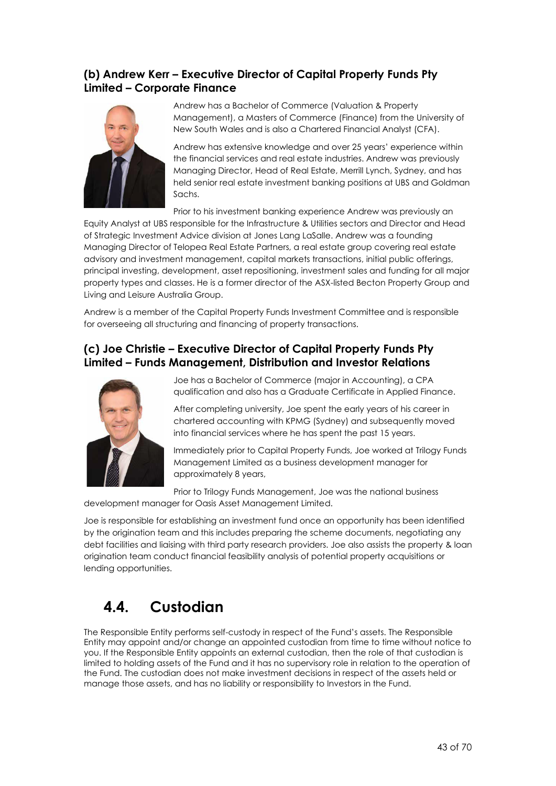#### **(b) Andrew Kerr – Executive Director of Capital Property Funds Pty Limited – Corporate Finance**



Andrew has a Bachelor of Commerce (Valuation & Property Management), a Masters of Commerce (Finance) from the University of New South Wales and is also a Chartered Financial Analyst (CFA).

Andrew has extensive knowledge and over 25 years' experience within the financial services and real estate industries. Andrew was previously Managing Director, Head of Real Estate, Merrill Lynch, Sydney, and has held senior real estate investment banking positions at UBS and Goldman Sachs.

Prior to his investment banking experience Andrew was previously an Equity Analyst at UBS responsible for the Infrastructure & Utilities sectors and Director and Head of Strategic Investment Advice division at Jones Lang LaSalle. Andrew was a founding Managing Director of Telopea Real Estate Partners, a real estate group covering real estate advisory and investment management, capital markets transactions, initial public offerings, principal investing, development, asset repositioning, investment sales and funding for all major property types and classes. He is a former director of the ASX-listed Becton Property Group and Living and Leisure Australia Group.

Andrew is a member of the Capital Property Funds Investment Committee and is responsible for overseeing all structuring and financing of property transactions.

#### **(c) Joe Christie – Executive Director of Capital Property Funds Pty Limited – Funds Management, Distribution and Investor Relations**



Joe has a Bachelor of Commerce (major in Accounting), a CPA qualification and also has a Graduate Certificate in Applied Finance.

After completing university, Joe spent the early years of his career in chartered accounting with KPMG (Sydney) and subsequently moved into financial services where he has spent the past 15 years.

Immediately prior to Capital Property Funds, Joe worked at Trilogy Funds Management Limited as a business development manager for approximately 8 years,

Prior to Trilogy Funds Management, Joe was the national business development manager for Oasis Asset Management Limited.

Joe is responsible for establishing an investment fund once an opportunity has been identified by the origination team and this includes preparing the scheme documents, negotiating any debt facilities and liaising with third party research providers. Joe also assists the property & loan origination team conduct financial feasibility analysis of potential property acquisitions or lending opportunities.

## <span id="page-42-0"></span>**4.4. Custodian**

The Responsible Entity performs self-custody in respect of the Fund's assets. The Responsible Entity may appoint and/or change an appointed custodian from time to time without notice to you. If the Responsible Entity appoints an external custodian, then the role of that custodian is limited to holding assets of the Fund and it has no supervisory role in relation to the operation of the Fund. The custodian does not make investment decisions in respect of the assets held or manage those assets, and has no liability or responsibility to Investors in the Fund.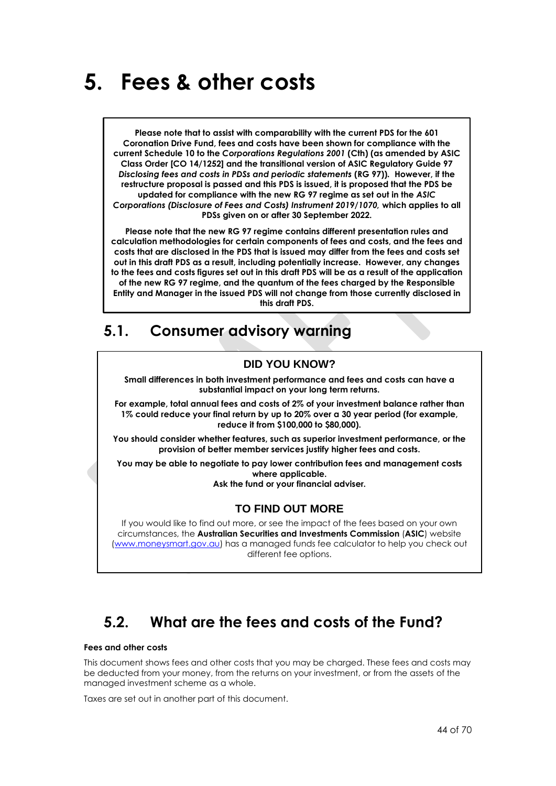## <span id="page-43-0"></span>**5. Fees & other costs**

**Please note that to assist with comparability with the current PDS for the 601 Coronation Drive Fund, fees and costs have been shown for compliance with the current Schedule 10 to the** *Corporations Regulations 2001* **(Cth) (as amended by ASIC Class Order [CO 14/1252] and the transitional version of ASIC Regulatory Guide 97**  *Disclosing fees and costs in PDSs and periodic statements* **(RG 97))***.* **However, if the restructure proposal is passed and this PDS is issued, it is proposed that the PDS be updated for compliance with the new RG 97 regime as set out in the** *ASIC Corporations (Disclosure of Fees and Costs) Instrument 2019/1070,* **which applies to all PDSs given on or after 30 September 2022.**

**Please note that the new RG 97 regime contains different presentation rules and calculation methodologies for certain components of fees and costs, and the fees and costs that are disclosed in the PDS that is issued may differ from the fees and costs set out in this draft PDS as a result, including potentially increase. However, any changes to the fees and costs figures set out in this draft PDS will be as a result of the application of the new RG 97 regime, and the quantum of the fees charged by the Responsible Entity and Manager in the issued PDS will not change from those currently disclosed in this draft PDS.**

## **5.1. Consumer advisory warning**

#### **DID YOU KNOW?**

**Small differences in both investment performance and fees and costs can have a substantial impact on your long term returns.**

**For example, total annual fees and costs of 2% of your investment balance rather than 1% could reduce your final return by up to 20% over a 30 year period (for example, reduce it from \$100,000 to \$80,000).**

**You should consider whether features, such as superior investment performance, or the provision of better member services justify higher fees and costs.**

**You may be able to negotiate to pay lower contribution fees and management costs where applicable.** 

**Ask the fund or your financial adviser.**

#### **TO FIND OUT MORE**

If you would like to find out more, or see the impact of the fees based on your own circumstances, the **Australian Securities and Investments Commission** (**ASIC**) website [\(www.moneysmart.gov.au\)](file:///C:/NRPortbl/Active/HCN/www.moneysmart.gov.au) has a managed funds fee calculator to help you check out different fee options.

## **5.2. What are the fees and costs of the Fund?**

#### **Fees and other costs**

This document shows fees and other costs that you may be charged. These fees and costs may be deducted from your money, from the returns on your investment, or from the assets of the managed investment scheme as a whole.

Taxes are set out in another part of this document.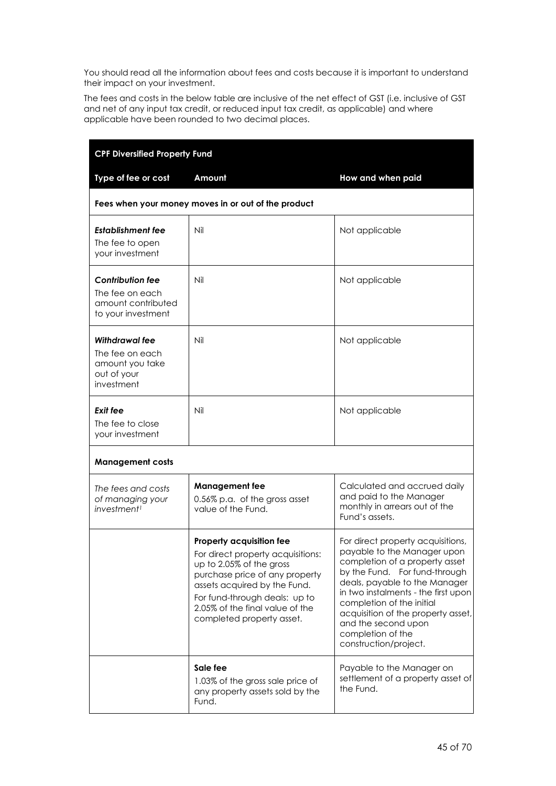You should read all the information about fees and costs because it is important to understand their impact on your investment.

The fees and costs in the below table are inclusive of the net effect of GST (i.e. inclusive of GST and net of any input tax credit, or reduced input tax credit, as applicable) and where applicable have been rounded to two decimal places.

| <b>CPF Diversified Property Fund</b>                                                   |                                                                                                                                                                                                                                                              |                                                                                                                                                                                                                                                                                                                                                     |  |
|----------------------------------------------------------------------------------------|--------------------------------------------------------------------------------------------------------------------------------------------------------------------------------------------------------------------------------------------------------------|-----------------------------------------------------------------------------------------------------------------------------------------------------------------------------------------------------------------------------------------------------------------------------------------------------------------------------------------------------|--|
| Type of fee or cost                                                                    | Amount                                                                                                                                                                                                                                                       | How and when paid                                                                                                                                                                                                                                                                                                                                   |  |
|                                                                                        | Fees when your money moves in or out of the product                                                                                                                                                                                                          |                                                                                                                                                                                                                                                                                                                                                     |  |
| Establishment fee<br>The fee to open<br>your investment                                | Nil                                                                                                                                                                                                                                                          | Not applicable                                                                                                                                                                                                                                                                                                                                      |  |
| <b>Contribution fee</b><br>The fee on each<br>amount contributed<br>to your investment | Nil                                                                                                                                                                                                                                                          | Not applicable                                                                                                                                                                                                                                                                                                                                      |  |
| Withdrawal fee<br>The fee on each<br>amount you take<br>out of your<br>investment      | Nil                                                                                                                                                                                                                                                          | Not applicable                                                                                                                                                                                                                                                                                                                                      |  |
| Exit fee<br>The fee to close<br>your investment                                        | Nil                                                                                                                                                                                                                                                          | Not applicable                                                                                                                                                                                                                                                                                                                                      |  |
| <b>Management costs</b>                                                                |                                                                                                                                                                                                                                                              |                                                                                                                                                                                                                                                                                                                                                     |  |
| The fees and costs<br>of managing your<br><i>investment<sup>1</sup></i>                | <b>Management fee</b><br>0.56% p.a. of the gross asset<br>value of the Fund.                                                                                                                                                                                 | Calculated and accrued daily<br>and paid to the Manager<br>monthly in arrears out of the<br>Fund's assets.                                                                                                                                                                                                                                          |  |
|                                                                                        | Property acquisition fee<br>For direct property acquisitions:<br>up to 2.05% of the gross<br>purchase price of any property<br>assets acquired by the Fund.<br>For fund-through deals: up to<br>2.05% of the final value of the<br>completed property asset. | For direct property acquisitions,<br>payable to the Manager upon<br>completion of a property asset<br>by the Fund. For fund-through<br>deals, payable to the Manager<br>in two instalments - the first upon<br>completion of the initial<br>acquisition of the property asset,<br>and the second upon<br>completion of the<br>construction/project. |  |
|                                                                                        | Sale fee<br>1.03% of the gross sale price of<br>any property assets sold by the<br>Fund.                                                                                                                                                                     | Payable to the Manager on<br>settlement of a property asset of<br>the Fund.                                                                                                                                                                                                                                                                         |  |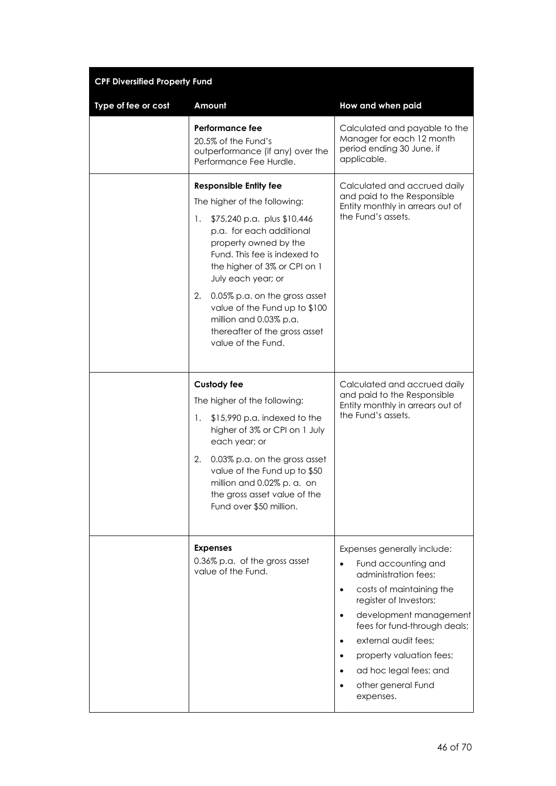| <b>CPF Diversified Property Fund</b> |                                                                                                                                                                                                                                                                                                                                                                                                        |                                                                                                                                                                                                                                                                                                                          |  |  |
|--------------------------------------|--------------------------------------------------------------------------------------------------------------------------------------------------------------------------------------------------------------------------------------------------------------------------------------------------------------------------------------------------------------------------------------------------------|--------------------------------------------------------------------------------------------------------------------------------------------------------------------------------------------------------------------------------------------------------------------------------------------------------------------------|--|--|
| Type of fee or cost                  | Amount                                                                                                                                                                                                                                                                                                                                                                                                 | How and when paid                                                                                                                                                                                                                                                                                                        |  |  |
|                                      | Performance fee<br>20.5% of the Fund's<br>outperformance (if any) over the<br>Performance Fee Hurdle.                                                                                                                                                                                                                                                                                                  | Calculated and payable to the<br>Manager for each 12 month<br>period ending 30 June, if<br>applicable.                                                                                                                                                                                                                   |  |  |
|                                      | <b>Responsible Entity fee</b><br>The higher of the following:<br>\$75,240 p.a. plus \$10,446<br>1.<br>p.a. for each additional<br>property owned by the<br>Fund. This fee is indexed to<br>the higher of 3% or CPI on 1<br>July each year; or<br>0.05% p.a. on the gross asset<br>2.<br>value of the Fund up to \$100<br>million and 0.03% p.a.<br>thereafter of the gross asset<br>value of the Fund. | Calculated and accrued daily<br>and paid to the Responsible<br>Entity monthly in arrears out of<br>the Fund's assets.                                                                                                                                                                                                    |  |  |
|                                      | <b>Custody fee</b><br>The higher of the following:<br>\$15,990 p.a. indexed to the<br>1.<br>higher of 3% or CPI on 1 July<br>each year; or<br>2.<br>0.03% p.a. on the gross asset<br>value of the Fund up to \$50<br>million and 0.02% p. a. on<br>the gross asset value of the<br>Fund over \$50 million.                                                                                             | Calculated and accrued daily<br>and paid to the Responsible<br>Entity monthly in arrears out of<br>the Fund's assets.                                                                                                                                                                                                    |  |  |
|                                      | <b>Expenses</b><br>0.36% p.a. of the gross asset<br>value of the Fund.                                                                                                                                                                                                                                                                                                                                 | Expenses generally include:<br>Fund accounting and<br>administration fees;<br>costs of maintaining the<br>register of Investors;<br>development management<br>fees for fund-through deals;<br>external audit fees;<br>$\bullet$<br>property valuation fees;<br>ad hoc legal fees; and<br>other general Fund<br>expenses. |  |  |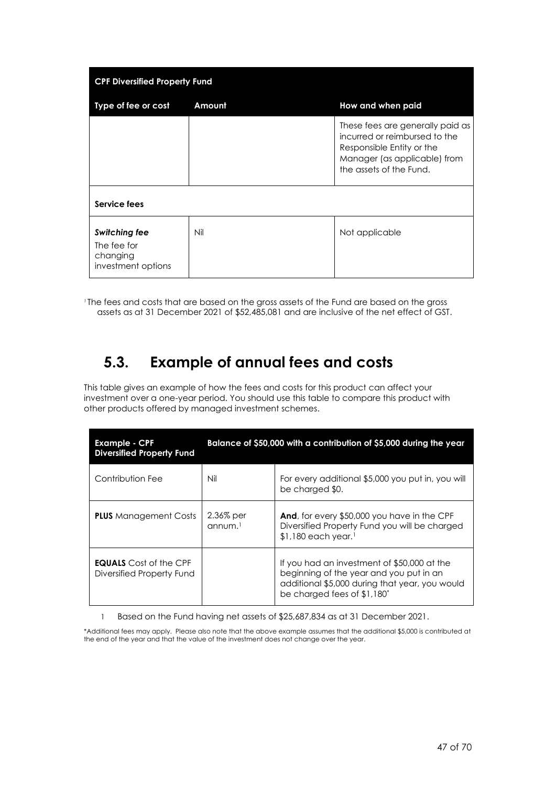| <b>CPF Diversified Property Fund</b>                                  |        |                                                                                                                                                           |
|-----------------------------------------------------------------------|--------|-----------------------------------------------------------------------------------------------------------------------------------------------------------|
| Type of fee or cost                                                   | Amount | How and when paid                                                                                                                                         |
| Service fees                                                          |        | These fees are generally paid as<br>incurred or reimbursed to the<br>Responsible Entity or the<br>Manager (as applicable) from<br>the assets of the Fund. |
|                                                                       |        |                                                                                                                                                           |
| <b>Switching fee</b><br>The fee for<br>changing<br>investment options | Nil    | Not applicable                                                                                                                                            |

*<sup>1</sup>* The fees and costs that are based on the gross assets of the Fund are based on the gross assets as at 31 December 2021 of \$52,485,081 and are inclusive of the net effect of GST.

### **5.3. Example of annual fees and costs**

This table gives an example of how the fees and costs for this product can affect your investment over a one-year period. You should use this table to compare this product with other products offered by managed investment schemes.

| <b>Example - CPF</b><br><b>Diversified Property Fund</b>   | Balance of \$50,000 with a contribution of \$5,000 during the year |                                                                                                                                                                         |
|------------------------------------------------------------|--------------------------------------------------------------------|-------------------------------------------------------------------------------------------------------------------------------------------------------------------------|
| Contribution Fee                                           | Nil                                                                | For every additional \$5,000 you put in, you will<br>be charged \$0.                                                                                                    |
| <b>PLUS</b> Management Costs                               | 2.36% per<br>annum <sup>1</sup>                                    | <b>And, for every \$50,000 you have in the CPF</b><br>Diversified Property Fund you will be charged<br>$$1,180$ each year. <sup>1</sup>                                 |
| <b>EQUALS</b> Cost of the CPF<br>Diversified Property Fund |                                                                    | If you had an investment of \$50,000 at the<br>beginning of the year and you put in an<br>additional \$5,000 during that year, you would<br>be charged fees of \$1,180* |

1 Based on the Fund having net assets of \$25,687,834 as at 31 December 2021.

\*Additional fees may apply. Please also note that the above example assumes that the additional \$5,000 is contributed at the end of the year and that the value of the investment does not change over the year.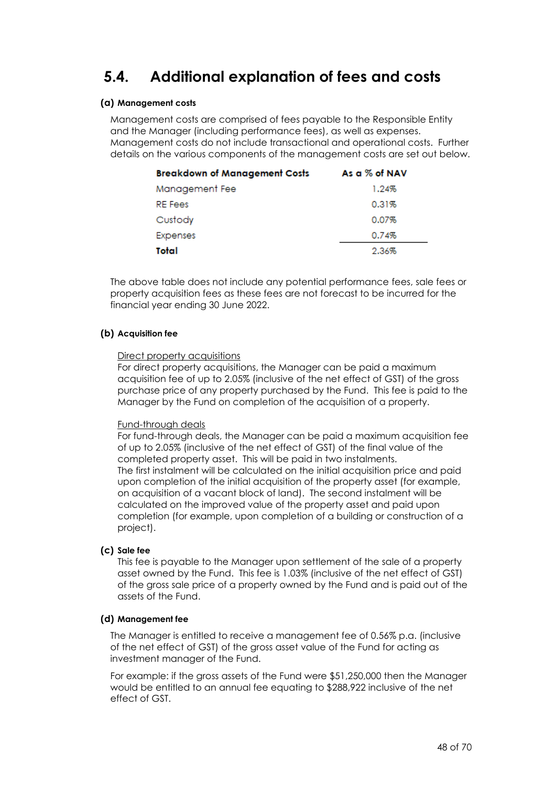## <span id="page-47-0"></span>**5.4. Additional explanation of fees and costs**

#### **(a) Management costs**

Management costs are comprised of fees payable to the Responsible Entity and the Manager (including performance fees), as well as expenses. Management costs do not include transactional and operational costs. Further details on the various components of the management costs are set out below.

| <b>Breakdown of Management Costs</b> | As a % of NAV |
|--------------------------------------|---------------|
| Management Fee                       | 1.24%         |
| <b>RE</b> Fees                       | 0.31%         |
| Custody                              | 0.07%         |
| Expenses                             | 0.74%         |
| Total                                | 2.36%         |

The above table does not include any potential performance fees, sale fees or property acquisition fees as these fees are not forecast to be incurred for the financial year ending 30 June 2022.

#### **(b) Acquisition fee**

#### Direct property acquisitions

For direct property acquisitions, the Manager can be paid a maximum acquisition fee of up to 2.05% (inclusive of the net effect of GST) of the gross purchase price of any property purchased by the Fund. This fee is paid to the Manager by the Fund on completion of the acquisition of a property.

#### Fund-through deals

For fund-through deals, the Manager can be paid a maximum acquisition fee of up to 2.05% (inclusive of the net effect of GST) of the final value of the completed property asset. This will be paid in two instalments. The first instalment will be calculated on the initial acquisition price and paid upon completion of the initial acquisition of the property asset (for example, on acquisition of a vacant block of land). The second instalment will be calculated on the improved value of the property asset and paid upon completion (for example, upon completion of a building or construction of a project).

#### **(c) Sale fee**

This fee is payable to the Manager upon settlement of the sale of a property asset owned by the Fund. This fee is 1.03% (inclusive of the net effect of GST) of the gross sale price of a property owned by the Fund and is paid out of the assets of the Fund.

#### **(d) Management fee**

The Manager is entitled to receive a management fee of 0.56% p.a. (inclusive of the net effect of GST) of the gross asset value of the Fund for acting as investment manager of the Fund.

For example: if the gross assets of the Fund were \$51,250,000 then the Manager would be entitled to an annual fee equating to \$288,922 inclusive of the net effect of GST.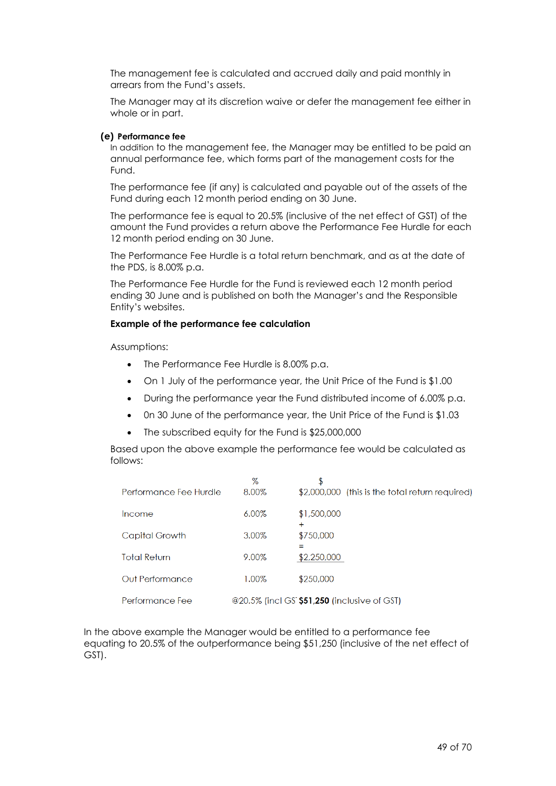The management fee is calculated and accrued daily and paid monthly in arrears from the Fund's assets.

The Manager may at its discretion waive or defer the management fee either in whole or in part.

#### **(e) Performance fee**

In addition to the management fee, the Manager may be entitled to be paid an annual performance fee, which forms part of the management costs for the Fund.

The performance fee (if any) is calculated and payable out of the assets of the Fund during each 12 month period ending on 30 June.

The performance fee is equal to 20.5% (inclusive of the net effect of GST) of the amount the Fund provides a return above the Performance Fee Hurdle for each 12 month period ending on 30 June.

The Performance Fee Hurdle is a total return benchmark, and as at the date of the PDS, is 8.00% p.a.

The Performance Fee Hurdle for the Fund is reviewed each 12 month period ending 30 June and is published on both the Manager's and the Responsible Entity's websites.

#### **Example of the performance fee calculation**

Assumptions:

- The Performance Fee Hurdle is 8.00% p.a.
- On 1 July of the performance year, the Unit Price of the Fund is \$1.00
- During the performance year the Fund distributed income of 6.00% p.a.
- 0n 30 June of the performance year, the Unit Price of the Fund is \$1.03
- The subscribed equity for the Fund is \$25,000,000

Based upon the above example the performance fee would be calculated as follows:

|                        | $\%$  | \$                                              |
|------------------------|-------|-------------------------------------------------|
| Performance Fee Hurdle | 8.00% | \$2,000,000 (this is the total return required) |
| Income                 | 6.00% | \$1,500,000<br>÷                                |
| Capital Growth         | 3.00% | \$750,000                                       |
| <b>Total Return</b>    | 9.00% | \$2,250,000                                     |
| Out Performance        | 1.00% | \$250,000                                       |
| Performance Fee        |       | @20.5% (incl GS \$51,250 (inclusive of GST)     |

In the above example the Manager would be entitled to a performance fee equating to 20.5% of the outperformance being \$51,250 (inclusive of the net effect of GST).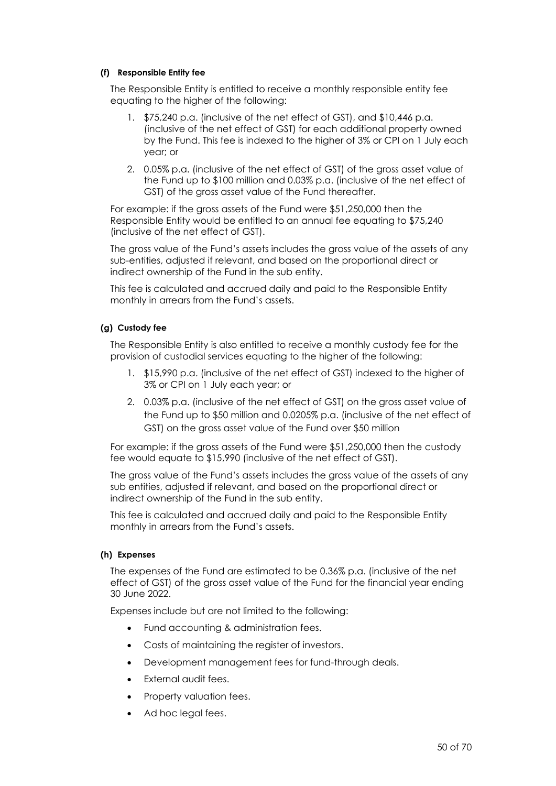#### **(f) Responsible Entity fee**

The Responsible Entity is entitled to receive a monthly responsible entity fee equating to the higher of the following:

- 1. \$75,240 p.a. (inclusive of the net effect of GST), and \$10,446 p.a. (inclusive of the net effect of GST) for each additional property owned by the Fund. This fee is indexed to the higher of 3% or CPI on 1 July each year; or
- 2. 0.05% p.a. (inclusive of the net effect of GST) of the gross asset value of the Fund up to \$100 million and 0.03% p.a. (inclusive of the net effect of GST) of the gross asset value of the Fund thereafter.

For example: if the gross assets of the Fund were \$51,250,000 then the Responsible Entity would be entitled to an annual fee equating to \$75,240 (inclusive of the net effect of GST).

The gross value of the Fund's assets includes the gross value of the assets of any sub-entities, adjusted if relevant, and based on the proportional direct or indirect ownership of the Fund in the sub entity.

This fee is calculated and accrued daily and paid to the Responsible Entity monthly in arrears from the Fund's assets.

#### **(g) Custody fee**

The Responsible Entity is also entitled to receive a monthly custody fee for the provision of custodial services equating to the higher of the following:

- 1. \$15,990 p.a. (inclusive of the net effect of GST) indexed to the higher of 3% or CPI on 1 July each year; or
- 2. 0.03% p.a. (inclusive of the net effect of GST) on the gross asset value of the Fund up to \$50 million and 0.0205% p.a. (inclusive of the net effect of GST) on the gross asset value of the Fund over \$50 million

For example: if the gross assets of the Fund were \$51,250,000 then the custody fee would equate to \$15,990 (inclusive of the net effect of GST).

The gross value of the Fund's assets includes the gross value of the assets of any sub entities, adjusted if relevant, and based on the proportional direct or indirect ownership of the Fund in the sub entity.

This fee is calculated and accrued daily and paid to the Responsible Entity monthly in arrears from the Fund's assets.

#### **(h) Expenses**

The expenses of the Fund are estimated to be 0.36% p.a. (inclusive of the net effect of GST) of the gross asset value of the Fund for the financial year ending 30 June 2022.

Expenses include but are not limited to the following:

- Fund accounting & administration fees.
- Costs of maintaining the register of investors.
- Development management fees for fund-through deals.
- External audit fees.
- Property valuation fees.
- Ad hoc legal fees.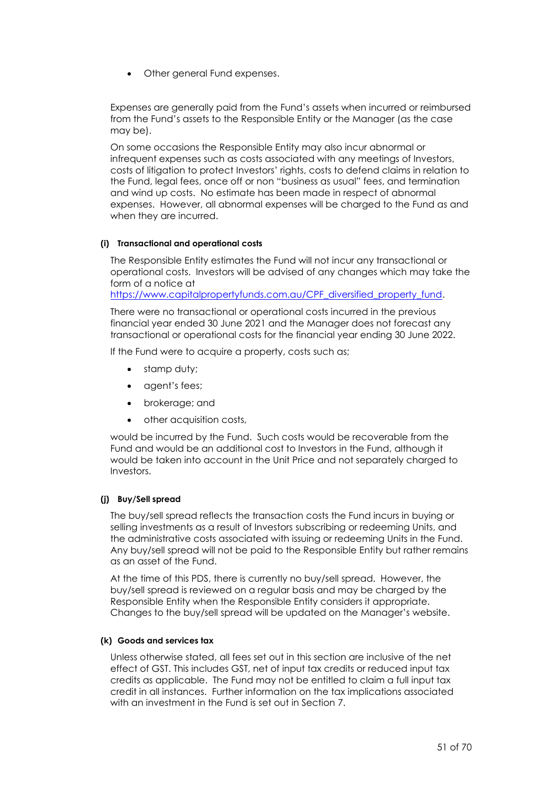• Other general Fund expenses.

Expenses are generally paid from the Fund's assets when incurred or reimbursed from the Fund's assets to the Responsible Entity or the Manager (as the case may be).

On some occasions the Responsible Entity may also incur abnormal or infrequent expenses such as costs associated with any meetings of Investors, costs of litigation to protect Investors' rights, costs to defend claims in relation to the Fund, legal fees, once off or non "business as usual" fees, and termination and wind up costs. No estimate has been made in respect of abnormal expenses. However, all abnormal expenses will be charged to the Fund as and when they are incurred.

#### **(i) Transactional and operational costs**

The Responsible Entity estimates the Fund will not incur any transactional or operational costs. Investors will be advised of any changes which may take the form of a notice at

[https://www.capitalpropertyfunds.com.au/CPF\\_diversified\\_property\\_fund.](https://www.capitalpropertyfunds.com.au/CPF_diversified_property_fund)

There were no transactional or operational costs incurred in the previous financial year ended 30 June 2021 and the Manager does not forecast any transactional or operational costs for the financial year ending 30 June 2022.

If the Fund were to acquire a property, costs such as;

- stamp duty;
- agent's fees;
- brokerage; and
- other acquisition costs,

would be incurred by the Fund. Such costs would be recoverable from the Fund and would be an additional cost to Investors in the Fund, although it would be taken into account in the Unit Price and not separately charged to Investors.

#### **(j) Buy/Sell spread**

The buy/sell spread reflects the transaction costs the Fund incurs in buying or selling investments as a result of Investors subscribing or redeeming Units, and the administrative costs associated with issuing or redeeming Units in the Fund. Any buy/sell spread will not be paid to the Responsible Entity but rather remains as an asset of the Fund.

At the time of this PDS, there is currently no buy/sell spread. However, the buy/sell spread is reviewed on a regular basis and may be charged by the Responsible Entity when the Responsible Entity considers it appropriate. Changes to the buy/sell spread will be updated on the Manager's website.

#### **(k) Goods and services tax**

Unless otherwise stated, all fees set out in this section are inclusive of the net effect of GST. This includes GST, net of input tax credits or reduced input tax credits as applicable. The Fund may not be entitled to claim a full input tax credit in all instances. Further information on the tax implications associated with an investment in the Fund is set out in Section [7.](#page-58-0)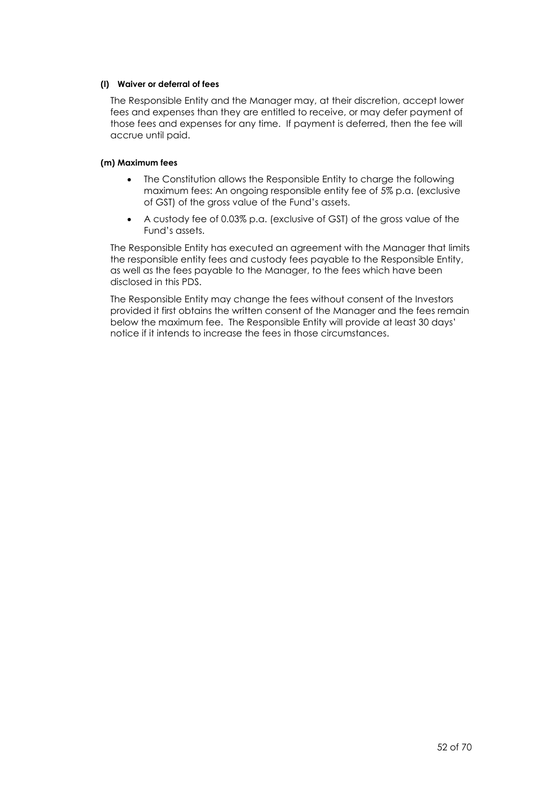#### **(l) Waiver or deferral of fees**

The Responsible Entity and the Manager may, at their discretion, accept lower fees and expenses than they are entitled to receive, or may defer payment of those fees and expenses for any time. If payment is deferred, then the fee will accrue until paid.

#### **(m) Maximum fees**

- The Constitution allows the Responsible Entity to charge the following maximum fees: An ongoing responsible entity fee of 5% p.a. (exclusive of GST) of the gross value of the Fund's assets.
- A custody fee of 0.03% p.a. (exclusive of GST) of the gross value of the Fund's assets.

The Responsible Entity has executed an agreement with the Manager that limits the responsible entity fees and custody fees payable to the Responsible Entity, as well as the fees payable to the Manager, to the fees which have been disclosed in this PDS.

The Responsible Entity may change the fees without consent of the Investors provided it first obtains the written consent of the Manager and the fees remain below the maximum fee. The Responsible Entity will provide at least 30 days' notice if it intends to increase the fees in those circumstances.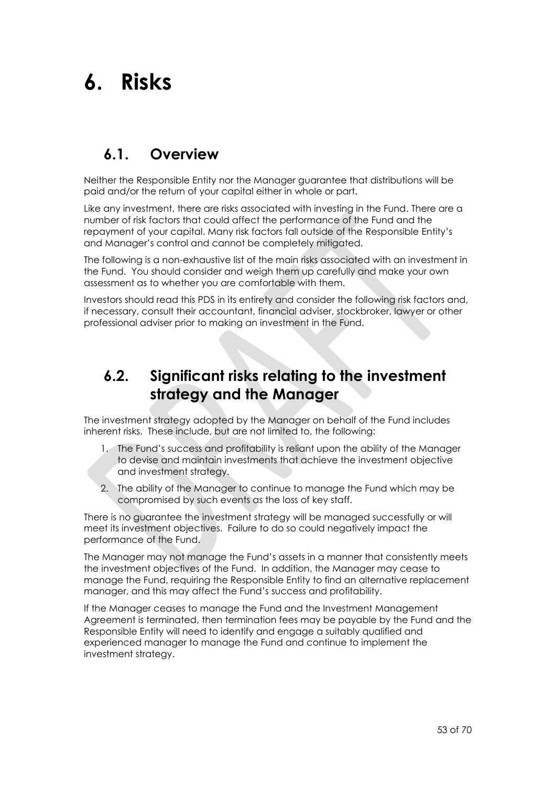## <span id="page-52-0"></span>**6. Risks**

## **6.1. Overview**

Neither the Responsible Entity nor the Manager guarantee that distributions will be paid and/or the return of your capital either in whole or part.

Like any investment, there are risks associated with investing in the Fund. There are a number of risk factors that could affect the performance of the Fund and the repayment of your capital. Many risk factors fall outside of the Responsible Entity's and Manager's control and cannot be completely mitigated.

The following is a non-exhaustive list of the main risks associated with an investment in the Fund. You should consider and weigh them up carefully and make your own assessment as to whether you are comfortable with them.

Investors should read this PDS in its entirety and consider the following risk factors and, if necessary, consult their accountant, financial adviser, stockbroker, lawyer or other professional adviser prior to making an investment in the Fund.

## **6.2. Significant risks relating to the investment strategy and the Manager**

The investment strategy adopted by the Manager on behalf of the Fund includes inherent risks. These include, but are not limited to, the following:

- 1. The Fund's success and profitability is reliant upon the ability of the Manager to devise and maintain investments that achieve the investment objective and investment strategy.
- 2. The ability of the Manager to continue to manage the Fund which may be compromised by such events as the loss of key staff.

There is no guarantee the investment strategy will be managed successfully or will meet its investment objectives. Failure to do so could negatively impact the performance of the Fund.

The Manager may not manage the Fund's assets in a manner that consistently meets the investment objectives of the Fund. In addition, the Manager may cease to manage the Fund, requiring the Responsible Entity to find an alternative replacement manager, and this may affect the Fund's success and profitability.

If the Manager ceases to manage the Fund and the Investment Management Agreement is terminated, then termination fees may be payable by the Fund and the Responsible Entity will need to identify and engage a suitably qualified and experienced manager to manage the Fund and continue to implement the investment strategy.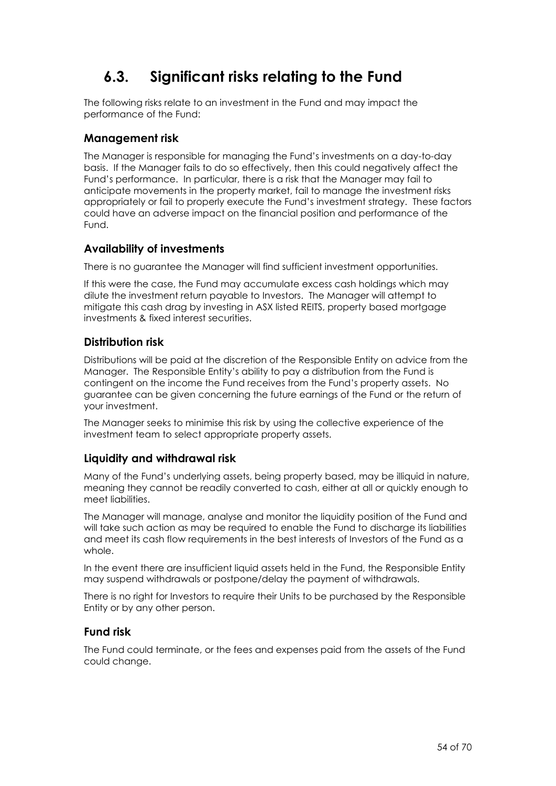## **6.3. Significant risks relating to the Fund**

The following risks relate to an investment in the Fund and may impact the performance of the Fund:

#### **Management risk**

The Manager is responsible for managing the Fund's investments on a day-to-day basis. If the Manager fails to do so effectively, then this could negatively affect the Fund's performance. In particular, there is a risk that the Manager may fail to anticipate movements in the property market, fail to manage the investment risks appropriately or fail to properly execute the Fund's investment strategy. These factors could have an adverse impact on the financial position and performance of the Fund.

#### **Availability of investments**

There is no guarantee the Manager will find sufficient investment opportunities.

If this were the case, the Fund may accumulate excess cash holdings which may dilute the investment return payable to Investors. The Manager will attempt to mitigate this cash drag by investing in ASX listed REITS, property based mortgage investments & fixed interest securities.

#### **Distribution risk**

Distributions will be paid at the discretion of the Responsible Entity on advice from the Manager. The Responsible Entity's ability to pay a distribution from the Fund is contingent on the income the Fund receives from the Fund's property assets. No guarantee can be given concerning the future earnings of the Fund or the return of your investment.

The Manager seeks to minimise this risk by using the collective experience of the investment team to select appropriate property assets.

#### **Liquidity and withdrawal risk**

Many of the Fund's underlying assets, being property based, may be illiquid in nature, meaning they cannot be readily converted to cash, either at all or quickly enough to meet liabilities.

The Manager will manage, analyse and monitor the liquidity position of the Fund and will take such action as may be required to enable the Fund to discharge its liabilities and meet its cash flow requirements in the best interests of Investors of the Fund as a whole.

In the event there are insufficient liquid assets held in the Fund, the Responsible Entity may suspend withdrawals or postpone/delay the payment of withdrawals.

There is no right for Investors to require their Units to be purchased by the Responsible Entity or by any other person.

#### **Fund risk**

The Fund could terminate, or the fees and expenses paid from the assets of the Fund could change.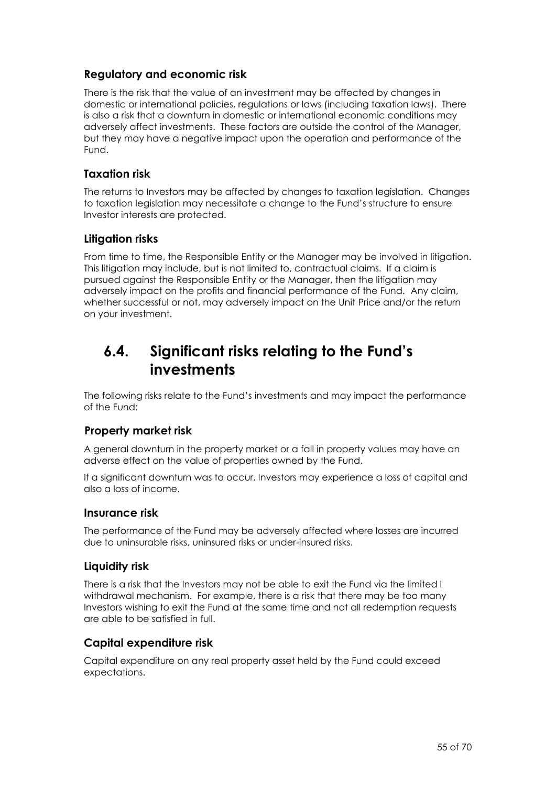#### **Regulatory and economic risk**

There is the risk that the value of an investment may be affected by changes in domestic or international policies, regulations or laws (including taxation laws). There is also a risk that a downturn in domestic or international economic conditions may adversely affect investments. These factors are outside the control of the Manager, but they may have a negative impact upon the operation and performance of the Fund.

#### **Taxation risk**

The returns to Investors may be affected by changes to taxation legislation. Changes to taxation legislation may necessitate a change to the Fund's structure to ensure Investor interests are protected.

#### **Litigation risks**

From time to time, the Responsible Entity or the Manager may be involved in litigation. This litigation may include, but is not limited to, contractual claims. If a claim is pursued against the Responsible Entity or the Manager, then the litigation may adversely impact on the profits and financial performance of the Fund. Any claim, whether successful or not, may adversely impact on the Unit Price and/or the return on your investment.

## **6.4. Significant risks relating to the Fund's investments**

The following risks relate to the Fund's investments and may impact the performance of the Fund:

#### **Property market risk**

A general downturn in the property market or a fall in property values may have an adverse effect on the value of properties owned by the Fund.

If a significant downturn was to occur, Investors may experience a loss of capital and also a loss of income.

#### **Insurance risk**

The performance of the Fund may be adversely affected where losses are incurred due to uninsurable risks, uninsured risks or under-insured risks.

#### **Liquidity risk**

There is a risk that the Investors may not be able to exit the Fund via the limited l withdrawal mechanism. For example, there is a risk that there may be too many Investors wishing to exit the Fund at the same time and not all redemption requests are able to be satisfied in full.

#### **Capital expenditure risk**

Capital expenditure on any real property asset held by the Fund could exceed expectations.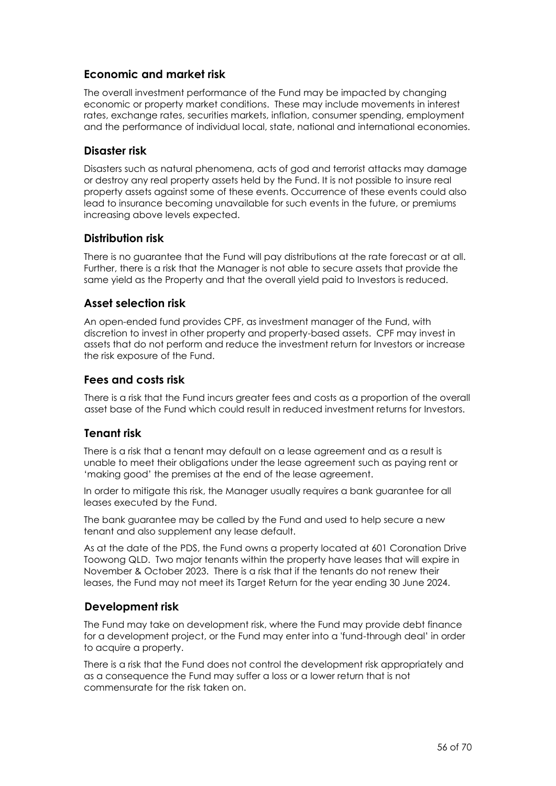#### **Economic and market risk**

The overall investment performance of the Fund may be impacted by changing economic or property market conditions. These may include movements in interest rates, exchange rates, securities markets, inflation, consumer spending, employment and the performance of individual local, state, national and international economies.

#### **Disaster risk**

Disasters such as natural phenomena, acts of god and terrorist attacks may damage or destroy any real property assets held by the Fund. It is not possible to insure real property assets against some of these events. Occurrence of these events could also lead to insurance becoming unavailable for such events in the future, or premiums increasing above levels expected.

#### **Distribution risk**

There is no guarantee that the Fund will pay distributions at the rate forecast or at all. Further, there is a risk that the Manager is not able to secure assets that provide the same yield as the Property and that the overall yield paid to Investors is reduced.

#### **Asset selection risk**

An open-ended fund provides CPF, as investment manager of the Fund, with discretion to invest in other property and property-based assets. CPF may invest in assets that do not perform and reduce the investment return for Investors or increase the risk exposure of the Fund.

#### **Fees and costs risk**

There is a risk that the Fund incurs greater fees and costs as a proportion of the overall asset base of the Fund which could result in reduced investment returns for Investors.

#### **Tenant risk**

There is a risk that a tenant may default on a lease agreement and as a result is unable to meet their obligations under the lease agreement such as paying rent or 'making good' the premises at the end of the lease agreement.

In order to mitigate this risk, the Manager usually requires a bank guarantee for all leases executed by the Fund.

The bank guarantee may be called by the Fund and used to help secure a new tenant and also supplement any lease default.

As at the date of the PDS, the Fund owns a property located at 601 Coronation Drive Toowong QLD. Two major tenants within the property have leases that will expire in November & October 2023. There is a risk that if the tenants do not renew their leases, the Fund may not meet its Target Return for the year ending 30 June 2024.

#### **Development risk**

The Fund may take on development risk, where the Fund may provide debt finance for a development project, or the Fund may enter into a 'fund-through deal' in order to acquire a property.

There is a risk that the Fund does not control the development risk appropriately and as a consequence the Fund may suffer a loss or a lower return that is not commensurate for the risk taken on.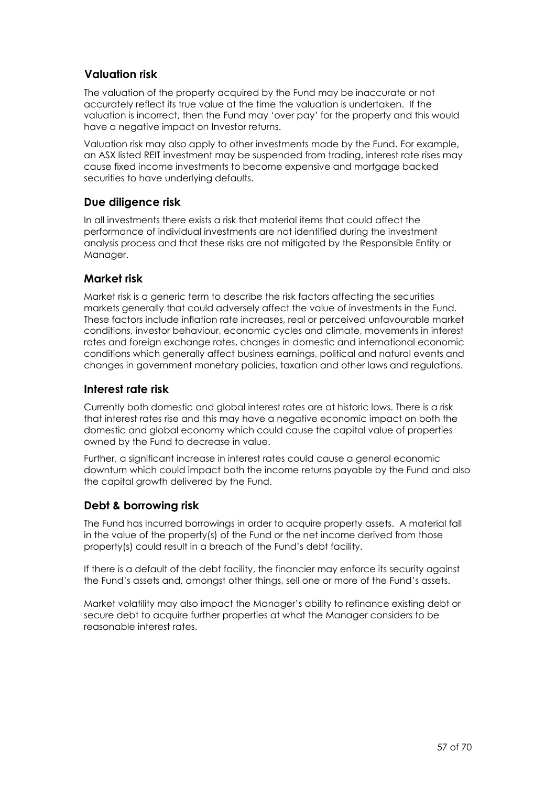#### **Valuation risk**

The valuation of the property acquired by the Fund may be inaccurate or not accurately reflect its true value at the time the valuation is undertaken. If the valuation is incorrect, then the Fund may 'over pay' for the property and this would have a negative impact on Investor returns.

Valuation risk may also apply to other investments made by the Fund. For example, an ASX listed REIT investment may be suspended from trading, interest rate rises may cause fixed income investments to become expensive and mortgage backed securities to have underlying defaults.

#### **Due diligence risk**

In all investments there exists a risk that material items that could affect the performance of individual investments are not identified during the investment analysis process and that these risks are not mitigated by the Responsible Entity or Manager.

#### **Market risk**

Market risk is a generic term to describe the risk factors affecting the securities markets generally that could adversely affect the value of investments in the Fund. These factors include inflation rate increases, real or perceived unfavourable market conditions, investor behaviour, economic cycles and climate, movements in interest rates and foreign exchange rates, changes in domestic and international economic conditions which generally affect business earnings, political and natural events and changes in government monetary policies, taxation and other laws and regulations.

#### **Interest rate risk**

Currently both domestic and global interest rates are at historic lows. There is a risk that interest rates rise and this may have a negative economic impact on both the domestic and global economy which could cause the capital value of properties owned by the Fund to decrease in value.

Further, a significant increase in interest rates could cause a general economic downturn which could impact both the income returns payable by the Fund and also the capital growth delivered by the Fund.

#### **Debt & borrowing risk**

The Fund has incurred borrowings in order to acquire property assets. A material fall in the value of the property(s) of the Fund or the net income derived from those property(s) could result in a breach of the Fund's debt facility.

If there is a default of the debt facility, the financier may enforce its security against the Fund's assets and, amongst other things, sell one or more of the Fund's assets.

Market volatility may also impact the Manager's ability to refinance existing debt or secure debt to acquire further properties at what the Manager considers to be reasonable interest rates.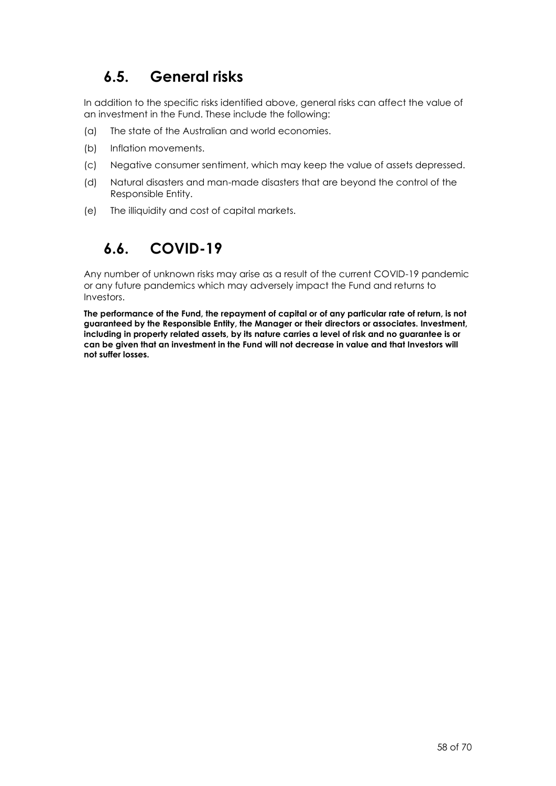## **6.5. General risks**

In addition to the specific risks identified above, general risks can affect the value of an investment in the Fund. These include the following:

- (a) The state of the Australian and world economies.
- (b) Inflation movements.
- (c) Negative consumer sentiment, which may keep the value of assets depressed.
- (d) Natural disasters and man-made disasters that are beyond the control of the Responsible Entity.
- (e) The illiquidity and cost of capital markets.

## **6.6. COVID-19**

Any number of unknown risks may arise as a result of the current COVID-19 pandemic or any future pandemics which may adversely impact the Fund and returns to Investors.

**The performance of the Fund, the repayment of capital or of any particular rate of return, is not guaranteed by the Responsible Entity, the Manager or their directors or associates. Investment, including in property related assets, by its nature carries a level of risk and no guarantee is or can be given that an investment in the Fund will not decrease in value and that Investors will not suffer losses.**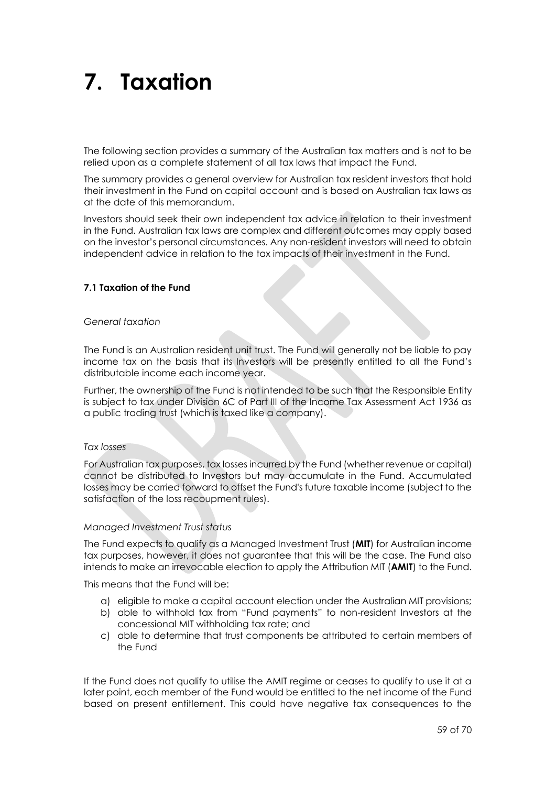## <span id="page-58-0"></span>**7. Taxation**

The following section provides a summary of the Australian tax matters and is not to be relied upon as a complete statement of all tax laws that impact the Fund.

The summary provides a general overview for Australian tax resident investors that hold their investment in the Fund on capital account and is based on Australian tax laws as at the date of this memorandum.

Investors should seek their own independent tax advice in relation to their investment in the Fund. Australian tax laws are complex and different outcomes may apply based on the investor's personal circumstances. Any non-resident investors will need to obtain independent advice in relation to the tax impacts of their investment in the Fund.

#### **7.1 Taxation of the Fund**

#### *General taxation*

The Fund is an Australian resident unit trust. The Fund will generally not be liable to pay income tax on the basis that its Investors will be presently entitled to all the Fund's distributable income each income year.

Further, the ownership of the Fund is not intended to be such that the Responsible Entity is subject to tax under Division 6C of Part III of the Income Tax Assessment Act 1936 as a public trading trust (which is taxed like a company).

#### *Tax losses*

For Australian tax purposes, tax losses incurred by the Fund (whether revenue or capital) cannot be distributed to Investors but may accumulate in the Fund. Accumulated losses may be carried forward to offset the Fund's future taxable income (subject to the satisfaction of the loss recoupment rules).

#### *Managed Investment Trust status*

The Fund expects to qualify as a Managed Investment Trust (**MIT**) for Australian income tax purposes, however, it does not guarantee that this will be the case. The Fund also intends to make an irrevocable election to apply the Attribution MIT (**AMIT**) to the Fund.

This means that the Fund will be:

- a) eligible to make a capital account election under the Australian MIT provisions;
- b) able to withhold tax from "Fund payments" to non-resident Investors at the concessional MIT withholding tax rate; and
- c) able to determine that trust components be attributed to certain members of the Fund

If the Fund does not qualify to utilise the AMIT regime or ceases to qualify to use it at a later point, each member of the Fund would be entitled to the net income of the Fund based on present entitlement. This could have negative tax consequences to the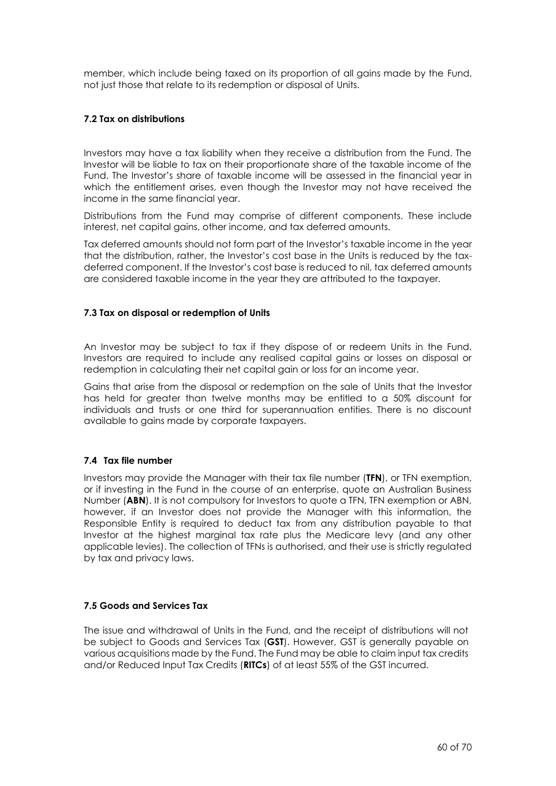member, which include being taxed on its proportion of all gains made by the Fund, not just those that relate to its redemption or disposal of Units.

#### **7.2 Tax on distributions**

Investors may have a tax liability when they receive a distribution from the Fund. The Investor will be liable to tax on their proportionate share of the taxable income of the Fund. The Investor's share of taxable income will be assessed in the financial year in which the entitlement arises, even though the Investor may not have received the income in the same financial year.

Distributions from the Fund may comprise of different components. These include interest, net capital gains, other income, and tax deferred amounts.

Tax deferred amounts should not form part of the Investor's taxable income in the year that the distribution, rather, the Investor's cost base in the Units is reduced by the taxdeferred component. If the Investor's cost base is reduced to nil, tax deferred amounts are considered taxable income in the year they are attributed to the taxpayer.

#### **7.3 Tax on disposal or redemption of Units**

An Investor may be subject to tax if they dispose of or redeem Units in the Fund. Investors are required to include any realised capital gains or losses on disposal or redemption in calculating their net capital gain or loss for an income year.

Gains that arise from the disposal or redemption on the sale of Units that the Investor has held for greater than twelve months may be entitled to a 50% discount for individuals and trusts or one third for superannuation entities. There is no discount available to gains made by corporate taxpayers.

#### **7.4 Tax file number**

Investors may provide the Manager with their tax file number (**TFN**), or TFN exemption, or if investing in the Fund in the course of an enterprise, quote an Australian Business Number (**ABN**). It is not compulsory for Investors to quote a TFN, TFN exemption or ABN, however, if an Investor does not provide the Manager with this information, the Responsible Entity is required to deduct tax from any distribution payable to that Investor at the highest marginal tax rate plus the Medicare levy (and any other applicable levies). The collection of TFNs is authorised, and their use is strictly regulated by tax and privacy laws.

#### **7.5 Goods and Services Tax**

The issue and withdrawal of Units in the Fund, and the receipt of distributions will not be subject to Goods and Services Tax (**GST**). However, GST is generally payable on various acquisitions made by the Fund. The Fund may be able to claim input tax credits and/or Reduced Input Tax Credits (**RITCs**) of at least 55% of the GST incurred.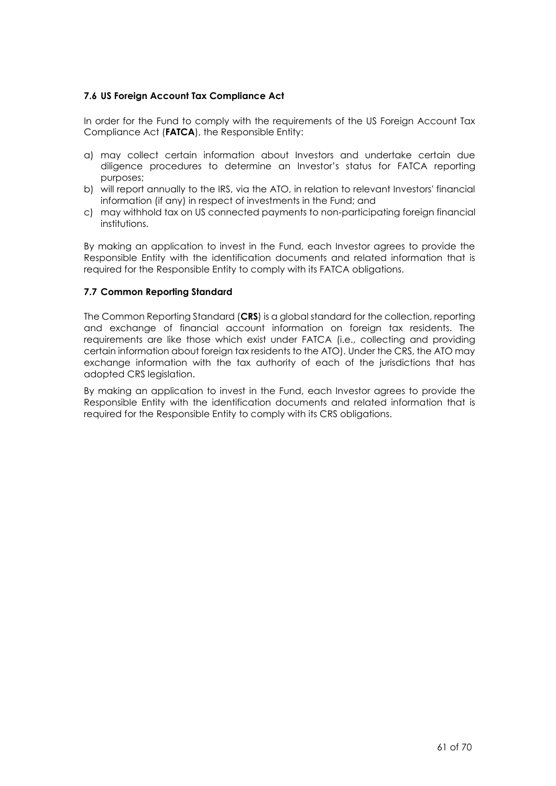#### **7.6 US Foreign Account Tax Compliance Act**

In order for the Fund to comply with the requirements of the US Foreign Account Tax Compliance Act (**FATCA**), the Responsible Entity:

- a) may collect certain information about Investors and undertake certain due diligence procedures to determine an Investor's status for FATCA reporting purposes;
- b) will report annually to the IRS, via the ATO, in relation to relevant Investors' financial information (if any) in respect of investments in the Fund; and
- c) may withhold tax on US connected payments to non-participating foreign financial institutions.

By making an application to invest in the Fund, each Investor agrees to provide the Responsible Entity with the identification documents and related information that is required for the Responsible Entity to comply with its FATCA obligations.

#### **7.7 Common Reporting Standard**

The Common Reporting Standard (**CRS**) is a global standard for the collection, reporting and exchange of financial account information on foreign tax residents. The requirements are like those which exist under FATCA (i.e., collecting and providing certain information about foreign tax residents to the ATO). Under the CRS, the ATO may exchange information with the tax authority of each of the jurisdictions that has adopted CRS legislation.

By making an application to invest in the Fund, each Investor agrees to provide the Responsible Entity with the identification documents and related information that is required for the Responsible Entity to comply with its CRS obligations.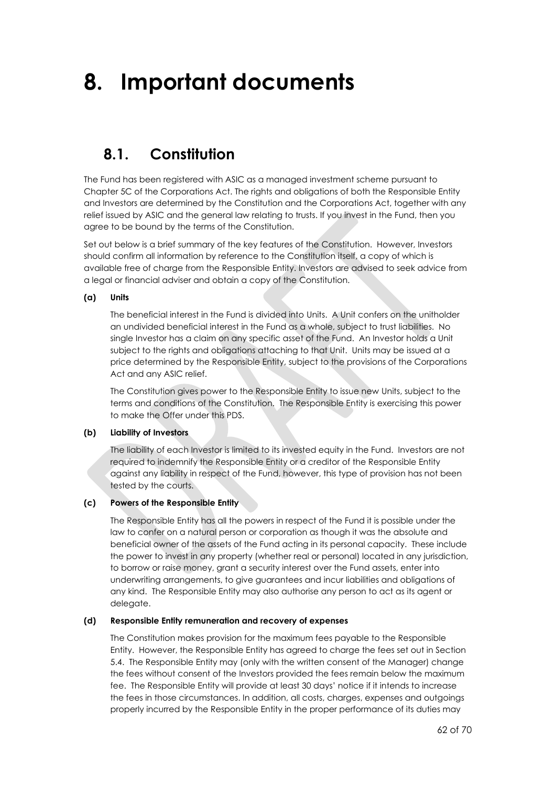## **8. Important documents**

### <span id="page-61-0"></span>**8.1. Constitution**

The Fund has been registered with ASIC as a managed investment scheme pursuant to Chapter 5C of the Corporations Act. The rights and obligations of both the Responsible Entity and Investors are determined by the Constitution and the Corporations Act, together with any relief issued by ASIC and the general law relating to trusts. If you invest in the Fund, then you agree to be bound by the terms of the Constitution.

Set out below is a brief summary of the key features of the Constitution. However, Investors should confirm all information by reference to the Constitution itself, a copy of which is available free of charge from the Responsible Entity. Investors are advised to seek advice from a legal or financial adviser and obtain a copy of the Constitution.

#### **(a) Units**

The beneficial interest in the Fund is divided into Units. A Unit confers on the unitholder an undivided beneficial interest in the Fund as a whole, subject to trust liabilities. No single Investor has a claim on any specific asset of the Fund. An Investor holds a Unit subject to the rights and obligations attaching to that Unit. Units may be issued at a price determined by the Responsible Entity, subject to the provisions of the Corporations Act and any ASIC relief.

The Constitution gives power to the Responsible Entity to issue new Units, subject to the terms and conditions of the Constitution. The Responsible Entity is exercising this power to make the Offer under this PDS.

#### **(b) Liability of Investors**

The liability of each Investor is limited to its invested equity in the Fund. Investors are not required to indemnify the Responsible Entity or a creditor of the Responsible Entity against any liability in respect of the Fund, however, this type of provision has not been tested by the courts.

#### **(c) Powers of the Responsible Entity**

The Responsible Entity has all the powers in respect of the Fund it is possible under the law to confer on a natural person or corporation as though it was the absolute and beneficial owner of the assets of the Fund acting in its personal capacity. These include the power to invest in any property (whether real or personal) located in any jurisdiction, to borrow or raise money, grant a security interest over the Fund assets, enter into underwriting arrangements, to give guarantees and incur liabilities and obligations of any kind. The Responsible Entity may also authorise any person to act as its agent or delegate.

#### **(d) Responsible Entity remuneration and recovery of expenses**

The Constitution makes provision for the maximum fees payable to the Responsible Entity. However, the Responsible Entity has agreed to charge the fees set out in Section [5.4.](#page-47-0) The Responsible Entity may (only with the written consent of the Manager) change the fees without consent of the Investors provided the fees remain below the maximum fee. The Responsible Entity will provide at least 30 days' notice if it intends to increase the fees in those circumstances. In addition, all costs, charges, expenses and outgoings properly incurred by the Responsible Entity in the proper performance of its duties may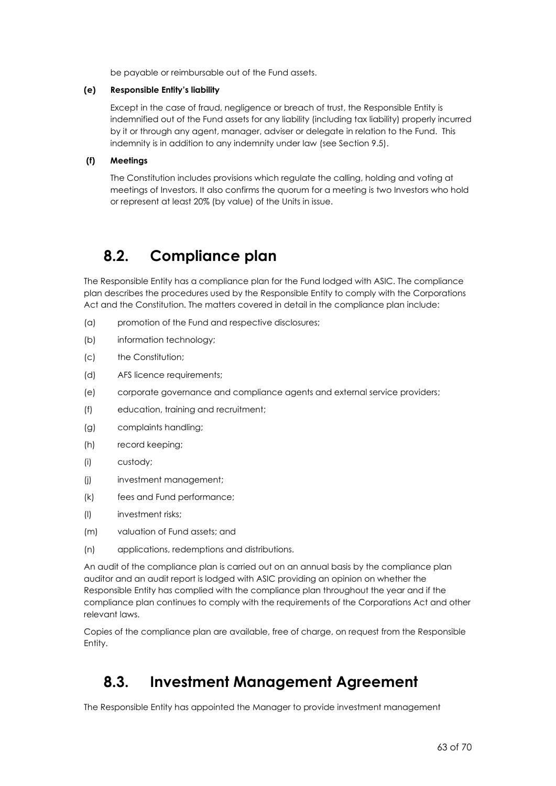be payable or reimbursable out of the Fund assets.

#### **(e) Responsible Entity's liability**

Except in the case of fraud, negligence or breach of trust, the Responsible Entity is indemnified out of the Fund assets for any liability (including tax liability) properly incurred by it or through any agent, manager, adviser or delegate in relation to the Fund. This indemnity is in addition to any indemnity under law (see Section [9.5\)](#page-65-0).

#### **(f) Meetings**

The Constitution includes provisions which regulate the calling, holding and voting at meetings of Investors. It also confirms the quorum for a meeting is two Investors who hold or represent at least 20% (by value) of the Units in issue.

### **8.2. Compliance plan**

The Responsible Entity has a compliance plan for the Fund lodged with ASIC. The compliance plan describes the procedures used by the Responsible Entity to comply with the Corporations Act and the Constitution. The matters covered in detail in the compliance plan include:

- (a) promotion of the Fund and respective disclosures;
- (b) information technology;
- (c) the Constitution;
- (d) AFS licence requirements;
- (e) corporate governance and compliance agents and external service providers;
- (f) education, training and recruitment;
- (g) complaints handling;
- (h) record keeping;
- (i) custody;
- (j) investment management;
- (k) fees and Fund performance;
- (l) investment risks;
- (m) valuation of Fund assets; and
- (n) applications, redemptions and distributions.

An audit of the compliance plan is carried out on an annual basis by the compliance plan auditor and an audit report is lodged with ASIC providing an opinion on whether the Responsible Entity has complied with the compliance plan throughout the year and if the compliance plan continues to comply with the requirements of the Corporations Act and other relevant laws.

Copies of the compliance plan are available, free of charge, on request from the Responsible Entity.

## <span id="page-62-0"></span>**8.3. Investment Management Agreement**

The Responsible Entity has appointed the Manager to provide investment management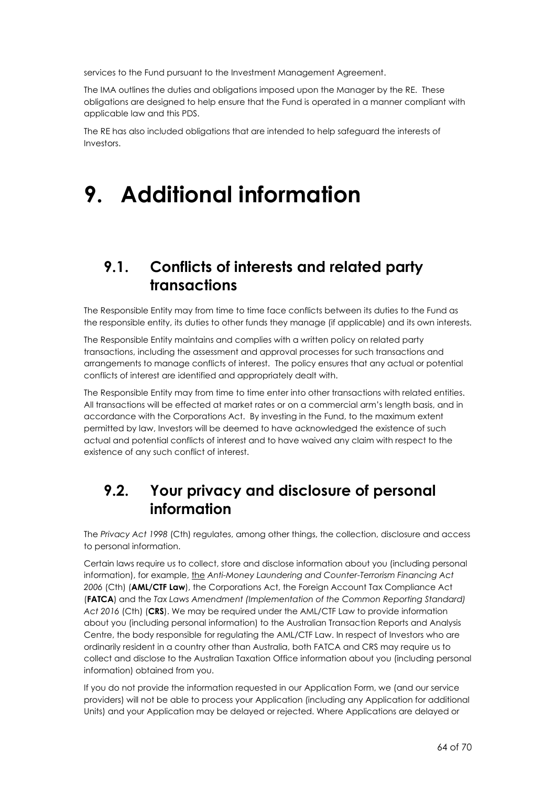services to the Fund pursuant to the Investment Management Agreement.

The IMA outlines the duties and obligations imposed upon the Manager by the RE. These obligations are designed to help ensure that the Fund is operated in a manner compliant with applicable law and this PDS.

The RE has also included obligations that are intended to help safeguard the interests of Investors.

## **9. Additional information**

## <span id="page-63-0"></span>**9.1. Conflicts of interests and related party transactions**

The Responsible Entity may from time to time face conflicts between its duties to the Fund as the responsible entity, its duties to other funds they manage (if applicable) and its own interests.

The Responsible Entity maintains and complies with a written policy on related party transactions, including the assessment and approval processes for such transactions and arrangements to manage conflicts of interest. The policy ensures that any actual or potential conflicts of interest are identified and appropriately dealt with.

The Responsible Entity may from time to time enter into other transactions with related entities. All transactions will be effected at market rates or on a commercial arm's length basis, and in accordance with the Corporations Act. By investing in the Fund, to the maximum extent permitted by law, Investors will be deemed to have acknowledged the existence of such actual and potential conflicts of interest and to have waived any claim with respect to the existence of any such conflict of interest.

## **9.2. Your privacy and disclosure of personal information**

The *Privacy Act 1998* (Cth) regulates, among other things, the collection, disclosure and access to personal information.

Certain laws require us to collect, store and disclose information about you (including personal information), for example, the *Anti-Money Laundering and Counter-Terrorism Financing Act 2006* (Cth) (**AML/CTF Law**), the Corporations Act, the Foreign Account Tax Compliance Act (**FATCA**) and the *Tax Laws Amendment (Implementation of the Common Reporting Standard) Act 2016* (Cth) (**CRS**). We may be required under the AML/CTF Law to provide information about you (including personal information) to the Australian Transaction Reports and Analysis Centre, the body responsible for regulating the AML/CTF Law. In respect of Investors who are ordinarily resident in a country other than Australia, both FATCA and CRS may require us to collect and disclose to the Australian Taxation Office information about you (including personal information) obtained from you.

If you do not provide the information requested in our Application Form, we (and our service providers) will not be able to process your Application (including any Application for additional Units) and your Application may be delayed or rejected. Where Applications are delayed or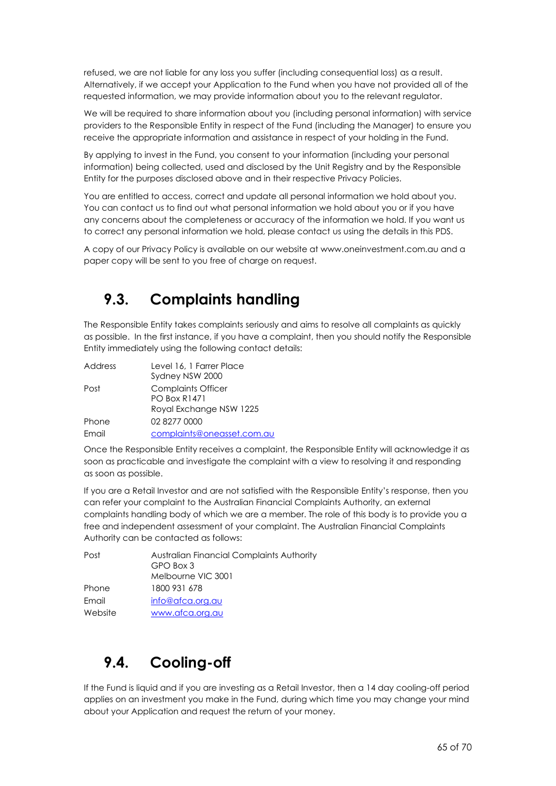refused, we are not liable for any loss you suffer (including consequential loss) as a result. Alternatively, if we accept your Application to the Fund when you have not provided all of the requested information, we may provide information about you to the relevant regulator.

We will be required to share information about you (including personal information) with service providers to the Responsible Entity in respect of the Fund (including the Manager) to ensure you receive the appropriate information and assistance in respect of your holding in the Fund.

By applying to invest in the Fund, you consent to your information (including your personal information) being collected, used and disclosed by the Unit Registry and by the Responsible Entity for the purposes disclosed above and in their respective Privacy Policies.

You are entitled to access, correct and update all personal information we hold about you. You can contact us to find out what personal information we hold about you or if you have any concerns about the completeness or accuracy of the information we hold. If you want us to correct any personal information we hold, please contact us using the details in this PDS.

A copy of our Privacy Policy is available on our website at www.oneinvestment.com.au and a paper copy will be sent to you free of charge on request.

## <span id="page-64-0"></span>**9.3. Complaints handling**

The Responsible Entity takes complaints seriously and aims to resolve all complaints as quickly as possible. In the first instance, if you have a complaint, then you should notify the Responsible Entity immediately using the following contact details:

| Address | Level 16, 1 Farrer Place   |
|---------|----------------------------|
|         | Sydney NSW 2000            |
| Post    | <b>Complaints Officer</b>  |
|         | <b>PO Box R1471</b>        |
|         | Royal Exchange NSW 1225    |
| Phone   | 02 8277 0000               |
| Email   | complaints@oneasset.com.au |

Once the Responsible Entity receives a complaint, the Responsible Entity will acknowledge it as soon as practicable and investigate the complaint with a view to resolving it and responding as soon as possible.

If you are a Retail Investor and are not satisfied with the Responsible Entity's response, then you can refer your complaint to the Australian Financial Complaints Authority, an external complaints handling body of which we are a member. The role of this body is to provide you a free and independent assessment of your complaint. The Australian Financial Complaints Authority can be contacted as follows:

| Post    | <b>Australian Financial Complaints Authority</b> |
|---------|--------------------------------------------------|
|         | GPO Box 3                                        |
|         | Melbourne VIC 3001                               |
| Phone   | 1800 931 678                                     |
| Email   | info@afca.org.au                                 |
| Website | www.afca.org.au                                  |

## <span id="page-64-1"></span>**9.4. Cooling-off**

If the Fund is liquid and if you are investing as a Retail Investor, then a 14 day cooling-off period applies on an investment you make in the Fund, during which time you may change your mind about your Application and request the return of your money.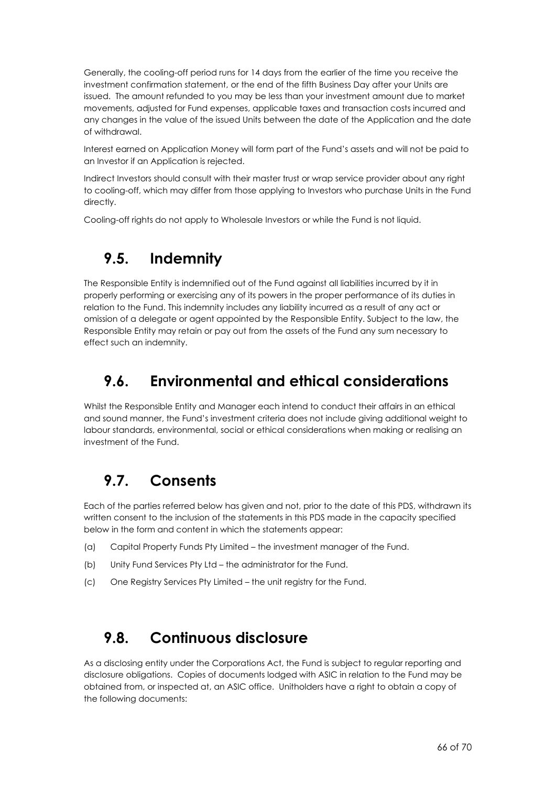Generally, the cooling-off period runs for 14 days from the earlier of the time you receive the investment confirmation statement, or the end of the fifth Business Day after your Units are issued. The amount refunded to you may be less than your investment amount due to market movements, adjusted for Fund expenses, applicable taxes and transaction costs incurred and any changes in the value of the issued Units between the date of the Application and the date of withdrawal.

Interest earned on Application Money will form part of the Fund's assets and will not be paid to an Investor if an Application is rejected.

Indirect Investors should consult with their master trust or wrap service provider about any right to cooling-off, which may differ from those applying to Investors who purchase Units in the Fund directly.

<span id="page-65-0"></span>Cooling-off rights do not apply to Wholesale Investors or while the Fund is not liquid.

## **9.5. Indemnity**

The Responsible Entity is indemnified out of the Fund against all liabilities incurred by it in properly performing or exercising any of its powers in the proper performance of its duties in relation to the Fund. This indemnity includes any liability incurred as a result of any act or omission of a delegate or agent appointed by the Responsible Entity. Subject to the law, the Responsible Entity may retain or pay out from the assets of the Fund any sum necessary to effect such an indemnity.

## **9.6. Environmental and ethical considerations**

Whilst the Responsible Entity and Manager each intend to conduct their affairs in an ethical and sound manner, the Fund's investment criteria does not include giving additional weight to labour standards, environmental, social or ethical considerations when making or realising an investment of the Fund.

## **9.7. Consents**

Each of the parties referred below has given and not, prior to the date of this PDS, withdrawn its written consent to the inclusion of the statements in this PDS made in the capacity specified below in the form and content in which the statements appear:

- (a) Capital Property Funds Pty Limited the investment manager of the Fund.
- (b) Unity Fund Services Pty Ltd the administrator for the Fund.
- (c) One Registry Services Pty Limited the unit registry for the Fund.

## **9.8. Continuous disclosure**

As a disclosing entity under the Corporations Act, the Fund is subject to regular reporting and disclosure obligations. Copies of documents lodged with ASIC in relation to the Fund may be obtained from, or inspected at, an ASIC office. Unitholders have a right to obtain a copy of the following documents: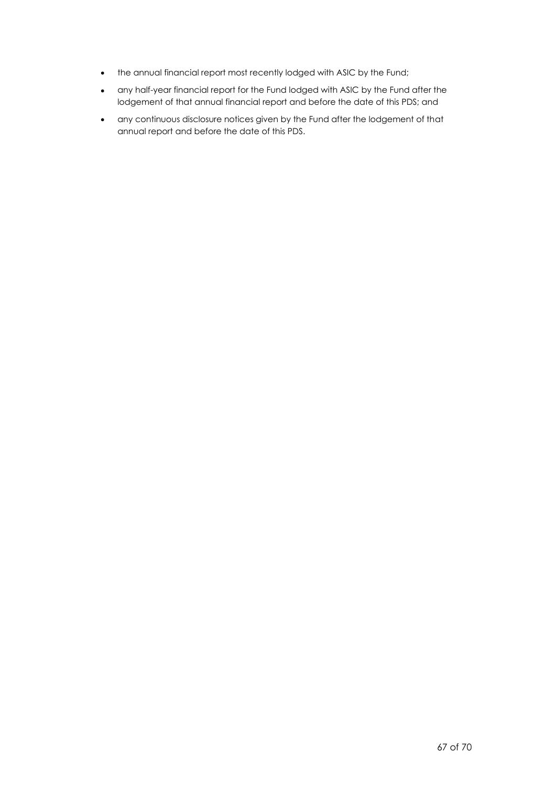- the annual financial report most recently lodged with ASIC by the Fund;
- any half-year financial report for the Fund lodged with ASIC by the Fund after the lodgement of that annual financial report and before the date of this PDS; and
- any continuous disclosure notices given by the Fund after the lodgement of that annual report and before the date of this PDS.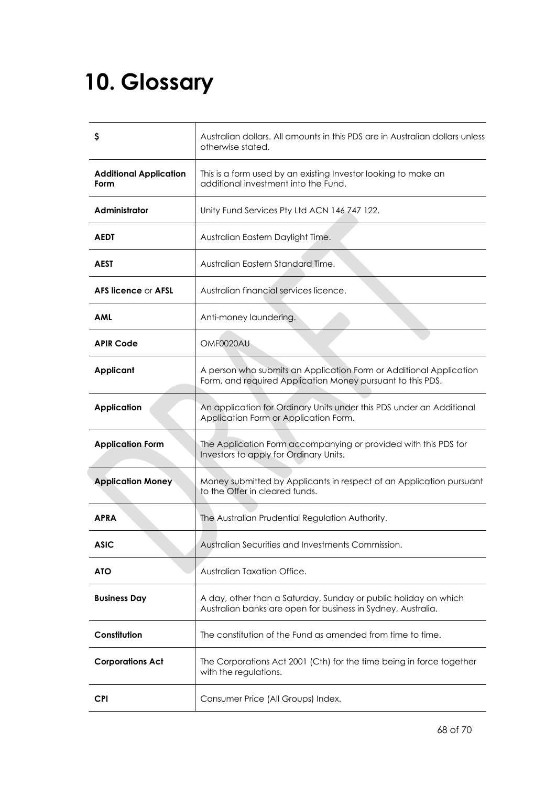## <span id="page-67-0"></span>**10. Glossary**

| S                                     | Australian dollars. All amounts in this PDS are in Australian dollars unless<br>otherwise stated.                                |
|---------------------------------------|----------------------------------------------------------------------------------------------------------------------------------|
| <b>Additional Application</b><br>Form | This is a form used by an existing Investor looking to make an<br>additional investment into the Fund.                           |
| Administrator                         | Unity Fund Services Pty Ltd ACN 146 747 122.                                                                                     |
| AEDT                                  | Australian Eastern Daylight Time.                                                                                                |
| <b>AEST</b>                           | Australian Eastern Standard Time.                                                                                                |
| <b>AFS licence or AFSL</b>            | Australian financial services licence.                                                                                           |
| <b>AML</b>                            | Anti-money laundering.                                                                                                           |
| <b>APIR Code</b>                      | OMF0020AU                                                                                                                        |
| <b>Applicant</b>                      | A person who submits an Application Form or Additional Application<br>Form, and required Application Money pursuant to this PDS. |
| <b>Application</b>                    | An application for Ordinary Units under this PDS under an Additional<br>Application Form or Application Form.                    |
| <b>Application Form</b>               | The Application Form accompanying or provided with this PDS for<br>Investors to apply for Ordinary Units.                        |
| <b>Application Money</b>              | Money submitted by Applicants in respect of an Application pursuant<br>to the Offer in cleared funds.                            |
| <b>APRA</b>                           | The Australian Prudential Regulation Authority.                                                                                  |
| <b>ASIC</b>                           | Australian Securities and Investments Commission.                                                                                |
| <b>ATO</b>                            | Australian Taxation Office.                                                                                                      |
| <b>Business Day</b>                   | A day, other than a Saturday, Sunday or public holiday on which<br>Australian banks are open for business in Sydney, Australia.  |
| Constitution                          | The constitution of the Fund as amended from time to time.                                                                       |
| <b>Corporations Act</b>               | The Corporations Act 2001 (Cth) for the time being in force together<br>with the regulations.                                    |
| <b>CPI</b>                            | Consumer Price (All Groups) Index.                                                                                               |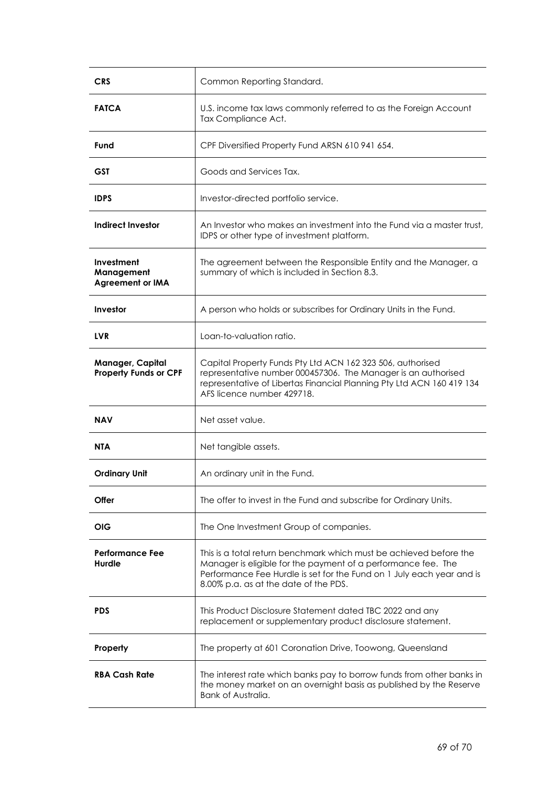| <b>CRS</b>                                          | Common Reporting Standard.                                                                                                                                                                                                                            |
|-----------------------------------------------------|-------------------------------------------------------------------------------------------------------------------------------------------------------------------------------------------------------------------------------------------------------|
| <b>FATCA</b>                                        | U.S. income tax laws commonly referred to as the Foreign Account<br>Tax Compliance Act.                                                                                                                                                               |
| Fund                                                | CPF Diversified Property Fund ARSN 610 941 654.                                                                                                                                                                                                       |
| GST                                                 | Goods and Services Tax.                                                                                                                                                                                                                               |
| <b>IDPS</b>                                         | Investor-directed portfolio service.                                                                                                                                                                                                                  |
| <b>Indirect Investor</b>                            | An Investor who makes an investment into the Fund via a master trust.<br>IDPS or other type of investment platform.                                                                                                                                   |
| Investment<br>Management<br><b>Agreement or IMA</b> | The agreement between the Responsible Entity and the Manager, a<br>summary of which is included in Section 8.3.                                                                                                                                       |
| Investor                                            | A person who holds or subscribes for Ordinary Units in the Fund.                                                                                                                                                                                      |
| <b>LVR</b>                                          | Loan-to-valuation ratio.                                                                                                                                                                                                                              |
| Manager, Capital<br><b>Property Funds or CPF</b>    | Capital Property Funds Pty Ltd ACN 162 323 506, authorised<br>representative number 000457306. The Manager is an authorised<br>representative of Libertas Financial Planning Pty Ltd ACN 160 419 134<br>AFS licence number 429718.                    |
| NAV                                                 | Net asset value.                                                                                                                                                                                                                                      |
| <b>NTA</b>                                          | Net tangible assets.                                                                                                                                                                                                                                  |
| <b>Ordinary Unit</b>                                | An ordinary unit in the Fund.                                                                                                                                                                                                                         |
| <b>Offer</b>                                        | The offer to invest in the Fund and subscribe for Ordinary Units.                                                                                                                                                                                     |
| OIG                                                 | The One Investment Group of companies.                                                                                                                                                                                                                |
| Performance Fee<br>Hurdle                           | This is a total return benchmark which must be achieved before the<br>Manager is eligible for the payment of a performance fee. The<br>Performance Fee Hurdle is set for the Fund on 1 July each year and is<br>8.00% p.a. as at the date of the PDS. |
| <b>PDS</b>                                          | This Product Disclosure Statement dated TBC 2022 and any<br>replacement or supplementary product disclosure statement.                                                                                                                                |
| Property                                            | The property at 601 Coronation Drive, Toowong, Queensland                                                                                                                                                                                             |
| <b>RBA Cash Rate</b>                                | The interest rate which banks pay to borrow funds from other banks in<br>the money market on an overnight basis as published by the Reserve<br><b>Bank of Australia.</b>                                                                              |